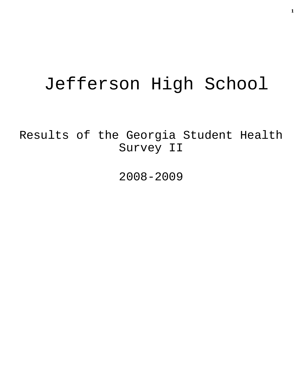# Jefferson High School

Results of the Georgia Student Health Survey II

2008-2009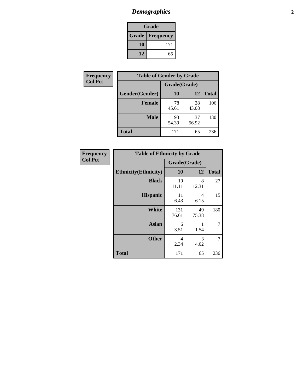## *Demographics* **2**

| Grade                    |     |  |  |
|--------------------------|-----|--|--|
| <b>Grade   Frequency</b> |     |  |  |
| 10                       | 171 |  |  |
| 12                       | 65  |  |  |

| <b>Frequency</b> | <b>Table of Gender by Grade</b> |              |             |              |
|------------------|---------------------------------|--------------|-------------|--------------|
| <b>Col Pct</b>   |                                 | Grade(Grade) |             |              |
|                  | Gender(Gender)                  | 10           | 12          | <b>Total</b> |
|                  | <b>Female</b>                   | 78<br>45.61  | 28<br>43.08 | 106          |
|                  | <b>Male</b>                     | 93<br>54.39  | 37<br>56.92 | 130          |
|                  | <b>Total</b>                    | 171          | 65          | 236          |

| <b>Frequency</b> |  |
|------------------|--|
| Col Pct          |  |

| <b>Table of Ethnicity by Grade</b> |              |             |              |  |  |
|------------------------------------|--------------|-------------|--------------|--|--|
|                                    | Grade(Grade) |             |              |  |  |
| <b>Ethnicity</b> (Ethnicity)       | 10           | 12          | <b>Total</b> |  |  |
| <b>Black</b>                       | 19<br>11.11  | 8<br>12.31  | 27           |  |  |
| <b>Hispanic</b>                    | 11<br>6.43   | 4<br>6.15   | 15           |  |  |
| <b>White</b>                       | 131<br>76.61 | 49<br>75.38 | 180          |  |  |
| <b>Asian</b>                       | 6<br>3.51    | 1<br>1.54   | 7            |  |  |
| <b>Other</b>                       | 4<br>2.34    | 3<br>4.62   | 7            |  |  |
| <b>Total</b>                       | 171          | 65          | 236          |  |  |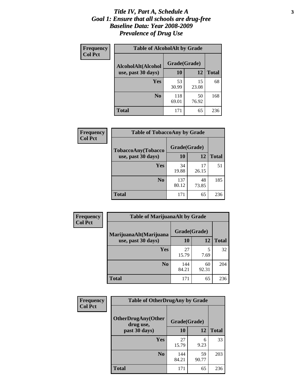#### *Title IV, Part A, Schedule A* **3** *Goal 1: Ensure that all schools are drug-free Baseline Data: Year 2008-2009 Prevalence of Drug Use*

| Frequency<br><b>Col Pct</b> | <b>Table of AlcoholAlt by Grade</b> |              |             |              |  |
|-----------------------------|-------------------------------------|--------------|-------------|--------------|--|
|                             | AlcoholAlt(Alcohol                  | Grade(Grade) |             |              |  |
|                             | use, past 30 days)                  | 10           | 12          | <b>Total</b> |  |
|                             | <b>Yes</b>                          | 53<br>30.99  | 15<br>23.08 | 68           |  |
|                             | N <sub>0</sub>                      | 118<br>69.01 | 50<br>76.92 | 168          |  |
|                             | <b>Total</b>                        | 171          | 65          | 236          |  |

| Frequency<br><b>Col Pct</b> | <b>Table of TobaccoAny by Grade</b> |              |             |              |  |
|-----------------------------|-------------------------------------|--------------|-------------|--------------|--|
|                             | TobaccoAny(Tobacco                  | Grade(Grade) |             |              |  |
|                             | use, past 30 days)                  | <b>10</b>    | 12          | <b>Total</b> |  |
|                             | Yes                                 | 34<br>19.88  | 17<br>26.15 | 51           |  |
|                             | N <sub>0</sub>                      | 137<br>80.12 | 48<br>73.85 | 185          |  |
|                             | <b>Total</b>                        | 171          | 65          | 236          |  |

| Frequency<br><b>Col Pct</b> | <b>Table of MarijuanaAlt by Grade</b> |              |             |              |  |
|-----------------------------|---------------------------------------|--------------|-------------|--------------|--|
|                             | MarijuanaAlt(Marijuana                | Grade(Grade) |             |              |  |
|                             | use, past 30 days)                    | 10           | 12          | <b>Total</b> |  |
|                             | Yes                                   | 27<br>15.79  | 5<br>7.69   | 32           |  |
|                             | N <sub>0</sub>                        | 144<br>84.21 | 60<br>92.31 | 204          |  |
|                             | <b>Total</b>                          | 171          | 65          | 236          |  |

| <b>Frequency</b> | <b>Table of OtherDrugAny by Grade</b>  |              |             |              |  |
|------------------|----------------------------------------|--------------|-------------|--------------|--|
| <b>Col Pct</b>   | <b>OtherDrugAny(Other</b><br>drug use, | Grade(Grade) |             |              |  |
|                  | past 30 days)                          | 10           | 12          | <b>Total</b> |  |
|                  | <b>Yes</b>                             | 27<br>15.79  | 6<br>9.23   | 33           |  |
|                  | N <sub>0</sub>                         | 144<br>84.21 | 59<br>90.77 | 203          |  |
|                  | <b>Total</b>                           | 171          | 65          | 236          |  |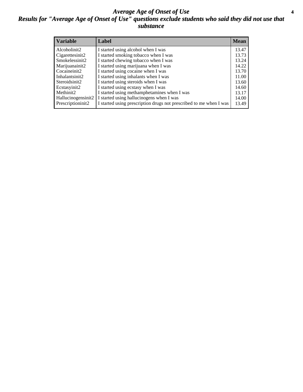#### *Average Age of Onset of Use* **4** *Results for "Average Age of Onset of Use" questions exclude students who said they did not use that substance*

| <b>Variable</b>    | Label                                                              | <b>Mean</b> |
|--------------------|--------------------------------------------------------------------|-------------|
| Alcoholinit2       | I started using alcohol when I was                                 | 13.47       |
| Cigarettesinit2    | I started smoking tobacco when I was                               | 13.73       |
| Smokelessinit2     | I started chewing tobacco when I was                               | 13.24       |
| Marijuanainit2     | I started using marijuana when I was                               | 14.22       |
| Cocaineinit2       | I started using cocaine when I was                                 | 13.70       |
| Inhalantsinit2     | I started using inhalants when I was                               | 11.00       |
| Steroidsinit2      | I started using steroids when I was                                | 13.60       |
| Ecstasyinit2       | I started using ecstasy when I was                                 | 14.60       |
| Methinit2          | I started using methamphetamines when I was                        | 13.17       |
| Hallucinogensinit2 | I started using hallucinogens when I was                           | 14.00       |
| Prescriptioninit2  | I started using prescription drugs not prescribed to me when I was | 13.49       |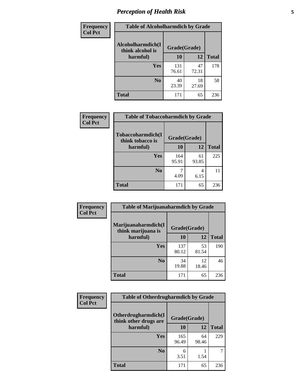### *Perception of Health Risk* **5**

| Frequency      | <b>Table of Alcoholharmdich by Grade</b> |              |             |              |
|----------------|------------------------------------------|--------------|-------------|--------------|
| <b>Col Pct</b> | Alcoholharmdich(I<br>think alcohol is    | Grade(Grade) |             |              |
|                | harmful)                                 | 10           | 12          | <b>Total</b> |
|                | Yes                                      | 131<br>76.61 | 47<br>72.31 | 178          |
|                | N <sub>0</sub>                           | 40<br>23.39  | 18<br>27.69 | 58           |
|                | <b>Total</b>                             | 171          | 65          | 236          |

| Frequency      | <b>Table of Tobaccoharmdich by Grade</b> |              |             |              |
|----------------|------------------------------------------|--------------|-------------|--------------|
| <b>Col Pct</b> | Tobaccoharmdich(I<br>think tobacco is    | Grade(Grade) |             |              |
|                | harmful)                                 | 10           | 12          | <b>Total</b> |
|                | <b>Yes</b>                               | 164<br>95.91 | 61<br>93.85 | 225          |
|                | N <sub>0</sub>                           | 4.09         | 4<br>6.15   | 11           |
|                | <b>Total</b>                             | 171          | 65          | 236          |

| Frequency      | <b>Table of Marijuanaharmdich by Grade</b> |              |             |              |  |
|----------------|--------------------------------------------|--------------|-------------|--------------|--|
| <b>Col Pct</b> | Marijuanaharmdich(I<br>think marijuana is  | Grade(Grade) |             |              |  |
|                | harmful)                                   | 10           | 12          | <b>Total</b> |  |
|                | Yes                                        | 137<br>80.12 | 53<br>81.54 | 190          |  |
|                | N <sub>0</sub>                             | 34<br>19.88  | 12<br>18.46 | 46           |  |
|                | <b>Total</b>                               | 171          | 65          | 236          |  |

| <b>Frequency</b> | <b>Table of Otherdrugharmdich by Grade</b>                   |              |             |              |  |  |  |  |
|------------------|--------------------------------------------------------------|--------------|-------------|--------------|--|--|--|--|
| <b>Col Pct</b>   | Otherdrugharmdich(I<br>Grade(Grade)<br>think other drugs are |              |             |              |  |  |  |  |
|                  | harmful)                                                     | <b>10</b>    | 12          | <b>Total</b> |  |  |  |  |
|                  | <b>Yes</b>                                                   | 165<br>96.49 | 64<br>98.46 | 229          |  |  |  |  |
|                  | N <sub>0</sub>                                               | 6<br>3.51    | 1.54        | ℸ            |  |  |  |  |
|                  | <b>Total</b>                                                 | 171          | 65          | 236          |  |  |  |  |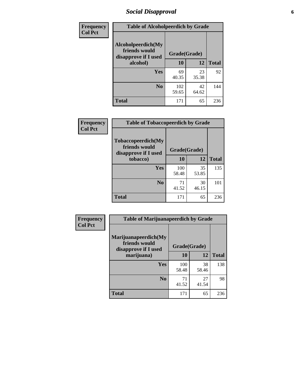### *Social Disapproval* **6**

| Frequency      | <b>Table of Alcoholpeerdich by Grade</b>                    |              |             |              |  |  |  |
|----------------|-------------------------------------------------------------|--------------|-------------|--------------|--|--|--|
| <b>Col Pct</b> | Alcoholpeerdich(My<br>friends would<br>disapprove if I used | Grade(Grade) |             |              |  |  |  |
|                | alcohol)                                                    | 10           | 12          | <b>Total</b> |  |  |  |
|                | <b>Yes</b>                                                  | 69<br>40.35  | 23<br>35.38 | 92           |  |  |  |
|                | N <sub>0</sub>                                              | 102<br>59.65 | 42<br>64.62 | 144          |  |  |  |
|                | <b>Total</b>                                                | 171          | 65          | 236          |  |  |  |

| <b>Frequency</b> |
|------------------|
| <b>Col Pct</b>   |

| <b>Table of Tobaccopeerdich by Grade</b>                            |              |             |              |  |  |  |
|---------------------------------------------------------------------|--------------|-------------|--------------|--|--|--|
| <b>Tobaccopeerdich</b> (My<br>friends would<br>disapprove if I used | Grade(Grade) |             |              |  |  |  |
| tobacco)                                                            | 10           | 12          | <b>Total</b> |  |  |  |
| Yes                                                                 | 100<br>58.48 | 35<br>53.85 | 135          |  |  |  |
| N <sub>0</sub>                                                      | 71<br>41.52  | 30<br>46.15 | 101          |  |  |  |
| <b>Total</b>                                                        | 171          | 65          | 236          |  |  |  |

| <b>Frequency</b> | <b>Table of Marijuanapeerdich by Grade</b>                    |              |             |              |  |  |  |  |
|------------------|---------------------------------------------------------------|--------------|-------------|--------------|--|--|--|--|
| <b>Col Pct</b>   | Marijuanapeerdich(My<br>friends would<br>disapprove if I used | Grade(Grade) |             |              |  |  |  |  |
|                  | marijuana)                                                    | 10           | 12          | <b>Total</b> |  |  |  |  |
|                  | <b>Yes</b>                                                    | 100<br>58.48 | 38<br>58.46 | 138          |  |  |  |  |
|                  | N <sub>0</sub>                                                | 71<br>41.52  | 27<br>41.54 | 98           |  |  |  |  |
|                  | <b>Total</b>                                                  | 171          | 65          | 236          |  |  |  |  |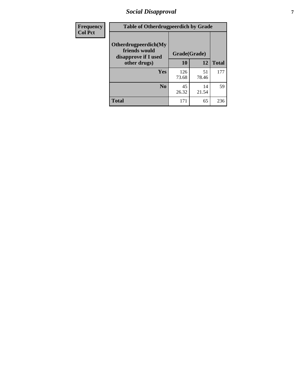### *Social Disapproval* **7**

| Frequency      | <b>Table of Otherdrugpeerdich by Grade</b>                    |              |             |              |  |  |  |  |
|----------------|---------------------------------------------------------------|--------------|-------------|--------------|--|--|--|--|
| <b>Col Pct</b> | Otherdrugpeerdich(My<br>friends would<br>disapprove if I used | Grade(Grade) |             |              |  |  |  |  |
|                | other drugs)                                                  | 10           | 12          | <b>Total</b> |  |  |  |  |
|                | <b>Yes</b>                                                    | 126<br>73.68 | 51<br>78.46 | 177          |  |  |  |  |
|                | N <sub>0</sub>                                                | 45<br>26.32  | 14<br>21.54 | 59           |  |  |  |  |
|                | <b>Total</b>                                                  | 171          | 65          | 236          |  |  |  |  |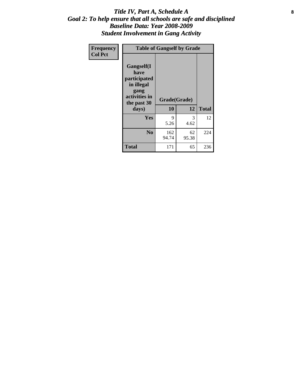#### Title IV, Part A, Schedule A **8** *Goal 2: To help ensure that all schools are safe and disciplined Baseline Data: Year 2008-2009 Student Involvement in Gang Activity*

| Frequency      | <b>Table of Gangself by Grade</b>                                                                 |                    |             |              |
|----------------|---------------------------------------------------------------------------------------------------|--------------------|-------------|--------------|
| <b>Col Pct</b> | Gangself(I<br>have<br>participated<br>in illegal<br>gang<br>activities in<br>the past 30<br>days) | Grade(Grade)<br>10 | 12          | <b>Total</b> |
|                | Yes                                                                                               | 9<br>5.26          | 3<br>4.62   | 12           |
|                | N <sub>0</sub>                                                                                    | 162<br>94.74       | 62<br>95.38 | 224          |
|                | <b>Total</b>                                                                                      | 171                | 65          | 236          |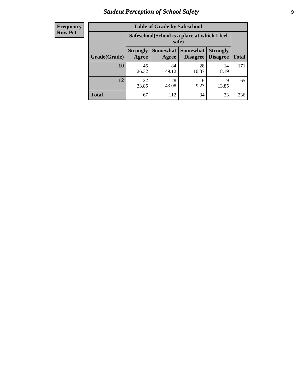### *Student Perception of School Safety* **9**

| <b>Frequency</b><br>Row Pct |
|-----------------------------|
|                             |

| <b>Table of Grade by Safeschool</b> |                                                        |                          |                             |                                    |              |  |  |
|-------------------------------------|--------------------------------------------------------|--------------------------|-----------------------------|------------------------------------|--------------|--|--|
|                                     | Safeschool (School is a place at which I feel<br>safe) |                          |                             |                                    |              |  |  |
| Grade(Grade)                        | <b>Strongly</b><br>Agree                               | <b>Somewhat</b><br>Agree | <b>Somewhat</b><br>Disagree | <b>Strongly</b><br><b>Disagree</b> | <b>Total</b> |  |  |
| 10                                  | 45<br>26.32                                            | 84<br>49.12              | 28<br>16.37                 | 14<br>8.19                         | 171          |  |  |
| 12                                  | 22<br>33.85                                            | 28<br>43.08              | 6<br>9.23                   | 9<br>13.85                         | 65           |  |  |
| <b>Total</b>                        | 67                                                     | 112                      | 34                          | 23                                 | 236          |  |  |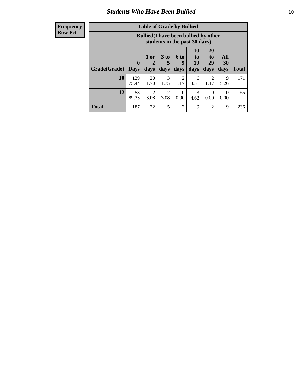#### *Students Who Have Been Bullied* **10**

| <b>Frequency</b> |  |
|------------------|--|
| <b>Row Pct</b>   |  |

| <b>Table of Grade by Bullied</b> |                         |                                                                               |                         |                   |                               |                               |                   |              |
|----------------------------------|-------------------------|-------------------------------------------------------------------------------|-------------------------|-------------------|-------------------------------|-------------------------------|-------------------|--------------|
|                                  |                         | <b>Bullied</b> (I have been bullied by other<br>students in the past 30 days) |                         |                   |                               |                               |                   |              |
| Grade(Grade)                     | $\bf{0}$<br><b>Days</b> | 1 or<br>days                                                                  | 3 <sub>to</sub><br>days | 6 to<br>9<br>days | <b>10</b><br>to<br>19<br>days | <b>20</b><br>to<br>29<br>days | All<br>30<br>days | <b>Total</b> |
| 10                               | 129<br>75.44            | 20<br>11.70                                                                   | 3<br>1.75               | 2<br>1.17         | 6<br>3.51                     | 2<br>1.17                     | 9<br>5.26         | 171          |
| 12                               | 58<br>89.23             | $\overline{2}$<br>3.08                                                        | $\mathfrak{D}$<br>3.08  | 0<br>0.00         | 3<br>4.62                     | $\Omega$<br>0.00              | $\Omega$<br>0.00  | 65           |
| Total                            | 187                     | 22                                                                            | 5                       | $\overline{2}$    | 9                             | $\overline{2}$                | 9                 | 236          |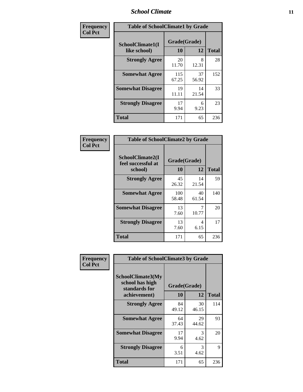### *School Climate* **11**

| <b>Frequency</b> | <b>Table of SchoolClimate1 by Grade</b> |                    |             |              |  |  |  |
|------------------|-----------------------------------------|--------------------|-------------|--------------|--|--|--|
| <b>Col Pct</b>   | SchoolClimate1(I<br>like school)        | Grade(Grade)<br>10 | 12          | <b>Total</b> |  |  |  |
|                  | <b>Strongly Agree</b>                   | 20<br>11.70        | 8<br>12.31  | 28           |  |  |  |
|                  | <b>Somewhat Agree</b>                   | 115<br>67.25       | 37<br>56.92 | 152          |  |  |  |
|                  | <b>Somewhat Disagree</b>                | 19<br>11.11        | 14<br>21.54 | 33           |  |  |  |
|                  | <b>Strongly Disagree</b>                | 17<br>9.94         | 6<br>9.23   | 23           |  |  |  |
|                  | <b>Total</b>                            | 171                | 65          | 236          |  |  |  |

| <b>Table of SchoolClimate2 by Grade</b>           |                    |             |              |  |
|---------------------------------------------------|--------------------|-------------|--------------|--|
| SchoolClimate2(I<br>feel successful at<br>school) | Grade(Grade)<br>10 | 12          | <b>Total</b> |  |
| <b>Strongly Agree</b>                             | 45<br>26.32        | 14<br>21.54 | 59           |  |
| <b>Somewhat Agree</b>                             | 100<br>58.48       | 40<br>61.54 | 140          |  |
| <b>Somewhat Disagree</b>                          | 13<br>7.60         | 7<br>10.77  | 20           |  |
| <b>Strongly Disagree</b>                          | 13<br>7.60         | 4<br>6.15   | 17           |  |
| <b>Total</b>                                      | 171                | 65          | 236          |  |

| Frequency      | <b>Table of SchoolClimate3 by Grade</b>                      |              |             |              |  |
|----------------|--------------------------------------------------------------|--------------|-------------|--------------|--|
| <b>Col Pct</b> | <b>SchoolClimate3(My</b><br>school has high<br>standards for | Grade(Grade) |             |              |  |
|                | achievement)                                                 | <b>10</b>    | 12          | <b>Total</b> |  |
|                | <b>Strongly Agree</b>                                        | 84<br>49.12  | 30<br>46.15 | 114          |  |
|                | <b>Somewhat Agree</b>                                        | 64<br>37.43  | 29<br>44.62 | 93           |  |
|                | <b>Somewhat Disagree</b>                                     | 17<br>9.94   | 3<br>4.62   | 20           |  |
|                | <b>Strongly Disagree</b>                                     | 6<br>3.51    | 3<br>4.62   | 9            |  |
|                | Total                                                        | 171          | 65          | 236          |  |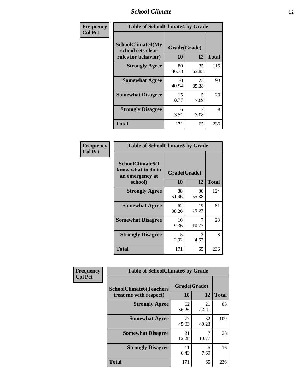### *School Climate* **12**

| Frequency      |                                                               | <b>Table of SchoolClimate4 by Grade</b> |                                  |              |  |
|----------------|---------------------------------------------------------------|-----------------------------------------|----------------------------------|--------------|--|
| <b>Col Pct</b> | SchoolClimate4(My<br>school sets clear<br>rules for behavior) | Grade(Grade)<br>10                      | 12                               | <b>Total</b> |  |
|                | <b>Strongly Agree</b>                                         | 80<br>46.78                             | 35<br>53.85                      | 115          |  |
|                | <b>Somewhat Agree</b>                                         | 70<br>40.94                             | 23<br>35.38                      | 93           |  |
|                | <b>Somewhat Disagree</b>                                      | 15<br>8.77                              | $\overline{\phantom{1}}$<br>7.69 | 20           |  |
|                | <b>Strongly Disagree</b>                                      | 6<br>3.51                               | 2<br>3.08                        | 8            |  |
|                | <b>Total</b>                                                  | 171                                     | 65                               | 236          |  |

| <b>Table of SchoolClimate5 by Grade</b>                              |                    |             |              |  |  |
|----------------------------------------------------------------------|--------------------|-------------|--------------|--|--|
| SchoolClimate5(I<br>know what to do in<br>an emergency at<br>school) | Grade(Grade)<br>10 | 12          | <b>Total</b> |  |  |
| <b>Strongly Agree</b>                                                | 88<br>51.46        | 36<br>55.38 | 124          |  |  |
| <b>Somewhat Agree</b>                                                | 62                 | 19          | 81           |  |  |
| <b>Somewhat Disagree</b>                                             | 36.26<br>16        | 29.23<br>7  | 23           |  |  |
|                                                                      | 9.36               | 10.77       |              |  |  |
| <b>Strongly Disagree</b>                                             | 5<br>2.92          | 3<br>4.62   | 8            |  |  |
| Total                                                                | 171                | 65          | 236          |  |  |

| Frequency      | <b>Table of SchoolClimate6 by Grade</b>                  |                    |             |              |
|----------------|----------------------------------------------------------|--------------------|-------------|--------------|
| <b>Col Pct</b> | <b>SchoolClimate6(Teachers</b><br>treat me with respect) | Grade(Grade)<br>10 | 12          | <b>Total</b> |
|                | <b>Strongly Agree</b>                                    | 62<br>36.26        | 21<br>32.31 | 83           |
|                | <b>Somewhat Agree</b>                                    | 77<br>45.03        | 32<br>49.23 | 109          |
|                | <b>Somewhat Disagree</b>                                 | 21<br>12.28        | 10.77       | 28           |
|                | <b>Strongly Disagree</b>                                 | 11<br>6.43         | 5<br>7.69   | 16           |
|                | <b>Total</b>                                             | 171                | 65          | 236          |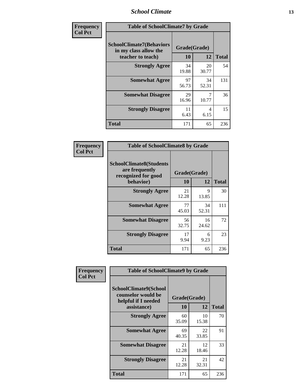### *School Climate* **13**

| Frequency      | <b>Table of SchoolClimate7 by Grade</b>                                       |                           |             |              |
|----------------|-------------------------------------------------------------------------------|---------------------------|-------------|--------------|
| <b>Col Pct</b> | <b>SchoolClimate7(Behaviors</b><br>in my class allow the<br>teacher to teach) | Grade(Grade)<br><b>10</b> | 12          | <b>Total</b> |
|                | <b>Strongly Agree</b>                                                         | 34<br>19.88               | 20<br>30.77 | 54           |
|                | <b>Somewhat Agree</b>                                                         | 97<br>56.73               | 34<br>52.31 | 131          |
|                | <b>Somewhat Disagree</b>                                                      | 29<br>16.96               | 7<br>10.77  | 36           |
|                | <b>Strongly Disagree</b>                                                      | 11<br>6.43                | 4<br>6.15   | 15           |
|                | <b>Total</b>                                                                  | 171                       | 65          | 236          |

| Frequency      | <b>Table of SchoolClimate8 by Grade</b>                                 |              |             |              |
|----------------|-------------------------------------------------------------------------|--------------|-------------|--------------|
| <b>Col Pct</b> | <b>SchoolClimate8(Students</b><br>are frequently<br>recognized for good | Grade(Grade) |             |              |
|                | behavior)                                                               | 10           | 12          | <b>Total</b> |
|                | <b>Strongly Agree</b>                                                   | 21<br>12.28  | 9<br>13.85  | 30           |
|                | <b>Somewhat Agree</b>                                                   | 77<br>45.03  | 34<br>52.31 | 111          |
|                | <b>Somewhat Disagree</b>                                                | 56<br>32.75  | 16<br>24.62 | 72           |
|                | <b>Strongly Disagree</b>                                                | 17<br>9.94   | 6<br>9.23   | 23           |
|                | <b>Total</b>                                                            | 171          | 65          | 236          |

| Frequency      | <b>Table of SchoolClimate9 by Grade</b>                                           |                    |             |              |
|----------------|-----------------------------------------------------------------------------------|--------------------|-------------|--------------|
| <b>Col Pct</b> | SchoolClimate9(School<br>counselor would be<br>helpful if I needed<br>assistance) | Grade(Grade)<br>10 | 12          | <b>Total</b> |
|                | <b>Strongly Agree</b>                                                             | 60<br>35.09        | 10<br>15.38 | 70           |
|                | <b>Somewhat Agree</b>                                                             | 69<br>40.35        | 22<br>33.85 | 91           |
|                | <b>Somewhat Disagree</b>                                                          | 21<br>12.28        | 12<br>18.46 | 33           |
|                | <b>Strongly Disagree</b>                                                          | 21<br>12.28        | 21<br>32.31 | 42           |
|                | <b>Total</b>                                                                      | 171                | 65          | 236          |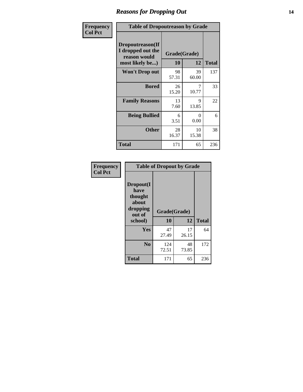### *Reasons for Dropping Out* **14**

| Frequency      | <b>Table of Dropoutreason by Grade</b>                                   |                    |             |              |
|----------------|--------------------------------------------------------------------------|--------------------|-------------|--------------|
| <b>Col Pct</b> | Dropoutreason(If<br>I dropped out the<br>reason would<br>most likely be) | Grade(Grade)<br>10 | 12          | <b>Total</b> |
|                | <b>Won't Drop out</b>                                                    | 98<br>57.31        | 39<br>60.00 | 137          |
|                | <b>Bored</b>                                                             | 26<br>15.20        | 10.77       | 33           |
|                | <b>Family Reasons</b>                                                    | 13<br>7.60         | 9<br>13.85  | 22           |
|                | <b>Being Bullied</b>                                                     | 6<br>3.51          | 0<br>0.00   | 6            |
|                | <b>Other</b>                                                             | 28<br>16.37        | 10<br>15.38 | 38           |
|                | Total                                                                    | 171                | 65          | 236          |

| Frequency<br><b>Col Pct</b> | <b>Table of Dropout by Grade</b>                                       |                    |             |              |  |
|-----------------------------|------------------------------------------------------------------------|--------------------|-------------|--------------|--|
|                             | Dropout(I<br>have<br>thought<br>about<br>dropping<br>out of<br>school) | Grade(Grade)<br>10 | 12          | <b>Total</b> |  |
|                             | Yes                                                                    | 47<br>27.49        | 17<br>26.15 | 64           |  |
|                             | N <sub>0</sub>                                                         | 124<br>72.51       | 48<br>73.85 | 172          |  |
|                             | <b>Total</b>                                                           | 171                | 65          | 236          |  |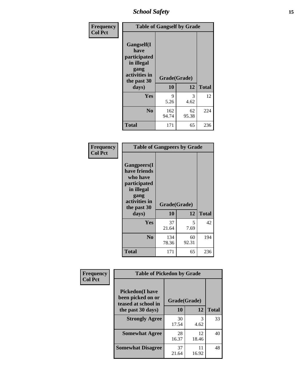*School Safety* **15**

| Frequency      | <b>Table of Gangself by Grade</b>                                                                 |                    |             |              |
|----------------|---------------------------------------------------------------------------------------------------|--------------------|-------------|--------------|
| <b>Col Pct</b> | Gangself(I<br>have<br>participated<br>in illegal<br>gang<br>activities in<br>the past 30<br>days) | Grade(Grade)<br>10 | 12          | <b>Total</b> |
|                | Yes                                                                                               | 9<br>5.26          | 3<br>4.62   | 12           |
|                | N <sub>0</sub>                                                                                    | 162<br>94.74       | 62<br>95.38 | 224          |
|                | <b>Total</b>                                                                                      | 171                | 65          | 236          |

| Frequency<br><b>Col Pct</b> | <b>Table of Gangpeers by Grade</b>                                                                                             |                    |             |              |
|-----------------------------|--------------------------------------------------------------------------------------------------------------------------------|--------------------|-------------|--------------|
|                             | <b>Gangpeers</b> (I<br>have friends<br>who have<br>participated<br>in illegal<br>gang<br>activities in<br>the past 30<br>days) | Grade(Grade)<br>10 | 12          | <b>Total</b> |
|                             | <b>Yes</b>                                                                                                                     | 37<br>21.64        | 5<br>7.69   | 42           |
|                             | N <sub>0</sub>                                                                                                                 | 134<br>78.36       | 60<br>92.31 | 194          |
|                             | <b>Total</b>                                                                                                                   | 171                | 65          | 236          |

| Frequency      | <b>Table of Pickedon by Grade</b>                                  |              |             |              |  |  |  |  |  |  |
|----------------|--------------------------------------------------------------------|--------------|-------------|--------------|--|--|--|--|--|--|
| <b>Col Pct</b> | <b>Pickedon(I have</b><br>been picked on or<br>teased at school in | Grade(Grade) |             |              |  |  |  |  |  |  |
|                | the past 30 days)                                                  | 10           | 12          | <b>Total</b> |  |  |  |  |  |  |
|                | <b>Strongly Agree</b>                                              | 30<br>17.54  | 3<br>4.62   | 33           |  |  |  |  |  |  |
|                | <b>Somewhat Agree</b>                                              | 28<br>16.37  | 12<br>18.46 | 40           |  |  |  |  |  |  |
|                | <b>Somewhat Disagree</b>                                           | 37<br>21.64  | 11<br>16.92 | 48           |  |  |  |  |  |  |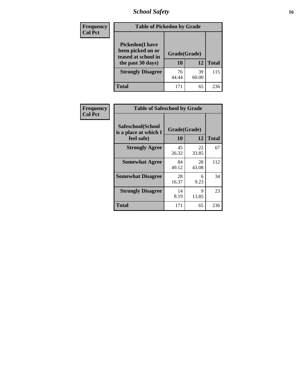*School Safety* **16**

| <b>Frequency</b> |                                                                                          | <b>Table of Pickedon by Grade</b> |              |     |  |  |  |  |  |  |  |
|------------------|------------------------------------------------------------------------------------------|-----------------------------------|--------------|-----|--|--|--|--|--|--|--|
| <b>Col Pct</b>   | <b>Pickedon</b> (I have<br>been picked on or<br>teased at school in<br>the past 30 days) | Grade(Grade)<br>10                | <b>Total</b> |     |  |  |  |  |  |  |  |
|                  | <b>Strongly Disagree</b>                                                                 | 76<br>44.44                       | 39<br>60.00  | 115 |  |  |  |  |  |  |  |
|                  | Total                                                                                    | 171                               | 65           | 236 |  |  |  |  |  |  |  |

| <b>Frequency</b> | <b>Table of Safeschool by Grade</b>        |              |             |              |
|------------------|--------------------------------------------|--------------|-------------|--------------|
| <b>Col Pct</b>   | Safeschool(School<br>is a place at which I | Grade(Grade) |             |              |
|                  | feel safe)                                 | 10           | 12          | <b>Total</b> |
|                  | <b>Strongly Agree</b>                      | 45<br>26.32  | 22<br>33.85 | 67           |
|                  | <b>Somewhat Agree</b>                      | 84<br>49.12  | 28<br>43.08 | 112          |
|                  | <b>Somewhat Disagree</b>                   | 28<br>16.37  | 6<br>9.23   | 34           |
|                  | <b>Strongly Disagree</b>                   | 14<br>8.19   | 9<br>13.85  | 23           |
|                  | <b>Total</b>                               | 171          | 65          | 236          |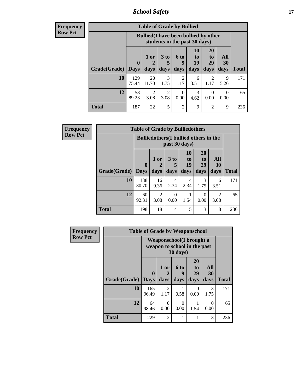*School Safety* **17**

| <b>Frequency</b><br>Row Pct |
|-----------------------------|
|                             |

| <b>Table of Grade by Bullied</b> |              |                                                                               |                              |                        |                        |                               |                          |              |  |  |  |
|----------------------------------|--------------|-------------------------------------------------------------------------------|------------------------------|------------------------|------------------------|-------------------------------|--------------------------|--------------|--|--|--|
|                                  |              | <b>Bullied</b> (I have been bullied by other<br>students in the past 30 days) |                              |                        |                        |                               |                          |              |  |  |  |
| Grade(Grade)   Days              | $\mathbf{0}$ | 1 or<br>days                                                                  | 3 <sub>to</sub><br>5<br>days | 6 to<br>9<br>days      | 10<br>to<br>19<br>days | <b>20</b><br>to<br>29<br>days | All<br><b>30</b><br>days | <b>Total</b> |  |  |  |
| 10                               | 129<br>75.44 | 20<br>11.70                                                                   | 3<br>1.75                    | $\mathfrak{D}$<br>1.17 | 6<br>3.51              | 2<br>1.17                     | 9<br>5.26                | 171          |  |  |  |
| 12                               | 58<br>89.23  | $\overline{2}$<br>3.08                                                        | $\overline{c}$<br>3.08       | 0<br>0.00              | 3<br>4.62              | $\Omega$<br>0.00              | $\Omega$<br>0.00         | 65           |  |  |  |
| <b>Total</b>                     | 187          | 22                                                                            | 5                            | $\mathfrak{D}$         | 9                      | $\mathfrak{D}$                | 9                        | 236          |  |  |  |

| <b>Frequency</b> |                           | <b>Table of Grade by Bulliedothers</b> |                                                                |                   |                               |                                           |                        |              |  |  |  |  |
|------------------|---------------------------|----------------------------------------|----------------------------------------------------------------|-------------------|-------------------------------|-------------------------------------------|------------------------|--------------|--|--|--|--|
| <b>Row Pct</b>   |                           |                                        | <b>Bulliedothers</b> (I bullied others in the<br>past 30 days) |                   |                               |                                           |                        |              |  |  |  |  |
|                  | <b>Grade</b> (Grade) Days | $\bf{0}$                               | 1 or<br>days                                                   | 3 to<br>5<br>days | <b>10</b><br>to<br>19<br>days | <b>20</b><br>t <sub>0</sub><br>29<br>days | All<br>30<br>days      | <b>Total</b> |  |  |  |  |
|                  | 10                        | 138<br>80.70                           | 16<br>9.36                                                     | 4<br>2.34         | 4<br>2.34                     | 3<br>1.75                                 | 6<br>3.51              | 171          |  |  |  |  |
|                  | 12                        | 60<br>92.31                            | $\overline{2}$<br>3.08                                         | 0<br>0.00         | 1.54                          | 0<br>0.00                                 | $\overline{2}$<br>3.08 | 65           |  |  |  |  |
|                  | <b>Total</b>              | 198                                    | 18                                                             | 4                 | 5                             | 3                                         | 8                      | 236          |  |  |  |  |

| <b>Frequency</b> |              | <b>Table of Grade by Weaponschool</b>                     |                   |                   |                        |                          |              |
|------------------|--------------|-----------------------------------------------------------|-------------------|-------------------|------------------------|--------------------------|--------------|
| <b>Row Pct</b>   |              | Weaponschool (I brought a<br>weapon to school in the past |                   |                   |                        |                          |              |
|                  | Grade(Grade) | $\mathbf{0}$<br><b>Days</b>                               | 1 or<br>2<br>days | 6 to<br>9<br>days | 20<br>to<br>29<br>days | All<br><b>30</b><br>days | <b>Total</b> |
|                  | 10           | 165<br>96.49                                              | 2<br>1.17         | 0.58              | $\Omega$<br>0.00       | 3<br>1.75                | 171          |
|                  | 12           | 64<br>98.46                                               | 0<br>0.00         | $\Omega$<br>0.00  | 1.54                   | 0<br>0.00                | 65           |
|                  | <b>Total</b> | 229                                                       | $\mathfrak{D}$    |                   |                        | 3                        | 236          |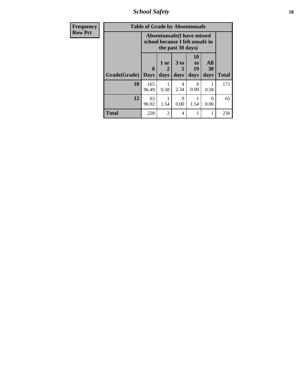*School Safety* **18**

| <b>Frequency</b> |              | <b>Table of Grade by Absentunsafe</b>                                |                   |                   |                               |                   |              |
|------------------|--------------|----------------------------------------------------------------------|-------------------|-------------------|-------------------------------|-------------------|--------------|
| <b>Row Pct</b>   |              | <b>Absentunsafe(I have missed</b><br>school because I felt unsafe in |                   |                   |                               |                   |              |
|                  | Grade(Grade) | 0<br><b>Days</b>                                                     | 1 or<br>2<br>days | 3 to<br>5<br>days | <b>10</b><br>to<br>19<br>days | All<br>30<br>days | <b>Total</b> |
|                  | 10           | 165<br>96.49                                                         | 0.58              | 4<br>2.34         | 0.00                          | 0.58              | 171          |
|                  | 12           | 63<br>96.92                                                          | 1.54              | ∩<br>0.00         | 1.54                          | 0<br>0.00         | 65           |
|                  | <b>Total</b> | 228                                                                  | $\overline{2}$    | $\overline{4}$    |                               |                   | 236          |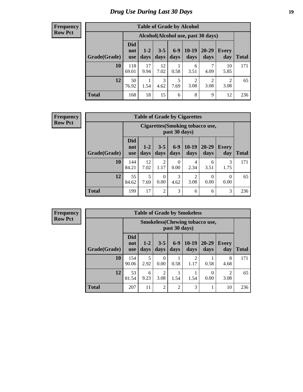### *Drug Use During Last 30 Days* **19**

#### **Frequency Row Pct**

| <b>Table of Grade by Alcohol</b> |                                 |                                    |                 |               |                        |                        |                        |              |  |  |  |
|----------------------------------|---------------------------------|------------------------------------|-----------------|---------------|------------------------|------------------------|------------------------|--------------|--|--|--|
|                                  |                                 | Alcohol(Alcohol use, past 30 days) |                 |               |                        |                        |                        |              |  |  |  |
| Grade(Grade)                     | <b>Did</b><br>not<br><b>use</b> | $1-2$<br>days                      | $3 - 5$<br>days | $6-9$<br>days | $10-19$<br>days        | 20-29<br>days          | Every<br>day           | <b>Total</b> |  |  |  |
| 10                               | 118<br>69.01                    | 17<br>9.94                         | 12<br>7.02      | 0.58          | 6<br>3.51              | 4.09                   | 10<br>5.85             | 171          |  |  |  |
| 12                               | 50<br>76.92                     | 1.54                               | 3<br>4.62       | 5<br>7.69     | $\overline{c}$<br>3.08 | $\overline{2}$<br>3.08 | $\overline{2}$<br>3.08 | 65           |  |  |  |
| <b>Total</b>                     | 168                             | 18                                 | 15              | 6             | 8                      | 9                      | 12                     | 236          |  |  |  |

#### **Frequency Row Pct**

| <b>Table of Grade by Cigarettes</b> |                                 |                                                   |                  |               |                        |               |              |              |  |  |
|-------------------------------------|---------------------------------|---------------------------------------------------|------------------|---------------|------------------------|---------------|--------------|--------------|--|--|
|                                     |                                 | Cigarettes (Smoking tobacco use,<br>past 30 days) |                  |               |                        |               |              |              |  |  |
| Grade(Grade)                        | <b>Did</b><br>not<br><b>use</b> | $1 - 2$<br>days                                   | $3 - 5$<br>days  | $6-9$<br>days | $10-19$<br>days        | 20-29<br>days | Every<br>day | <b>Total</b> |  |  |
| 10                                  | 144<br>84.21                    | 12<br>7.02                                        | 2<br>1.17        | 0<br>0.00     | 4<br>2.34              | 6<br>3.51     | 3<br>1.75    | 171          |  |  |
| 12                                  | 55<br>84.62                     | 5<br>7.69                                         | $\Omega$<br>0.00 | 3<br>4.62     | $\overline{2}$<br>3.08 | 0<br>0.00     | 0<br>0.00    | 65           |  |  |
| <b>Total</b>                        | 199                             | 17                                                | $\overline{2}$   | 3             | 6                      | 6             | 3            | 236          |  |  |

**Frequency Row Pct**

| <b>Table of Grade by Smokeless</b> |                                 |                                                         |                 |                |                 |                   |                                     |              |  |  |
|------------------------------------|---------------------------------|---------------------------------------------------------|-----------------|----------------|-----------------|-------------------|-------------------------------------|--------------|--|--|
|                                    |                                 | <b>Smokeless</b> (Chewing tobacco use,<br>past 30 days) |                 |                |                 |                   |                                     |              |  |  |
| Grade(Grade)                       | <b>Did</b><br>not<br><b>use</b> | $1-2$<br>days                                           | $3 - 5$<br>days | $6-9$<br>days  | $10-19$<br>days | $20 - 29$<br>days | <b>Every</b><br>day                 | <b>Total</b> |  |  |
| 10                                 | 154<br>90.06                    | 2.92                                                    | 0<br>0.00       | 0.58           | 2<br>1.17       | 0.58              | 8<br>4.68                           | 171          |  |  |
| 12                                 | 53<br>81.54                     | 6<br>9.23                                               | 2<br>3.08       | 1.54           | 1.54            | 0.00              | $\mathcal{D}_{\mathcal{A}}$<br>3.08 | 65           |  |  |
| <b>Total</b>                       | 207                             | 11                                                      | $\overline{2}$  | $\overline{2}$ | 3               |                   | 10                                  | 236          |  |  |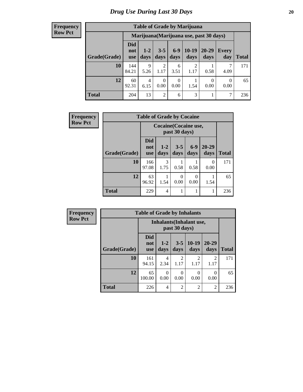#### **Frequency Row Pct**

| <b>Table of Grade by Marijuana</b> |                          |                                         |                        |                 |                 |               |              |       |  |  |  |
|------------------------------------|--------------------------|-----------------------------------------|------------------------|-----------------|-----------------|---------------|--------------|-------|--|--|--|
|                                    |                          | Marijuana (Marijuana use, past 30 days) |                        |                 |                 |               |              |       |  |  |  |
| Grade(Grade)                       | Did<br>not<br><b>use</b> | $1 - 2$<br>days                         | $3 - 5$<br>days        | $6 - 9$<br>days | $10-19$<br>days | 20-29<br>days | Every<br>day | Total |  |  |  |
| 10                                 | 144<br>84.21             | $\mathbf Q$<br>5.26                     | $\mathfrak{D}$<br>1.17 | 6<br>3.51       | 2<br>1.17       | 0.58          | 4.09         | 171   |  |  |  |
| 12                                 | 60<br>92.31              | 4<br>6.15                               | 0<br>0.00              | 0<br>0.00       | 1.54            | 0.00          | 0<br>0.00    | 65    |  |  |  |
| <b>Total</b>                       | 204                      | 13                                      | $\overline{2}$         | 6               | 3               |               | 7            | 236   |  |  |  |

| <b>Frequency</b> | <b>Table of Grade by Cocaine</b> |                                 |                       |                 |               |                   |              |
|------------------|----------------------------------|---------------------------------|-----------------------|-----------------|---------------|-------------------|--------------|
| <b>Row Pct</b>   |                                  |                                 | Cocaine (Cocaine use, | past 30 days)   |               |                   |              |
|                  | Grade(Grade)                     | <b>Did</b><br>not<br><b>use</b> | $1 - 2$<br>days       | $3 - 5$<br>days | $6-9$<br>days | $20 - 29$<br>days | <b>Total</b> |
|                  | 10                               | 166<br>97.08                    | 3<br>1.75             | 0.58            | 0.58          | $\Omega$<br>0.00  | 171          |
|                  | 12                               | 63<br>96.92                     | 1.54                  | 0<br>0.00       | 0<br>0.00     | 1.54              | 65           |
|                  | <b>Total</b>                     | 229                             | 4                     |                 |               |                   | 236          |

| Frequency      |              | <b>Table of Grade by Inhalants</b> |                  |                        |                                 |                   |              |
|----------------|--------------|------------------------------------|------------------|------------------------|---------------------------------|-------------------|--------------|
| <b>Row Pct</b> |              |                                    |                  | past 30 days)          | <b>Inhalants</b> (Inhalant use, |                   |              |
|                | Grade(Grade) | <b>Did</b><br>not<br><b>use</b>    | $1-2$<br>days    | $3 - 5$<br>days        | $10-19$<br>days                 | $20 - 29$<br>days | <b>Total</b> |
|                | 10           | 161<br>94.15                       | 4<br>2.34        | $\overline{c}$<br>1.17 | 2<br>1.17                       | 2<br>1.17         | 171          |
|                | 12           | 65<br>100.00                       | $\Omega$<br>0.00 | $\Omega$<br>0.00       | 0<br>0.00                       | 0<br>0.00         | 65           |
|                | <b>Total</b> | 226                                | $\overline{4}$   | $\overline{c}$         | $\overline{2}$                  | $\overline{2}$    | 236          |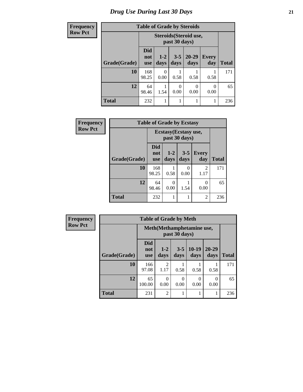### *Drug Use During Last 30 Days* **21**

| Frequency      | <b>Table of Grade by Steroids</b><br>Steroids (Steroid use,<br>past 30 days) |                                 |                  |                 |                   |                     |              |
|----------------|------------------------------------------------------------------------------|---------------------------------|------------------|-----------------|-------------------|---------------------|--------------|
| <b>Row Pct</b> |                                                                              |                                 |                  |                 |                   |                     |              |
|                | Grade(Grade)                                                                 | <b>Did</b><br>not<br><b>use</b> | $1-2$<br>days    | $3 - 5$<br>days | $20 - 29$<br>days | <b>Every</b><br>day | <b>Total</b> |
|                | 10                                                                           | 168<br>98.25                    | $\Omega$<br>0.00 | 0.58            | 0.58              | 0.58                | 171          |
|                | 12                                                                           | 64<br>98.46                     | 1.54             | 0<br>0.00       | 0<br>0.00         | 0<br>0.00           | 65           |
|                | <b>Total</b>                                                                 | 232                             |                  | 1               |                   |                     | 236          |

| Frequency      | <b>Table of Grade by Ecstasy</b> |                                        |               |                           |                        |              |  |  |
|----------------|----------------------------------|----------------------------------------|---------------|---------------------------|------------------------|--------------|--|--|
| <b>Row Pct</b> |                                  | Ecstasy (Ecstasy use,<br>past 30 days) |               |                           |                        |              |  |  |
|                | Grade(Grade)                     | <b>Did</b><br>not<br><b>use</b>        | $1-2$<br>days | $3 - 5$<br>days           | <b>Every</b><br>day    | <b>Total</b> |  |  |
|                | 10                               | 168<br>98.25                           | 0.58          | $\mathbf{\Omega}$<br>0.00 | $\overline{c}$<br>1.17 | 171          |  |  |
|                | 12                               | 64<br>98.46                            | 0<br>0.00     | 1.54                      | 0<br>0.00              | 65           |  |  |
|                | <b>Total</b>                     | 232                                    |               |                           | $\overline{c}$         | 236          |  |  |

| Frequency      |              | <b>Table of Grade by Meth</b>   |                                             |                  |                 |                   |              |  |
|----------------|--------------|---------------------------------|---------------------------------------------|------------------|-----------------|-------------------|--------------|--|
| <b>Row Pct</b> |              |                                 | Meth (Methamphetamine use,<br>past 30 days) |                  |                 |                   |              |  |
|                | Grade(Grade) | <b>Did</b><br>not<br><b>use</b> | $1-2$<br>days                               | $3 - 5$<br>days  | $10-19$<br>days | $20 - 29$<br>days | <b>Total</b> |  |
|                | 10           | 166<br>97.08                    | 2<br>1.17                                   | 0.58             | 0.58            | 0.58              | 171          |  |
|                | 12           | 65<br>100.00                    | 0<br>0.00                                   | $\Omega$<br>0.00 | 0<br>0.00       | 0<br>0.00         | 65           |  |
|                | <b>Total</b> | 231                             | $\overline{2}$                              |                  | 1               |                   | 236          |  |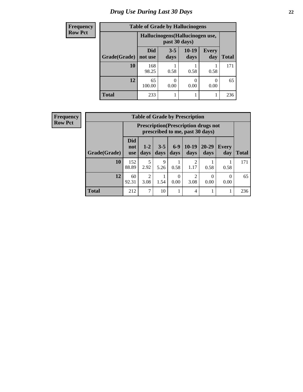### *Drug Use During Last 30 Days* **22**

| <b>Frequency</b> | <b>Table of Grade by Hallucinogens</b> |                       |                                                   |                 |                     |              |  |  |
|------------------|----------------------------------------|-----------------------|---------------------------------------------------|-----------------|---------------------|--------------|--|--|
| <b>Row Pct</b>   |                                        |                       | Hallucinogens (Hallucinogen use,<br>past 30 days) |                 |                     |              |  |  |
|                  | Grade(Grade)                           | <b>Did</b><br>not use | $3 - 5$<br>days                                   | $10-19$<br>days | <b>Every</b><br>day | <b>Total</b> |  |  |
|                  | 10                                     | 168<br>98.25          | 0.58                                              | 0.58            | 0.58                | 171          |  |  |
|                  | 12                                     | 65<br>100.00          | 0.00                                              | 0<br>0.00       | 0.00                | 65           |  |  |
|                  | <b>Total</b>                           | 233                   |                                                   |                 |                     | 236          |  |  |

| <b>Frequency</b> |
|------------------|
| <b>Row Pct</b>   |

| <b>Table of Grade by Prescription</b> |                                 |                                                                                                                                      |           |      |                        |      |      |     |  |
|---------------------------------------|---------------------------------|--------------------------------------------------------------------------------------------------------------------------------------|-----------|------|------------------------|------|------|-----|--|
|                                       |                                 | <b>Prescription</b> (Prescription drugs not<br>prescribed to me, past 30 days)                                                       |           |      |                        |      |      |     |  |
| Grade(Grade)                          | <b>Did</b><br>not<br><b>use</b> | $6 - 9$<br>$10-19$<br>$20 - 29$<br>$3 - 5$<br>$1 - 2$<br><b>Every</b><br>days<br>days<br><b>Total</b><br>days<br>days<br>day<br>days |           |      |                        |      |      |     |  |
| 10                                    | 152<br>88.89                    | 5<br>2.92                                                                                                                            | 9<br>5.26 | 0.58 | $\mathfrak{D}$<br>1.17 | 0.58 | 0.58 | 171 |  |
| 12                                    | 60<br>92.31                     | $\mathfrak{D}$<br>2<br>$\theta$<br>0<br>1.54<br>3.08<br>0.00<br>3.08<br>0.00<br>0.00                                                 |           |      |                        |      |      |     |  |
| <b>Total</b>                          | 212                             | 7                                                                                                                                    | 10        |      | 4                      |      |      | 236 |  |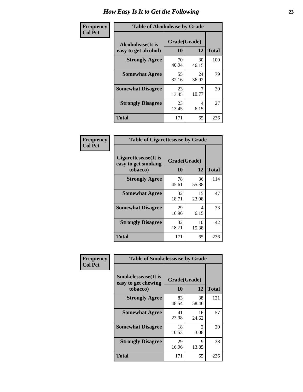| Frequency      | <b>Table of Alcoholease by Grade</b>              |                    |             |              |  |  |
|----------------|---------------------------------------------------|--------------------|-------------|--------------|--|--|
| <b>Col Pct</b> | <b>Alcoholease</b> (It is<br>easy to get alcohol) | Grade(Grade)<br>10 | 12          | <b>Total</b> |  |  |
|                | <b>Strongly Agree</b>                             | 70<br>40.94        | 30<br>46.15 | 100          |  |  |
|                | <b>Somewhat Agree</b>                             | 55<br>32.16        | 24<br>36.92 | 79           |  |  |
|                | <b>Somewhat Disagree</b>                          | 23<br>13.45        | 10.77       | 30           |  |  |
|                | <b>Strongly Disagree</b>                          | 23<br>13.45        | 4<br>6.15   | 27           |  |  |
|                | <b>Total</b>                                      | 171                | 65          | 236          |  |  |

| Frequency      | <b>Table of Cigarettesease by Grade</b>                  |                    |             |              |  |
|----------------|----------------------------------------------------------|--------------------|-------------|--------------|--|
| <b>Col Pct</b> | Cigarettesease (It is<br>easy to get smoking<br>tobacco) | Grade(Grade)<br>10 | 12          | <b>Total</b> |  |
|                | <b>Strongly Agree</b>                                    | 78<br>45.61        | 36<br>55.38 | 114          |  |
|                | <b>Somewhat Agree</b>                                    | 32<br>18.71        | 15<br>23.08 | 47           |  |
|                | <b>Somewhat Disagree</b>                                 | 29<br>16.96        | 4<br>6.15   | 33           |  |
|                | <b>Strongly Disagree</b>                                 | 32<br>18.71        | 10<br>15.38 | 42           |  |
|                | <b>Total</b>                                             | 171                | 65          | 236          |  |

| Frequency      | <b>Table of Smokelessease by Grade</b>                         |                    |                        |              |
|----------------|----------------------------------------------------------------|--------------------|------------------------|--------------|
| <b>Col Pct</b> | <b>Smokelessease</b> (It is<br>easy to get chewing<br>tobacco) | Grade(Grade)<br>10 | 12                     | <b>Total</b> |
|                | <b>Strongly Agree</b>                                          | 83<br>48.54        | 38<br>58.46            | 121          |
|                | <b>Somewhat Agree</b>                                          | 41<br>23.98        | 16<br>24.62            | 57           |
|                | <b>Somewhat Disagree</b>                                       | 18<br>10.53        | $\mathfrak{D}$<br>3.08 | 20           |
|                | <b>Strongly Disagree</b>                                       | 29<br>16.96        | 9<br>13.85             | 38           |
|                | <b>Total</b>                                                   | 171                | 65                     | 236          |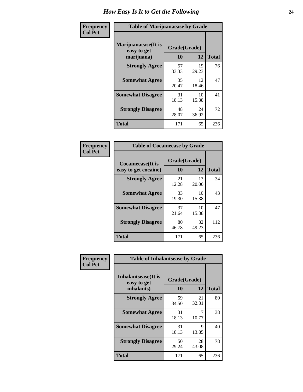| Frequency      | <b>Table of Marijuanaease by Grade</b>           |                           |             |              |  |
|----------------|--------------------------------------------------|---------------------------|-------------|--------------|--|
| <b>Col Pct</b> | Marijuanaease(It is<br>easy to get<br>marijuana) | Grade(Grade)<br><b>10</b> | 12          | <b>Total</b> |  |
|                | <b>Strongly Agree</b>                            | 57<br>33.33               | 19<br>29.23 | 76           |  |
|                | <b>Somewhat Agree</b>                            | 35<br>20.47               | 12<br>18.46 | 47           |  |
|                | <b>Somewhat Disagree</b>                         | 31<br>18.13               | 10<br>15.38 | 41           |  |
|                | <b>Strongly Disagree</b>                         | 48<br>28.07               | 24<br>36.92 | 72           |  |
|                | <b>Total</b>                                     | 171                       | 65          | 236          |  |

| <b>Table of Cocaineease by Grade</b>              |             |                    |     |  |  |  |  |  |  |  |  |
|---------------------------------------------------|-------------|--------------------|-----|--|--|--|--|--|--|--|--|
| <b>Cocaineease</b> (It is<br>easy to get cocaine) | 10          | Grade(Grade)<br>12 |     |  |  |  |  |  |  |  |  |
| <b>Strongly Agree</b>                             | 21<br>12.28 | 13<br>20.00        | 34  |  |  |  |  |  |  |  |  |
| <b>Somewhat Agree</b>                             | 33<br>19.30 | 10<br>15.38        | 43  |  |  |  |  |  |  |  |  |
| <b>Somewhat Disagree</b>                          | 37<br>21.64 | 10<br>15.38        | 47  |  |  |  |  |  |  |  |  |
| <b>Strongly Disagree</b>                          | 80<br>46.78 | 32<br>49.23        | 112 |  |  |  |  |  |  |  |  |
| <b>Total</b>                                      | 171         | 65                 | 236 |  |  |  |  |  |  |  |  |

| Frequency      | <b>Table of Inhalantsease by Grade</b>                   |                    |              |     |
|----------------|----------------------------------------------------------|--------------------|--------------|-----|
| <b>Col Pct</b> | <b>Inhalantsease</b> (It is<br>easy to get<br>inhalants) | Grade(Grade)<br>10 | <b>Total</b> |     |
|                | <b>Strongly Agree</b>                                    | 59<br>34.50        | 21<br>32.31  | 80  |
|                | <b>Somewhat Agree</b>                                    | 31<br>18.13        | 10.77        | 38  |
|                | <b>Somewhat Disagree</b>                                 | 31<br>18.13        | 9<br>13.85   | 40  |
|                | <b>Strongly Disagree</b>                                 | 50<br>29.24        | 28<br>43.08  | 78  |
|                | <b>Total</b>                                             | 171                | 65           | 236 |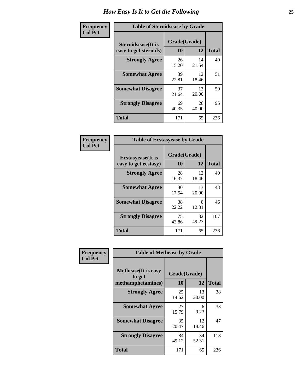| Frequency      | <b>Table of Steroidsease by Grade</b>               |                    |             |              |  |  |  |  |  |  |  |
|----------------|-----------------------------------------------------|--------------------|-------------|--------------|--|--|--|--|--|--|--|
| <b>Col Pct</b> | <b>Steroidsease</b> (It is<br>easy to get steroids) | Grade(Grade)<br>10 | 12          | <b>Total</b> |  |  |  |  |  |  |  |
|                | <b>Strongly Agree</b>                               | 26<br>15.20        | 14<br>21.54 | 40           |  |  |  |  |  |  |  |
|                | <b>Somewhat Agree</b>                               | 39<br>22.81        | 12<br>18.46 | 51           |  |  |  |  |  |  |  |
|                | <b>Somewhat Disagree</b>                            | 37<br>21.64        | 13<br>20.00 | 50           |  |  |  |  |  |  |  |
|                | <b>Strongly Disagree</b>                            | 69<br>40.35        | 26<br>40.00 | 95           |  |  |  |  |  |  |  |
|                | <b>Total</b>                                        | 171                | 65          | 236          |  |  |  |  |  |  |  |

| Frequency      | <b>Table of Ecstasyease by Grade</b>              |                           |             |              |  |  |  |  |  |  |
|----------------|---------------------------------------------------|---------------------------|-------------|--------------|--|--|--|--|--|--|
| <b>Col Pct</b> | <b>Ecstasyease</b> (It is<br>easy to get ecstasy) | Grade(Grade)<br><b>10</b> | 12          | <b>Total</b> |  |  |  |  |  |  |
|                | <b>Strongly Agree</b>                             | 28<br>16.37               | 12<br>18.46 | 40           |  |  |  |  |  |  |
|                | <b>Somewhat Agree</b>                             | 30<br>17.54               | 13<br>20.00 | 43           |  |  |  |  |  |  |
|                | <b>Somewhat Disagree</b>                          | 38<br>22.22               | 8<br>12.31  | 46           |  |  |  |  |  |  |
|                | <b>Strongly Disagree</b>                          | 75<br>43.86               | 32<br>49.23 | 107          |  |  |  |  |  |  |
|                | <b>Total</b>                                      | 171                       | 65          | 236          |  |  |  |  |  |  |

| Frequency      | <b>Table of Methease by Grade</b>                          |                    |             |              |
|----------------|------------------------------------------------------------|--------------------|-------------|--------------|
| <b>Col Pct</b> | <b>Methease</b> (It is easy<br>to get<br>methamphetamines) | Grade(Grade)<br>10 | 12          | <b>Total</b> |
|                | <b>Strongly Agree</b>                                      | 25<br>14.62        | 13<br>20.00 | 38           |
|                | <b>Somewhat Agree</b>                                      | 27<br>15.79        | 6<br>9.23   | 33           |
|                | <b>Somewhat Disagree</b>                                   | 35<br>20.47        | 12<br>18.46 | 47           |
|                | <b>Strongly Disagree</b>                                   | 84<br>49.12        | 34<br>52.31 | 118          |
|                | <b>Total</b>                                               | 171                | 65          | 236          |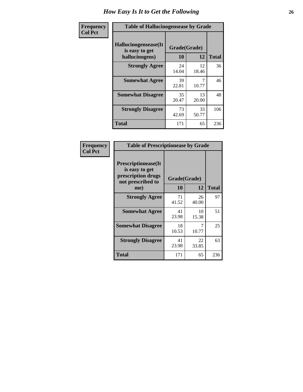| <b>Frequency</b> | <b>Table of Hallucinogensease by Grade</b>               |                    |             |              |
|------------------|----------------------------------------------------------|--------------------|-------------|--------------|
| <b>Col Pct</b>   | Hallucinogensease(It<br>is easy to get<br>hallucinogens) | Grade(Grade)<br>10 | 12          | <b>Total</b> |
|                  | <b>Strongly Agree</b>                                    | 24<br>14.04        | 12<br>18.46 | 36           |
|                  | <b>Somewhat Agree</b>                                    | 39<br>22.81        | 7<br>10.77  | 46           |
|                  | <b>Somewhat Disagree</b>                                 | 35<br>20.47        | 13<br>20.00 | 48           |
|                  | <b>Strongly Disagree</b>                                 | 73<br>42.69        | 33<br>50.77 | 106          |
|                  | <b>Total</b>                                             | 171                | 65          | 236          |

| Frequency<br>  Col Pct |
|------------------------|

| <b>Table of Prescriptionease by Grade</b>                                                |             |              |              |  |  |  |  |  |  |  |
|------------------------------------------------------------------------------------------|-------------|--------------|--------------|--|--|--|--|--|--|--|
| <b>Prescriptionease</b> (It<br>is easy to get<br>prescription drugs<br>not prescribed to |             | Grade(Grade) |              |  |  |  |  |  |  |  |
| me)                                                                                      | 10          | 12           | <b>Total</b> |  |  |  |  |  |  |  |
| <b>Strongly Agree</b>                                                                    | 71<br>41.52 | 26<br>40.00  | 97           |  |  |  |  |  |  |  |
| <b>Somewhat Agree</b>                                                                    | 41<br>23.98 | 10<br>15.38  | 51           |  |  |  |  |  |  |  |
| <b>Somewhat Disagree</b>                                                                 | 18<br>10.53 | 10.77        | 25           |  |  |  |  |  |  |  |
| <b>Strongly Disagree</b>                                                                 | 41<br>23.98 | 22<br>33.85  | 63           |  |  |  |  |  |  |  |
| Total                                                                                    | 171         | 65           | 236          |  |  |  |  |  |  |  |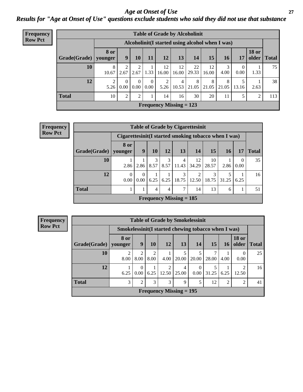#### *Age at Onset of Use* **27** *Results for "Age at Onset of Use" questions exclude students who said they did not use that substance*

| <b>Frequency</b> | <b>Table of Grade by Alcoholinit</b> |                        |                                                  |                  |                  |             |                           |             |             |            |            |                       |              |
|------------------|--------------------------------------|------------------------|--------------------------------------------------|------------------|------------------|-------------|---------------------------|-------------|-------------|------------|------------|-----------------------|--------------|
| <b>Row Pct</b>   |                                      |                        | Alcoholinit (I started using alcohol when I was) |                  |                  |             |                           |             |             |            |            |                       |              |
|                  | Grade(Grade)   younger               | <b>8 or</b>            | 9                                                | 10               | 11               | 12          | 13                        | 14          | 15          | 16         | 17         | <b>18 or</b><br>older | <b>Total</b> |
|                  | 10                                   | 8<br>10.67             | 2.67                                             | ◠<br>2.67        | 1.33             | 12<br>16.00 | 12<br>16.00               | 22<br>29.33 | 12<br>16.00 | 3<br>4.00  | 0<br>0.00  | 1.33                  | 75           |
|                  | 12                                   | $\mathfrak{D}$<br>5.26 | $\Omega$<br>0.00                                 | $\Omega$<br>0.00 | $\theta$<br>0.00 | 2<br>5.26   | 4<br>10.53                | 8<br>21.05  | 8<br>21.05  | 8<br>21.05 | 5<br>13.16 | 2.63                  | 38           |
|                  | <b>Total</b>                         | 10                     | 2                                                | ↑                |                  | 14          | 16                        | 30          | 20          | 11         | 5          | 2                     | 113          |
|                  |                                      |                        |                                                  |                  |                  |             | Frequency Missing $= 123$ |             |             |            |            |                       |              |

| <b>Frequency</b> | <b>Table of Grade by Cigarettesinit</b> |                                                      |              |                |      |                                |                |       |       |          |              |
|------------------|-----------------------------------------|------------------------------------------------------|--------------|----------------|------|--------------------------------|----------------|-------|-------|----------|--------------|
| <b>Row Pct</b>   |                                         | Cigarettesinit(I started smoking tobacco when I was) |              |                |      |                                |                |       |       |          |              |
|                  |                                         | <b>8 or</b>                                          |              |                |      |                                |                |       |       |          |              |
|                  | Grade(Grade)   younger                  |                                                      | 9            | 10             | 12   | 13                             | 14             | 15    | 16    | 17       | <b>Total</b> |
|                  | 10                                      |                                                      |              | 3              | 3    | 4                              | 12             | 10    |       | $\Omega$ | 35           |
|                  |                                         | 2.86                                                 | 2.86         | 8.57           | 8.57 | 11.43                          | 34.29          | 28.57 | 2.86  | 0.00     |              |
|                  | 12                                      | $\theta$                                             | $\mathbf{0}$ |                |      | 3                              | $\mathfrak{D}$ | 3     |       |          | 16           |
|                  |                                         | 0.00                                                 | 0.00         | 6.25           | 6.25 | 18.75                          | 12.50          | 18.75 | 31.25 | 6.25     |              |
|                  | <b>Total</b>                            |                                                      | 1            | $\overline{4}$ | 4    | 7                              | 14             | 13    | 6     |          | 51           |
|                  |                                         |                                                      |              |                |      | <b>Frequency Missing = 185</b> |                |       |       |          |              |

**Frequency Row Pct**

|              | <b>Table of Grade by Smokelessinit</b>               |                  |                        |                         |                           |                  |       |      |                       |              |  |  |  |
|--------------|------------------------------------------------------|------------------|------------------------|-------------------------|---------------------------|------------------|-------|------|-----------------------|--------------|--|--|--|
|              | Smokelessinit (I started chewing tobacco when I was) |                  |                        |                         |                           |                  |       |      |                       |              |  |  |  |
| Grade(Grade) | 8 or<br>younger                                      | 9                | 10                     | 12                      | 13                        | 14               | 15    | 16   | <b>18 or</b><br>older | <b>Total</b> |  |  |  |
| 10           | $\overline{2}$<br>8.00                               | 8.00             | $\overline{2}$<br>8.00 | 4.00                    | 5<br>20.00                | 5<br>20.00       | 28.00 | 4.00 | $\Omega$<br>0.00      | 25           |  |  |  |
| 12           | 6.25                                                 | $\Omega$<br>0.00 | 6.25                   | $\overline{c}$<br>12.50 | 4<br>25.00                | $\Omega$<br>0.00 | 31.25 | 6.25 | 12.50                 | 16           |  |  |  |
| <b>Total</b> | 3                                                    | $\mathfrak{D}$   | 3                      | 3                       | 9                         | 5                | 12    | 2    | 2                     | 41           |  |  |  |
|              |                                                      |                  |                        |                         | Frequency Missing $= 195$ |                  |       |      |                       |              |  |  |  |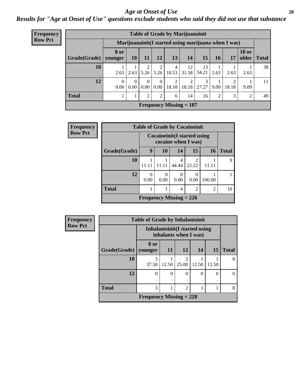#### *Age at Onset of Use* **28**

*Results for "Age at Onset of Use" questions exclude students who said they did not use that substance*

| Frequency      | <b>Table of Grade by Marijuanainit</b> |                  |           |           |               |                         |                                                      |             |      |       |                       |              |  |
|----------------|----------------------------------------|------------------|-----------|-----------|---------------|-------------------------|------------------------------------------------------|-------------|------|-------|-----------------------|--------------|--|
| <b>Row Pct</b> |                                        |                  |           |           |               |                         | Marijuanainit (I started using marijuana when I was) |             |      |       |                       |              |  |
|                | Grade(Grade)                           | 8 or<br>younger  | <b>10</b> | 11        | <b>12</b>     | 13                      | 14                                                   | 15          | 16   | 17    | <b>18 or</b><br>older | <b>Total</b> |  |
|                | 10                                     | 2.63             | 2.63      | 2<br>5.26 | 2<br>5.26     | $\overline{4}$<br>10.53 | 12<br>31.58                                          | 13<br>34.21 | 2.63 | 2.63  | 2.63                  | 38           |  |
|                | 12                                     | $\theta$<br>0.00 | 0<br>0.00 | 0<br>0.00 | 0<br>$0.00\,$ | 2<br>18.18              | 18.18                                                | 3<br>27.27  | 9.09 | 18.18 | 9.09                  | 11           |  |
|                | <b>Total</b>                           |                  |           | 2         | 2             | 6                       | 14                                                   | 16          | 2    | 3     | 2                     | 49           |  |
|                |                                        |                  |           |           |               |                         | Frequency Missing $= 187$                            |             |      |       |                       |              |  |

| <b>Frequency</b> |                                                            |       |                                |            | <b>Table of Grade by Cocaineinit</b> |           |              |
|------------------|------------------------------------------------------------|-------|--------------------------------|------------|--------------------------------------|-----------|--------------|
| <b>Row Pct</b>   | <b>Cocaineinit</b> (I started using<br>cocaine when I was) |       |                                |            |                                      |           |              |
|                  | Grade(Grade)                                               | 9     | 10                             | 14         | 15                                   | <b>16</b> | <b>Total</b> |
|                  | 10                                                         | 11 11 |                                | 4<br>44.44 | $\mathcal{D}$<br>22.22               |           | 9            |
|                  | 12                                                         | 0.00  | 0.00                           | 0.00       | 0.00                                 | 100.00    |              |
|                  | <b>Total</b>                                               |       | 2                              | 10         |                                      |           |              |
|                  |                                                            |       | <b>Frequency Missing = 226</b> |            |                                      |           |              |

| <b>Frequency</b> | <b>Table of Grade by Inhalantsinit</b> |                                                         |           |                         |       |           |              |
|------------------|----------------------------------------|---------------------------------------------------------|-----------|-------------------------|-------|-----------|--------------|
| <b>Row Pct</b>   |                                        | Inhalantsinit (I started using<br>inhalants when I was) |           |                         |       |           |              |
|                  | Grade(Grade)                           | 8 or<br>vounger                                         | <b>11</b> | <b>12</b>               | 14    | <b>15</b> | <b>Total</b> |
|                  | <b>10</b>                              | 3<br>37.50                                              | 12.50     | $\overline{2}$<br>25.00 | 12.50 | 12.50     | 8            |
|                  | 12                                     | $\Omega$                                                | $\Omega$  | $\theta$                | 0     | $\Omega$  |              |
|                  | <b>Total</b>                           | 3                                                       | 8         |                         |       |           |              |
|                  |                                        | Frequency Missing $= 228$                               |           |                         |       |           |              |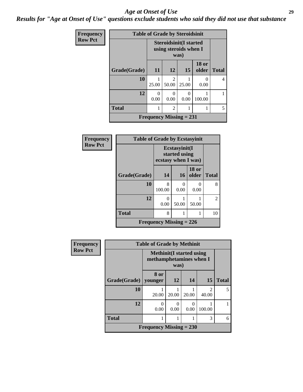#### *Age at Onset of Use* **29**

*Results for "Age at Onset of Use" questions exclude students who said they did not use that substance*

| Frequency      | <b>Table of Grade by Steroidsinit</b> |                                |                                                                |           |                       |              |  |  |  |
|----------------|---------------------------------------|--------------------------------|----------------------------------------------------------------|-----------|-----------------------|--------------|--|--|--|
| <b>Row Pct</b> |                                       |                                | <b>Steroidsinit(I started</b><br>using steroids when I<br>was) |           |                       |              |  |  |  |
|                | Grade(Grade)                          | 11                             | 12                                                             | 15        | <b>18 or</b><br>older | <b>Total</b> |  |  |  |
|                | 10                                    | 25.00                          | 2<br>50.00                                                     | 25.00     | 0<br>0.00             | 4            |  |  |  |
|                | 12                                    | $\Omega$<br>0.00               | 0<br>0.00                                                      | 0<br>0.00 | 100.00                |              |  |  |  |
|                | <b>Total</b>                          | 1                              | 2                                                              |           |                       | 5            |  |  |  |
|                |                                       | <b>Frequency Missing = 231</b> |                                                                |           |                       |              |  |  |  |

| Frequency      | <b>Table of Grade by Ecstasyinit</b> |                                                       |                       |                       |                |
|----------------|--------------------------------------|-------------------------------------------------------|-----------------------|-----------------------|----------------|
| <b>Row Pct</b> |                                      | Ecstasyinit(I<br>started using<br>ecstasy when I was) |                       |                       |                |
|                | Grade(Grade)                         | 14                                                    | <b>16</b>             | <b>18 or</b><br>older | <b>Total</b>   |
|                | 10                                   | 8<br>100.00                                           | $\mathcal{O}$<br>0.00 | 0<br>0.00             | 8              |
|                | 12                                   | 0<br>0.00                                             | 50.00                 | 50.00                 | $\overline{2}$ |
|                | <b>Total</b>                         | 8                                                     |                       |                       | 10             |
|                |                                      | <b>Frequency Missing = 226</b>                        |                       |                       |                |

| <b>Frequency</b> | <b>Table of Grade by Methinit</b>                                   |                           |           |           |                         |              |  |
|------------------|---------------------------------------------------------------------|---------------------------|-----------|-----------|-------------------------|--------------|--|
| <b>Row Pct</b>   | <b>Methinit</b> (I started using<br>methamphetamines when I<br>was) |                           |           |           |                         |              |  |
|                  | Grade(Grade)   younger                                              | 8 or                      | 12        | 14        | 15                      | <b>Total</b> |  |
|                  | 10                                                                  | 20.00                     | 20.00     | 20.00     | $\mathfrak{D}$<br>40.00 | 5            |  |
|                  | 12                                                                  | 0<br>0.00                 | 0<br>0.00 | 0<br>0.00 | 100.00                  |              |  |
|                  | <b>Total</b>                                                        | 1                         |           |           | 3                       | 6            |  |
|                  |                                                                     | Frequency Missing $= 230$ |           |           |                         |              |  |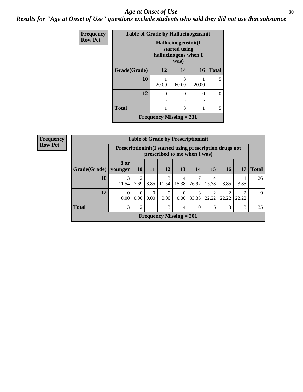#### Age at Onset of Use **30**

*Results for "Age at Onset of Use" questions exclude students who said they did not use that substance*

| <b>Frequency</b> | <b>Table of Grade by Hallucinogensinit</b> |       |                                                                      |          |              |  |  |  |  |
|------------------|--------------------------------------------|-------|----------------------------------------------------------------------|----------|--------------|--|--|--|--|
| <b>Row Pct</b>   |                                            |       | Hallucinogensinit(I<br>started using<br>hallucinogens when I<br>was) |          |              |  |  |  |  |
|                  | Grade(Grade)                               | 12    | 14                                                                   | 16       | <b>Total</b> |  |  |  |  |
|                  | 10                                         | 20.00 | 3<br>60.00                                                           | 20.00    | 5            |  |  |  |  |
|                  | 12                                         | 0     | $\Omega$                                                             | $\Omega$ | $\Omega$     |  |  |  |  |
|                  | <b>Total</b>                               |       | 3                                                                    |          | 5            |  |  |  |  |
|                  | Frequency Missing $= 231$                  |       |                                                                      |          |              |  |  |  |  |

| Frequency      | <b>Table of Grade by Prescriptioninit</b>             |                  |                                                                                            |                  |                  |                                |            |       |            |       |              |
|----------------|-------------------------------------------------------|------------------|--------------------------------------------------------------------------------------------|------------------|------------------|--------------------------------|------------|-------|------------|-------|--------------|
| <b>Row Pct</b> |                                                       |                  | Prescription in it (I started using prescription drugs not<br>prescribed to me when I was) |                  |                  |                                |            |       |            |       |              |
|                | Grade(Grade)                                          | 8 or<br>younger  | <b>10</b>                                                                                  | <b>11</b>        | <b>12</b>        | 13                             | <b>14</b>  | 15    | <b>16</b>  | 17    | <b>Total</b> |
|                | 10                                                    | 3<br>11.54       | $\mathfrak{D}$<br>7.69                                                                     | 3.85             | 3<br>11.54       | 4<br>15.38                     | 7<br>26.92 | 15.38 | 3.85       | 3.85  | 26           |
|                | 12                                                    | $\Omega$<br>0.00 | $\Omega$<br>0.00                                                                           | $\Omega$<br>0.00 | $\theta$<br>0.00 | $\Omega$<br>0.00               | 3<br>33.33 | 22.22 | 2<br>22.22 | 22.22 | $\mathbf Q$  |
|                | <b>Total</b><br>3<br>3<br>3<br>3<br>2<br>10<br>4<br>6 |                  |                                                                                            |                  |                  |                                |            | 35    |            |       |              |
|                |                                                       |                  |                                                                                            |                  |                  | <b>Frequency Missing = 201</b> |            |       |            |       |              |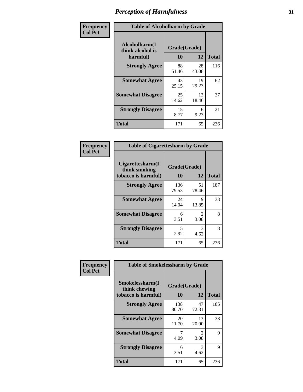| Frequency      | <b>Table of Alcoholharm by Grade</b>          |                    |             |              |  |  |
|----------------|-----------------------------------------------|--------------------|-------------|--------------|--|--|
| <b>Col Pct</b> | Alcoholharm(I<br>think alcohol is<br>harmful) | Grade(Grade)<br>10 | 12          | <b>Total</b> |  |  |
|                | <b>Strongly Agree</b>                         | 88<br>51.46        | 28<br>43.08 | 116          |  |  |
|                | <b>Somewhat Agree</b>                         | 43<br>25.15        | 19<br>29.23 | 62           |  |  |
|                | <b>Somewhat Disagree</b>                      | 25<br>14.62        | 12<br>18.46 | 37           |  |  |
|                | <b>Strongly Disagree</b>                      | 15<br>8.77         | 6<br>9.23   | 21           |  |  |
|                | <b>Total</b>                                  | 171                | 65          | 236          |  |  |

| <b>Table of Cigarettesharm by Grade</b>                  |                    |                        |              |  |  |  |  |
|----------------------------------------------------------|--------------------|------------------------|--------------|--|--|--|--|
| Cigarettesharm(I<br>think smoking<br>tobacco is harmful) | Grade(Grade)<br>10 | 12                     | <b>Total</b> |  |  |  |  |
| <b>Strongly Agree</b>                                    | 136<br>79.53       | 51<br>78.46            | 187          |  |  |  |  |
| <b>Somewhat Agree</b>                                    | 24<br>14.04        | 9<br>13.85             | 33           |  |  |  |  |
| <b>Somewhat Disagree</b>                                 | 6<br>3.51          | $\mathfrak{D}$<br>3.08 | 8            |  |  |  |  |
| <b>Strongly Disagree</b>                                 | 5<br>2.92          | 3<br>4.62              | 8            |  |  |  |  |
| <b>Total</b>                                             | 171                | 65                     | 236          |  |  |  |  |

| Frequency      | <b>Table of Smokelessharm by Grade</b>                  |              |                        |              |
|----------------|---------------------------------------------------------|--------------|------------------------|--------------|
| <b>Col Pct</b> | Smokelessharm(I<br>think chewing<br>tobacco is harmful) | 10           | Grade(Grade)<br>12     | <b>Total</b> |
|                | <b>Strongly Agree</b>                                   | 138<br>80.70 | 47<br>72.31            | 185          |
|                | <b>Somewhat Agree</b>                                   | 20<br>11.70  | 13<br>20.00            | 33           |
|                | <b>Somewhat Disagree</b>                                | 4.09         | $\mathfrak{D}$<br>3.08 | 9            |
|                | <b>Strongly Disagree</b>                                | 6<br>3.51    | 3<br>4.62              | 9            |
|                | <b>Total</b>                                            | 171          | 65                     | 236          |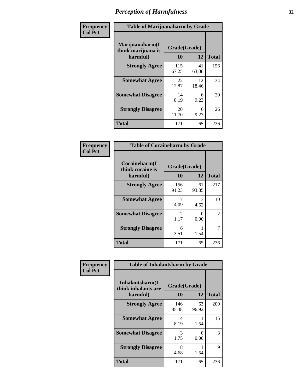| Frequency      | <b>Table of Marijuanaharm by Grade</b>            |                    |             |              |  |  |
|----------------|---------------------------------------------------|--------------------|-------------|--------------|--|--|
| <b>Col Pct</b> | Marijuanaharm(I<br>think marijuana is<br>harmful) | Grade(Grade)<br>10 | 12          | <b>Total</b> |  |  |
|                | <b>Strongly Agree</b>                             | 115<br>67.25       | 41<br>63.08 | 156          |  |  |
|                | <b>Somewhat Agree</b>                             | 22<br>12.87        | 12<br>18.46 | 34           |  |  |
|                | <b>Somewhat Disagree</b>                          | 14<br>8.19         | 6<br>9.23   | 20           |  |  |
|                | <b>Strongly Disagree</b>                          | 20<br>11.70        | 6<br>9.23   | 26           |  |  |
|                | <b>Total</b>                                      | 171                | 65          | 236          |  |  |

| <b>Table of Cocaineharm by Grade</b>          |                    |             |              |  |  |  |  |
|-----------------------------------------------|--------------------|-------------|--------------|--|--|--|--|
| Cocaineharm(I<br>think cocaine is<br>harmful) | Grade(Grade)<br>10 | 12          | <b>Total</b> |  |  |  |  |
| <b>Strongly Agree</b>                         | 156<br>91.23       | 61<br>93.85 | 217          |  |  |  |  |
| <b>Somewhat Agree</b>                         | 7<br>4.09          | 3<br>4.62   | 10           |  |  |  |  |
| <b>Somewhat Disagree</b>                      | 2<br>1.17          | 0<br>0.00   | 2            |  |  |  |  |
| <b>Strongly Disagree</b>                      | 6<br>3.51          | 1.54        | 7            |  |  |  |  |
| <b>Total</b>                                  | 171                | 65          | 236          |  |  |  |  |

| Frequency      | <b>Table of Inhalantsharm by Grade</b>              |                           |             |              |
|----------------|-----------------------------------------------------|---------------------------|-------------|--------------|
| <b>Col Pct</b> | Inhalantsharm(I)<br>think inhalants are<br>harmful) | Grade(Grade)<br><b>10</b> | 12          | <b>Total</b> |
|                | <b>Strongly Agree</b>                               | 146<br>85.38              | 63<br>96.92 | 209          |
|                | <b>Somewhat Agree</b>                               | 14<br>8.19                | 1.54        | 15           |
|                | <b>Somewhat Disagree</b>                            | 3<br>1.75                 | 0<br>0.00   | 3            |
|                | <b>Strongly Disagree</b>                            | 8<br>4.68                 | 1.54        | 9            |
|                | <b>Total</b>                                        | 171                       | 65          | 236          |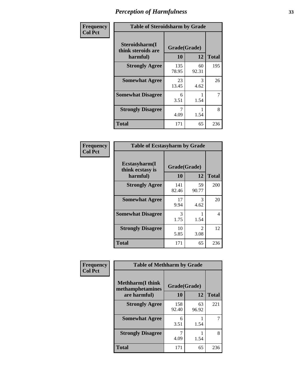| Frequency      | <b>Table of Steroidsharm by Grade</b>            |                    |             |              |
|----------------|--------------------------------------------------|--------------------|-------------|--------------|
| <b>Col Pct</b> | Steroidsharm(I<br>think steroids are<br>harmful) | Grade(Grade)<br>10 | 12          | <b>Total</b> |
|                | <b>Strongly Agree</b>                            | 135<br>78.95       | 60<br>92.31 | 195          |
|                | <b>Somewhat Agree</b>                            | 23<br>13.45        | 3<br>4.62   | 26           |
|                | <b>Somewhat Disagree</b>                         | 6<br>3.51          | 1.54        | 7            |
|                | <b>Strongly Disagree</b>                         | 4.09               | 1.54        | 8            |
|                | <b>Total</b>                                     | 171                | 65          | 236          |

| <b>Table of Ecstasyharm by Grade</b>          |                    |                        |              |  |  |
|-----------------------------------------------|--------------------|------------------------|--------------|--|--|
| Ecstasyharm(I<br>think ecstasy is<br>harmful) | Grade(Grade)<br>10 | 12                     | <b>Total</b> |  |  |
| <b>Strongly Agree</b>                         | 141<br>82.46       | 59<br>90.77            | 200          |  |  |
| <b>Somewhat Agree</b>                         | 17<br>9.94         | 3<br>4.62              | 20           |  |  |
| <b>Somewhat Disagree</b>                      | 3<br>1.75          | 1.54                   | 4            |  |  |
| <b>Strongly Disagree</b>                      | 10<br>5.85         | $\mathfrak{D}$<br>3.08 | 12           |  |  |
| <b>Total</b>                                  | 171                | 65                     | 236          |  |  |

| Frequency      | <b>Table of Methharm by Grade</b>            |              |             |              |  |
|----------------|----------------------------------------------|--------------|-------------|--------------|--|
| <b>Col Pct</b> | <b>Methharm</b> (I think<br>methamphetamines | Grade(Grade) |             |              |  |
|                | are harmful)                                 | 10           | 12          | <b>Total</b> |  |
|                | <b>Strongly Agree</b>                        | 158<br>92.40 | 63<br>96.92 | 221          |  |
|                | <b>Somewhat Agree</b>                        | 6<br>3.51    | 1.54        |              |  |
|                | <b>Strongly Disagree</b>                     | 4.09         | 1.54        | 8            |  |
|                | <b>Total</b>                                 | 171          | 65          | 236          |  |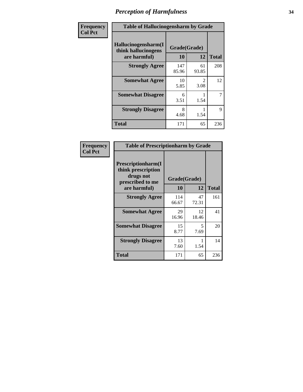| Frequency      | <b>Table of Hallucinogensharm by Grade</b>                 |                    |                       |                |
|----------------|------------------------------------------------------------|--------------------|-----------------------|----------------|
| <b>Col Pct</b> | Hallucinogensharm(I<br>think hallucinogens<br>are harmful) | Grade(Grade)<br>10 | 12                    | <b>Total</b>   |
|                | <b>Strongly Agree</b>                                      | 147<br>85.96       | 61<br>93.85           | 208            |
|                | <b>Somewhat Agree</b>                                      | 10<br>5.85         | $\mathcal{L}$<br>3.08 | 12             |
|                | <b>Somewhat Disagree</b>                                   | 6<br>3.51          | 1.54                  | $\overline{7}$ |
|                | <b>Strongly Disagree</b>                                   | 8<br>4.68          | 1.54                  | 9              |
|                | <b>Total</b>                                               | 171                | 65                    | 236            |

| <b>Table of Prescriptionharm by Grade</b>                                         |              |             |              |  |  |
|-----------------------------------------------------------------------------------|--------------|-------------|--------------|--|--|
| <b>Prescriptionharm</b> (I<br>think prescription<br>drugs not<br>prescribed to me | Grade(Grade) |             |              |  |  |
| are harmful)                                                                      | 10           | 12          | <b>Total</b> |  |  |
| <b>Strongly Agree</b>                                                             | 114<br>66.67 | 47<br>72.31 | 161          |  |  |
| <b>Somewhat Agree</b>                                                             | 29<br>16.96  | 12<br>18.46 | 41           |  |  |
| <b>Somewhat Disagree</b>                                                          | 15<br>8.77   | 5<br>7.69   | 20           |  |  |
| <b>Strongly Disagree</b>                                                          | 13<br>7.60   | 1.54        | 14           |  |  |
| Total                                                                             | 171          | 65          | 236          |  |  |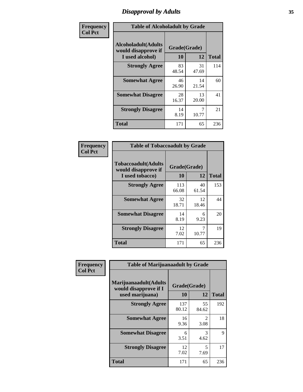### *Disapproval by Adults* **35**

| Frequency      | <b>Table of Alcoholadult by Grade</b>                                 |                    |             |              |
|----------------|-----------------------------------------------------------------------|--------------------|-------------|--------------|
| <b>Col Pct</b> | <b>Alcoholadult</b> (Adults<br>would disapprove if<br>I used alcohol) | Grade(Grade)<br>10 | 12          | <b>Total</b> |
|                | <b>Strongly Agree</b>                                                 | 83<br>48.54        | 31<br>47.69 | 114          |
|                | <b>Somewhat Agree</b>                                                 | 46<br>26.90        | 14<br>21.54 | 60           |
|                | <b>Somewhat Disagree</b>                                              | 28<br>16.37        | 13<br>20.00 | 41           |
|                | <b>Strongly Disagree</b>                                              | 14<br>8.19         | 10.77       | 21           |
|                | <b>Total</b>                                                          | 171                | 65          | 236          |

| <b>Table of Tobaccoadult by Grade</b>                                 |                    |             |              |  |
|-----------------------------------------------------------------------|--------------------|-------------|--------------|--|
| <b>Tobaccoadult</b> (Adults<br>would disapprove if<br>I used tobacco) | Grade(Grade)<br>10 | 12          | <b>Total</b> |  |
| <b>Strongly Agree</b>                                                 | 113<br>66.08       | 40<br>61.54 | 153          |  |
| <b>Somewhat Agree</b>                                                 | 32<br>18.71        | 12<br>18.46 | 44           |  |
| <b>Somewhat Disagree</b>                                              | 14<br>8.19         | 6<br>9.23   | 20           |  |
| <b>Strongly Disagree</b>                                              | 12<br>7.02         | 7<br>10.77  | 19           |  |
| <b>Total</b>                                                          | 171                | 65          | 236          |  |

| Frequency      | <b>Table of Marijuanaadult by Grade</b>                           |                    |                        |              |  |
|----------------|-------------------------------------------------------------------|--------------------|------------------------|--------------|--|
| <b>Col Pct</b> | Marijuanaadult(Adults<br>would disapprove if I<br>used marijuana) | Grade(Grade)<br>10 | 12                     | <b>Total</b> |  |
|                | <b>Strongly Agree</b>                                             | 137<br>80.12       | 55<br>84.62            | 192          |  |
|                | <b>Somewhat Agree</b>                                             | 16<br>9.36         | $\mathfrak{D}$<br>3.08 | 18           |  |
|                | <b>Somewhat Disagree</b>                                          | 6<br>3.51          | 3<br>4.62              | 9            |  |
|                | <b>Strongly Disagree</b>                                          | 12<br>7.02         | 5<br>7.69              | 17           |  |
|                | <b>Total</b>                                                      | 171                | 65                     | 236          |  |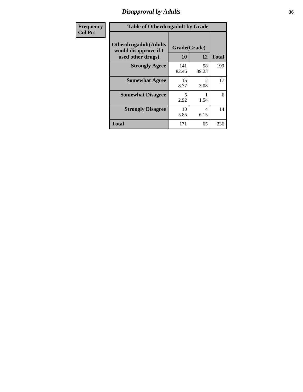### *Disapproval by Adults* **36**

| <b>Frequency</b> | <b>Table of Otherdrugadult by Grade</b>                                     |                    |                                     |              |
|------------------|-----------------------------------------------------------------------------|--------------------|-------------------------------------|--------------|
| <b>Col Pct</b>   | <b>Otherdrugadult</b> (Adults<br>would disapprove if I<br>used other drugs) | Grade(Grade)<br>10 | 12                                  | <b>Total</b> |
|                  | <b>Strongly Agree</b>                                                       | 141<br>82.46       | 58<br>89.23                         | 199          |
|                  | <b>Somewhat Agree</b>                                                       | 15<br>8.77         | $\mathcal{D}_{\mathcal{L}}$<br>3.08 | 17           |
|                  | <b>Somewhat Disagree</b>                                                    | 5<br>2.92          | 1.54                                | 6            |
|                  | <b>Strongly Disagree</b>                                                    | 10<br>5.85         | 4<br>6.15                           | 14           |
|                  | <b>Total</b>                                                                | 171                | 65                                  | 236          |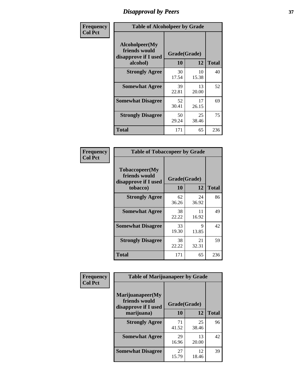# *Disapproval by Peers* **37**

| Frequency      | <b>Table of Alcoholpeer by Grade</b>                    |              |             |              |  |
|----------------|---------------------------------------------------------|--------------|-------------|--------------|--|
| <b>Col Pct</b> | Alcoholpeer(My<br>friends would<br>disapprove if I used | Grade(Grade) |             |              |  |
|                | alcohol)                                                | 10           | 12          | <b>Total</b> |  |
|                | <b>Strongly Agree</b>                                   | 30<br>17.54  | 10<br>15.38 | 40           |  |
|                | <b>Somewhat Agree</b>                                   | 39<br>22.81  | 13<br>20.00 | 52           |  |
|                | <b>Somewhat Disagree</b>                                | 52<br>30.41  | 17<br>26.15 | 69           |  |
|                | <b>Strongly Disagree</b>                                | 50<br>29.24  | 25<br>38.46 | 75           |  |
|                | Total                                                   | 171          | 65          | 236          |  |

| Frequency      | <b>Table of Tobaccopeer by Grade</b>                                |                    |             |              |
|----------------|---------------------------------------------------------------------|--------------------|-------------|--------------|
| <b>Col Pct</b> | Tobaccopeer(My<br>friends would<br>disapprove if I used<br>tobacco) | Grade(Grade)<br>10 | 12          | <b>Total</b> |
|                | <b>Strongly Agree</b>                                               | 62<br>36.26        | 24<br>36.92 | 86           |
|                | <b>Somewhat Agree</b>                                               | 38<br>22.22        | 11<br>16.92 | 49           |
|                | <b>Somewhat Disagree</b>                                            | 33<br>19.30        | 9<br>13.85  | 42           |
|                | <b>Strongly Disagree</b>                                            | 38<br>22.22        | 21<br>32.31 | 59           |
|                | Total                                                               | 171                | 65          | 236          |

| Frequency      | <b>Table of Marijuanapeer by Grade</b>                    |              |             |              |
|----------------|-----------------------------------------------------------|--------------|-------------|--------------|
| <b>Col Pct</b> | Marijuanapeer(My<br>friends would<br>disapprove if I used | Grade(Grade) |             |              |
|                | marijuana)                                                | 10           | 12          | <b>Total</b> |
|                | <b>Strongly Agree</b>                                     | 71<br>41.52  | 25<br>38.46 | 96           |
|                | <b>Somewhat Agree</b>                                     | 29<br>16.96  | 13<br>20.00 | 42           |
|                | <b>Somewhat Disagree</b>                                  | 27<br>15.79  | 12<br>18.46 | 39           |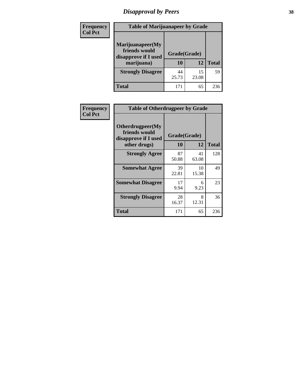# *Disapproval by Peers* **38**

| <b>Frequency</b> | <b>Table of Marijuanapeer by Grade</b>                                  |                    |             |              |  |
|------------------|-------------------------------------------------------------------------|--------------------|-------------|--------------|--|
| <b>Col Pct</b>   | Marijuanapeer(My<br>friends would<br>disapprove if I used<br>marijuana) | Grade(Grade)<br>10 | 12          | <b>Total</b> |  |
|                  | <b>Strongly Disagree</b>                                                | 44<br>25.73        | 15<br>23.08 | 59           |  |
|                  | <b>Total</b>                                                            | 171                | 65          | 236          |  |

|                  | <b>Table of Otherdrugpeer by Grade</b>                    |              |             |              |  |
|------------------|-----------------------------------------------------------|--------------|-------------|--------------|--|
| <b>Frequency</b> |                                                           |              |             |              |  |
| <b>Col Pct</b>   | Otherdrugpeer(My<br>friends would<br>disapprove if I used | Grade(Grade) |             |              |  |
|                  | other drugs)                                              | 10           | 12          | <b>Total</b> |  |
|                  | <b>Strongly Agree</b>                                     | 87<br>50.88  | 41<br>63.08 | 128          |  |
|                  | <b>Somewhat Agree</b>                                     | 39<br>22.81  | 10<br>15.38 | 49           |  |
|                  | <b>Somewhat Disagree</b>                                  | 17<br>9.94   | 6<br>9.23   | 23           |  |
|                  | <b>Strongly Disagree</b>                                  | 28<br>16.37  | 8<br>12.31  | 36           |  |
|                  | <b>Total</b>                                              | 171          | 65          | 236          |  |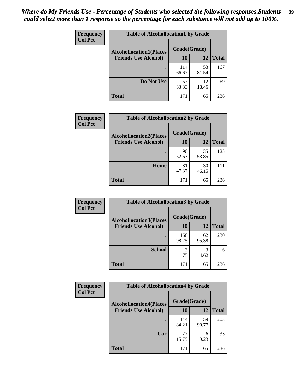| Frequency      | <b>Table of Alcohollocation1 by Grade</b> |              |             |              |
|----------------|-------------------------------------------|--------------|-------------|--------------|
| <b>Col Pct</b> | <b>Alcohollocation1(Places</b>            | Grade(Grade) |             |              |
|                | <b>Friends Use Alcohol)</b>               | 10           | 12          | <b>Total</b> |
|                |                                           | 114<br>66.67 | 53<br>81.54 | 167          |
|                | Do Not Use                                | 57<br>33.33  | 12<br>18.46 | 69           |
|                | <b>Total</b>                              | 171          | 65          | 236          |

| Frequency      | <b>Table of Alcohollocation2 by Grade</b>                     |                    |             |              |
|----------------|---------------------------------------------------------------|--------------------|-------------|--------------|
| <b>Col Pct</b> | <b>Alcohollocation2(Places</b><br><b>Friends Use Alcohol)</b> | Grade(Grade)<br>10 | <b>12</b>   | <b>Total</b> |
|                |                                                               | 90<br>52.63        | 35<br>53.85 | 125          |
|                | Home                                                          | 81<br>47.37        | 30<br>46.15 | 111          |
|                | <b>Total</b>                                                  | 171                | 65          | 236          |

| <b>Frequency</b> | <b>Table of Alcohollocation 3 by Grade</b> |              |             |              |
|------------------|--------------------------------------------|--------------|-------------|--------------|
| <b>Col Pct</b>   | <b>Alcohollocation3(Places</b>             | Grade(Grade) |             |              |
|                  | <b>Friends Use Alcohol)</b>                | <b>10</b>    | 12          | <b>Total</b> |
|                  |                                            | 168<br>98.25 | 62<br>95.38 | 230          |
|                  | <b>School</b>                              | 3<br>1.75    | 3<br>4.62   | 6            |
|                  | <b>Total</b>                               | 171          | 65          | 236          |

| <b>Frequency</b> | <b>Table of Alcohollocation4 by Grade</b> |              |             |              |  |
|------------------|-------------------------------------------|--------------|-------------|--------------|--|
| <b>Col Pct</b>   | <b>Alcohollocation4(Places</b>            | Grade(Grade) |             |              |  |
|                  | <b>Friends Use Alcohol)</b>               | 10           | 12          | <b>Total</b> |  |
|                  |                                           | 144<br>84.21 | 59<br>90.77 | 203          |  |
|                  | Car                                       | 27<br>15.79  | 6<br>9.23   | 33           |  |
|                  | <b>Total</b>                              | 171          | 65          | 236          |  |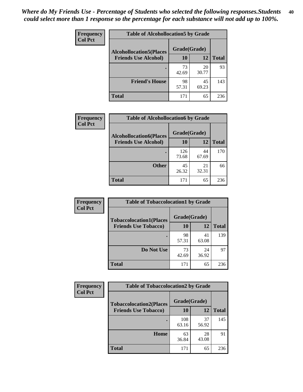| Frequency<br><b>Col Pct</b> | <b>Table of Alcohollocation5 by Grade</b> |              |             |              |
|-----------------------------|-------------------------------------------|--------------|-------------|--------------|
|                             | <b>Alcohollocation5(Places</b>            | Grade(Grade) |             |              |
|                             | <b>Friends Use Alcohol)</b>               | 10           | 12          | <b>Total</b> |
|                             |                                           | 73<br>42.69  | 20<br>30.77 | 93           |
|                             | <b>Friend's House</b>                     | 98<br>57.31  | 45<br>69.23 | 143          |
|                             | <b>Total</b>                              | 171          | 65          | 236          |

| Frequency      | <b>Table of Alcohollocation6 by Grade</b>                     |                           |             |              |
|----------------|---------------------------------------------------------------|---------------------------|-------------|--------------|
| <b>Col Pct</b> | <b>Alcohollocation6(Places</b><br><b>Friends Use Alcohol)</b> | Grade(Grade)<br><b>10</b> | 12          | <b>Total</b> |
|                |                                                               | 126<br>73.68              | 44<br>67.69 | 170          |
|                | <b>Other</b>                                                  | 45<br>26.32               | 21<br>32.31 | 66           |
|                | Total                                                         | 171                       | 65          | 236          |

| <b>Frequency</b> | <b>Table of Tobaccolocation1 by Grade</b> |              |             |              |
|------------------|-------------------------------------------|--------------|-------------|--------------|
| <b>Col Pct</b>   | <b>Tobaccolocation1(Places</b>            | Grade(Grade) |             |              |
|                  | <b>Friends Use Tobacco)</b>               | 10           | 12          | <b>Total</b> |
|                  |                                           | 98<br>57.31  | 41<br>63.08 | 139          |
|                  | Do Not Use                                | 73<br>42.69  | 24<br>36.92 | 97           |
|                  | <b>Total</b>                              | 171          | 65          | 236          |

| <b>Frequency</b> | <b>Table of Tobaccolocation2 by Grade</b> |              |             |              |  |
|------------------|-------------------------------------------|--------------|-------------|--------------|--|
| <b>Col Pct</b>   | <b>Tobaccolocation2(Places</b>            | Grade(Grade) |             |              |  |
|                  | <b>Friends Use Tobacco)</b>               | 10           | 12          | <b>Total</b> |  |
|                  |                                           | 108<br>63.16 | 37<br>56.92 | 145          |  |
|                  | Home                                      | 63<br>36.84  | 28<br>43.08 | 91           |  |
|                  | <b>Total</b>                              | 171          | 65          | 236          |  |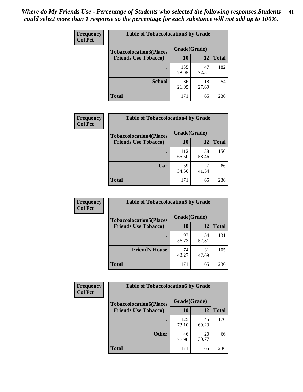| Frequency      | <b>Table of Tobaccolocation 3 by Grade</b> |              |             |              |  |
|----------------|--------------------------------------------|--------------|-------------|--------------|--|
| <b>Col Pct</b> | <b>Tobaccolocation3(Places</b>             | Grade(Grade) |             |              |  |
|                | <b>Friends Use Tobacco)</b>                | 10           | 12          | <b>Total</b> |  |
|                |                                            | 135<br>78.95 | 47<br>72.31 | 182          |  |
|                | <b>School</b>                              | 36<br>21.05  | 18<br>27.69 | 54           |  |
|                | <b>Total</b>                               | 171          | 65          | 236          |  |

| Frequency      | <b>Table of Tobaccolocation4 by Grade</b>                     |                           |             |              |
|----------------|---------------------------------------------------------------|---------------------------|-------------|--------------|
| <b>Col Pct</b> | <b>Tobaccolocation4(Places</b><br><b>Friends Use Tobacco)</b> | Grade(Grade)<br><b>10</b> | 12          | <b>Total</b> |
|                |                                                               | 112<br>65.50              | 38<br>58.46 | 150          |
|                | Car                                                           | 59<br>34.50               | 27<br>41.54 | 86           |
|                | <b>Total</b>                                                  | 171                       | 65          | 236          |

| Frequency      | <b>Table of Tobaccolocation5 by Grade</b>                     |              |             |              |
|----------------|---------------------------------------------------------------|--------------|-------------|--------------|
| <b>Col Pct</b> | <b>Tobaccolocation5(Places</b><br><b>Friends Use Tobacco)</b> | Grade(Grade) |             |              |
|                |                                                               | 10           | 12          | <b>Total</b> |
|                |                                                               | 97<br>56.73  | 34<br>52.31 | 131          |
|                | <b>Friend's House</b>                                         | 74<br>43.27  | 31<br>47.69 | 105          |
|                | <b>Total</b>                                                  | 171          | 65          | 236          |

| <b>Frequency</b> | <b>Table of Tobaccolocation6 by Grade</b> |              |             |              |  |
|------------------|-------------------------------------------|--------------|-------------|--------------|--|
| <b>Col Pct</b>   | <b>Tobaccolocation6(Places</b>            | Grade(Grade) |             |              |  |
|                  | <b>Friends Use Tobacco)</b>               | 10           | 12          | <b>Total</b> |  |
|                  |                                           | 125<br>73.10 | 45<br>69.23 | 170          |  |
|                  | <b>Other</b>                              | 46<br>26.90  | 20<br>30.77 | 66           |  |
|                  | <b>Total</b>                              | 171          | 65          | 236          |  |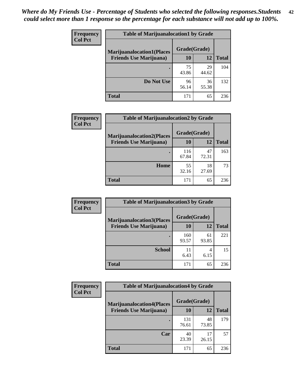| <b>Frequency</b> | <b>Table of Marijuanalocation1 by Grade</b> |              |             |              |
|------------------|---------------------------------------------|--------------|-------------|--------------|
| <b>Col Pct</b>   | <b>Marijuanalocation1(Places</b>            | Grade(Grade) |             |              |
|                  | <b>Friends Use Marijuana</b> )              | 10           | 12          | <b>Total</b> |
|                  |                                             | 75<br>43.86  | 29<br>44.62 | 104          |
|                  | Do Not Use                                  | 96<br>56.14  | 36<br>55.38 | 132          |
|                  | <b>Total</b>                                | 171          | 65          | 236          |

| <b>Frequency</b> | <b>Table of Marijuanalocation2 by Grade</b>                        |                    |             |              |
|------------------|--------------------------------------------------------------------|--------------------|-------------|--------------|
| <b>Col Pct</b>   | <b>Marijuanalocation2(Places</b><br><b>Friends Use Marijuana</b> ) | Grade(Grade)<br>10 | 12          | <b>Total</b> |
|                  |                                                                    | 116<br>67.84       | 47<br>72.31 | 163          |
|                  | Home                                                               | 55<br>32.16        | 18<br>27.69 | 73           |
|                  | <b>Total</b>                                                       | 171                | 65          | 236          |

| <b>Frequency</b> | <b>Table of Marijuanalocation3 by Grade</b>                         |                    |             |              |
|------------------|---------------------------------------------------------------------|--------------------|-------------|--------------|
| <b>Col Pct</b>   | <b>Marijuanalocation3</b> (Places<br><b>Friends Use Marijuana</b> ) | Grade(Grade)<br>10 | 12          | <b>Total</b> |
|                  |                                                                     |                    |             |              |
|                  |                                                                     | 160<br>93.57       | 61<br>93.85 | 221          |
|                  | <b>School</b>                                                       | 11<br>6.43         | 4<br>6.15   | 15           |
|                  | <b>Total</b>                                                        | 171                | 65          | 236          |

| <b>Frequency</b> | <b>Table of Marijuanalocation4 by Grade</b> |              |             |              |  |
|------------------|---------------------------------------------|--------------|-------------|--------------|--|
| <b>Col Pct</b>   | <b>Marijuanalocation4(Places</b>            | Grade(Grade) |             |              |  |
|                  | <b>Friends Use Marijuana</b> )              | <b>10</b>    | 12          | <b>Total</b> |  |
|                  |                                             | 131<br>76.61 | 48<br>73.85 | 179          |  |
|                  | Car                                         | 40<br>23.39  | 17<br>26.15 | 57           |  |
|                  | <b>Total</b>                                | 171          | 65          | 236          |  |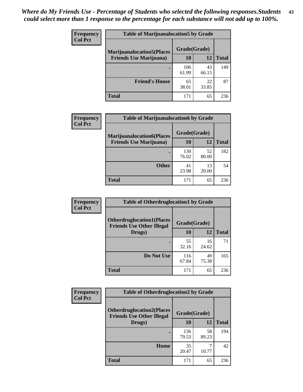| <b>Frequency</b> | <b>Table of Marijuanalocation5 by Grade</b> |              |             |              |
|------------------|---------------------------------------------|--------------|-------------|--------------|
| <b>Col Pct</b>   | <b>Marijuanalocation5</b> (Places           | Grade(Grade) |             |              |
|                  | <b>Friends Use Marijuana</b> )              | 10           | 12          | <b>Total</b> |
|                  |                                             | 106<br>61.99 | 43<br>66.15 | 149          |
|                  | <b>Friend's House</b>                       | 65<br>38.01  | 22<br>33.85 | 87           |
|                  | <b>Total</b>                                | 171          | 65          | 236          |

| <b>Frequency</b> | <b>Table of Marijuanalocation6 by Grade</b>                        |                    |             |              |
|------------------|--------------------------------------------------------------------|--------------------|-------------|--------------|
| <b>Col Pct</b>   | <b>Marijuanalocation6(Places</b><br><b>Friends Use Marijuana</b> ) | Grade(Grade)<br>10 | 12          | <b>Total</b> |
|                  |                                                                    | 130<br>76.02       | 52<br>80.00 | 182          |
|                  | <b>Other</b>                                                       | 41<br>23.98        | 13<br>20.00 | 54           |
|                  | <b>Total</b>                                                       | 171                | 65          | 236          |

| Frequency      | <b>Table of Otherdruglocation1 by Grade</b>                          |              |             |              |
|----------------|----------------------------------------------------------------------|--------------|-------------|--------------|
| <b>Col Pct</b> | <b>Otherdruglocation1(Places</b><br><b>Friends Use Other Illegal</b> | Grade(Grade) |             |              |
|                | Drugs)                                                               | 10           | 12          | <b>Total</b> |
|                |                                                                      | 55<br>32.16  | 16<br>24.62 | 71           |
|                | Do Not Use                                                           | 116<br>67.84 | 49<br>75.38 | 165          |
|                | <b>Total</b>                                                         | 171          | 65          | 236          |

| <b>Frequency</b> | <b>Table of Otherdruglocation2 by Grade</b>                          |              |             |              |
|------------------|----------------------------------------------------------------------|--------------|-------------|--------------|
| <b>Col Pct</b>   | <b>Otherdruglocation2(Places</b><br><b>Friends Use Other Illegal</b> | Grade(Grade) |             |              |
|                  | Drugs)                                                               | 10           | 12          | <b>Total</b> |
|                  |                                                                      | 136<br>79.53 | 58<br>89.23 | 194          |
|                  | <b>Home</b>                                                          | 35<br>20.47  | 10.77       | 42           |
|                  | <b>Total</b>                                                         | 171          | 65          | 236          |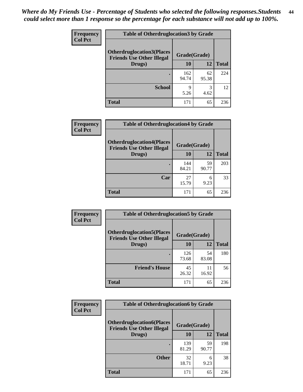| <b>Frequency</b> | <b>Table of Otherdruglocation 3 by Grade</b>                         |              |             |              |
|------------------|----------------------------------------------------------------------|--------------|-------------|--------------|
| <b>Col Pct</b>   | <b>Otherdruglocation3(Places</b><br><b>Friends Use Other Illegal</b> | Grade(Grade) |             |              |
|                  | Drugs)                                                               | 10           | 12          | <b>Total</b> |
|                  | ٠                                                                    | 162<br>94.74 | 62<br>95.38 | 224          |
|                  | <b>School</b>                                                        | 9<br>5.26    | 3<br>4.62   | 12           |
|                  | <b>Total</b>                                                         | 171          | 65          | 236          |

| Frequency      | <b>Table of Otherdruglocation4 by Grade</b>                          |              |             |              |
|----------------|----------------------------------------------------------------------|--------------|-------------|--------------|
| <b>Col Pct</b> | <b>Otherdruglocation4(Places</b><br><b>Friends Use Other Illegal</b> | Grade(Grade) |             |              |
|                | Drugs)                                                               | 10           | 12          | <b>Total</b> |
|                |                                                                      | 144<br>84.21 | 59<br>90.77 | 203          |
|                | Car                                                                  | 27<br>15.79  | 6<br>9.23   | 33           |
|                | <b>Total</b>                                                         | 171          | 65          | 236          |

| Frequency      | <b>Table of Otherdruglocation5 by Grade</b>                          |              |             |              |
|----------------|----------------------------------------------------------------------|--------------|-------------|--------------|
| <b>Col Pct</b> | <b>Otherdruglocation5(Places</b><br><b>Friends Use Other Illegal</b> | Grade(Grade) |             |              |
|                | Drugs)                                                               | 10           | 12          | <b>Total</b> |
|                |                                                                      | 126<br>73.68 | 54<br>83.08 | 180          |
|                | <b>Friend's House</b>                                                | 45<br>26.32  | 11<br>16.92 | 56           |
|                | <b>Total</b>                                                         | 171          | 65          | 236          |

| <b>Frequency</b> | <b>Table of Otherdruglocation6 by Grade</b>                          |              |             |              |
|------------------|----------------------------------------------------------------------|--------------|-------------|--------------|
| <b>Col Pct</b>   | <b>Otherdruglocation6(Places</b><br><b>Friends Use Other Illegal</b> | Grade(Grade) |             |              |
|                  | Drugs)                                                               | 10           | 12          | <b>Total</b> |
|                  |                                                                      | 139<br>81.29 | 59<br>90.77 | 198          |
|                  | <b>Other</b>                                                         | 32<br>18.71  | 6<br>9.23   | 38           |
|                  | Total                                                                | 171          | 65          | 236          |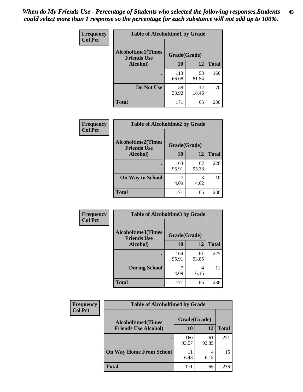| Frequency      | <b>Table of Alcoholtime1 by Grade</b><br><b>Alcoholtime1(Times</b><br>Grade(Grade)<br><b>Friends Use</b> |              |             |              |
|----------------|----------------------------------------------------------------------------------------------------------|--------------|-------------|--------------|
| <b>Col Pct</b> |                                                                                                          |              |             |              |
|                | Alcohol)                                                                                                 | 10           | 12          | <b>Total</b> |
|                |                                                                                                          | 113<br>66.08 | 53<br>81.54 | 166          |
|                | Do Not Use                                                                                               | 58<br>33.92  | 12<br>18.46 | 70           |
|                | <b>Total</b>                                                                                             | 171          | 65          | 236          |

| <b>Frequency</b> | <b>Table of Alcoholtime2 by Grade</b>           |              |             |              |
|------------------|-------------------------------------------------|--------------|-------------|--------------|
| <b>Col Pct</b>   | <b>Alcoholtime2(Times</b><br><b>Friends Use</b> | Grade(Grade) |             |              |
|                  | <b>Alcohol</b> )                                | 10           | <b>12</b>   | <b>Total</b> |
|                  |                                                 | 164<br>95.91 | 62<br>95.38 | 226          |
|                  | <b>On Way to School</b>                         | 4.09         | 3<br>4.62   | 10           |
|                  | <b>Total</b>                                    | 171          | 65          | 236          |

| Frequency<br><b>Col Pct</b> | <b>Table of Alcoholtime3 by Grade</b>           |              |             |              |
|-----------------------------|-------------------------------------------------|--------------|-------------|--------------|
|                             | <b>Alcoholtime3(Times</b><br><b>Friends Use</b> | Grade(Grade) |             |              |
|                             | Alcohol)                                        | 10           | 12          | <b>Total</b> |
|                             |                                                 | 164<br>95.91 | 61<br>93.85 | 225          |
|                             | <b>During School</b>                            | 4.09         | 4<br>6.15   | 11           |
|                             | <b>Total</b>                                    | 171          | 65          | 236          |

| Frequency<br><b>Col Pct</b> | <b>Table of Alcoholtime4 by Grade</b> |              |             |              |
|-----------------------------|---------------------------------------|--------------|-------------|--------------|
|                             | <b>Alcoholtime4(Times</b>             | Grade(Grade) |             |              |
|                             | <b>Friends Use Alcohol)</b>           | 10           | 12          | <b>Total</b> |
|                             |                                       | 160<br>93.57 | 61<br>93.85 | 221          |
|                             | <b>On Way Home From School</b>        | 6.43         | 4<br>6.15   | 15           |
|                             | <b>Total</b>                          | 171          | 65          | 236          |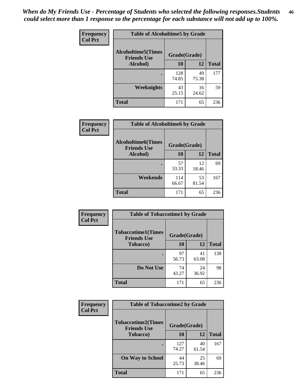*When do My Friends Use - Percentage of Students who selected the following responses.Students could select more than 1 response so the percentage for each substance will not add up to 100%.* **46**

| Frequency      | <b>Table of Alcoholtime5 by Grade</b>           |              |             |              |
|----------------|-------------------------------------------------|--------------|-------------|--------------|
| <b>Col Pct</b> | <b>Alcoholtime5(Times</b><br><b>Friends Use</b> | Grade(Grade) |             |              |
|                | Alcohol)                                        | 10           | 12          | <b>Total</b> |
|                |                                                 | 128<br>74.85 | 49<br>75.38 | 177          |
|                | Weeknights                                      | 43<br>25.15  | 16<br>24.62 | 59           |
|                | <b>Total</b>                                    | 171          | 65          | 236          |

| Frequency      | <b>Table of Alcoholtime6 by Grade</b>           |              |             |              |
|----------------|-------------------------------------------------|--------------|-------------|--------------|
| <b>Col Pct</b> | <b>Alcoholtime6(Times</b><br><b>Friends Use</b> | Grade(Grade) |             |              |
|                | Alcohol)                                        | 10           | 12          | <b>Total</b> |
|                |                                                 | 57<br>33.33  | 12<br>18.46 | 69           |
|                | Weekends                                        | 114<br>66.67 | 53<br>81.54 | 167          |
|                | <b>Total</b>                                    | 171          | 65          | 236          |

| Frequency      | <b>Table of Tobaccotime1 by Grade</b>           |              |             |              |
|----------------|-------------------------------------------------|--------------|-------------|--------------|
| <b>Col Pct</b> | <b>Tobaccotime1(Times</b><br><b>Friends Use</b> | Grade(Grade) |             |              |
|                | <b>Tobacco</b> )                                | 10           | 12          | <b>Total</b> |
|                | ٠                                               | 97<br>56.73  | 41<br>63.08 | 138          |
|                | Do Not Use                                      | 74<br>43.27  | 24<br>36.92 | 98           |
|                | <b>Total</b>                                    | 171          | 65          | 236          |

| <b>Frequency</b> | <b>Table of Tobaccotime2 by Grade</b>           |              |             |              |
|------------------|-------------------------------------------------|--------------|-------------|--------------|
| <b>Col Pct</b>   | <b>Tobaccotime2(Times</b><br><b>Friends Use</b> | Grade(Grade) |             |              |
|                  | <b>Tobacco</b> )                                | 10           | 12          | <b>Total</b> |
|                  |                                                 | 127<br>74.27 | 40<br>61.54 | 167          |
|                  | <b>On Way to School</b>                         | 44<br>25.73  | 25<br>38.46 | 69           |
|                  | <b>Total</b>                                    | 171          | 65          | 236          |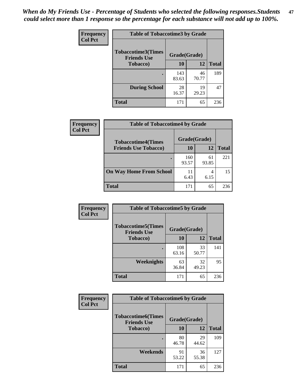*When do My Friends Use - Percentage of Students who selected the following responses.Students could select more than 1 response so the percentage for each substance will not add up to 100%.* **47**

| <b>Frequency</b> | <b>Table of Tobaccotime3 by Grade</b>           |              |              |              |  |
|------------------|-------------------------------------------------|--------------|--------------|--------------|--|
| <b>Col Pct</b>   | <b>Tobaccotime3(Times</b><br><b>Friends Use</b> |              | Grade(Grade) |              |  |
|                  | <b>Tobacco</b> )                                | 10           | 12           | <b>Total</b> |  |
|                  |                                                 | 143<br>83.63 | 46<br>70.77  | 189          |  |
|                  | <b>During School</b>                            | 28<br>16.37  | 19<br>29.23  | 47           |  |
|                  | <b>Total</b>                                    | 171          | 65           | 236          |  |

| <b>Frequency</b> | <b>Table of Tobaccotime4 by Grade</b> |              |             |              |
|------------------|---------------------------------------|--------------|-------------|--------------|
| <b>Col Pct</b>   | <b>Tobaccotime4(Times</b>             | Grade(Grade) |             |              |
|                  | <b>Friends Use Tobacco)</b>           | 10           | 12          | <b>Total</b> |
|                  |                                       | 160<br>93.57 | 61<br>93.85 | 221          |
|                  | <b>On Way Home From School</b>        | 11<br>6.43   | 4<br>6.15   | 15           |
|                  | <b>Total</b>                          | 171          | 65          | 236          |

| Frequency      | <b>Table of Tobaccotime5 by Grade</b>            |              |             |              |
|----------------|--------------------------------------------------|--------------|-------------|--------------|
| <b>Col Pct</b> | <b>Tobaccotime5</b> (Times<br><b>Friends Use</b> | Grade(Grade) |             |              |
|                | <b>Tobacco</b> )                                 | 10           | 12          | <b>Total</b> |
|                |                                                  | 108<br>63.16 | 33<br>50.77 | 141          |
|                | Weeknights                                       | 63<br>36.84  | 32<br>49.23 | 95           |
|                | <b>Total</b>                                     | 171          | 65          | 236          |

| Frequency<br><b>Col Pct</b> | <b>Table of Tobaccotime6 by Grade</b>           |              |             |              |
|-----------------------------|-------------------------------------------------|--------------|-------------|--------------|
|                             | <b>Tobaccotime6(Times</b><br><b>Friends Use</b> | Grade(Grade) |             |              |
|                             | <b>Tobacco</b> )                                | 10           | 12          | <b>Total</b> |
|                             | ٠                                               | 80<br>46.78  | 29<br>44.62 | 109          |
|                             | Weekends                                        | 91<br>53.22  | 36<br>55.38 | 127          |
|                             | <b>Total</b>                                    | 171          | 65          | 236          |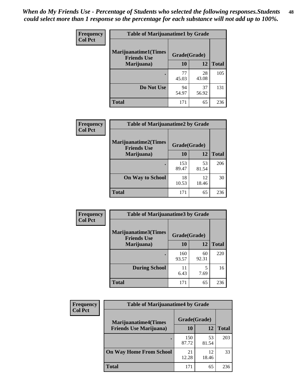| Frequency<br><b>Col Pct</b> | <b>Table of Marijuanatime1 by Grade</b>           |              |             |              |
|-----------------------------|---------------------------------------------------|--------------|-------------|--------------|
|                             | <b>Marijuanatime1(Times</b><br><b>Friends Use</b> | Grade(Grade) |             |              |
|                             | Marijuana)                                        | 10           | 12          | <b>Total</b> |
|                             |                                                   | 77<br>45.03  | 28<br>43.08 | 105          |
|                             | Do Not Use                                        | 94<br>54.97  | 37<br>56.92 | 131          |
|                             | <b>Total</b>                                      | 171          | 65          | 236          |

| <b>Frequency</b> | <b>Table of Marijuanatime2 by Grade</b>           |              |             |              |
|------------------|---------------------------------------------------|--------------|-------------|--------------|
| <b>Col Pct</b>   | <b>Marijuanatime2(Times</b><br><b>Friends Use</b> | Grade(Grade) |             |              |
|                  | Marijuana)                                        | 10           | 12          | <b>Total</b> |
|                  |                                                   | 153<br>89.47 | 53<br>81.54 | 206          |
|                  | <b>On Way to School</b>                           | 18<br>10.53  | 12<br>18.46 | 30           |
|                  | <b>Total</b>                                      | 171          | 65          | 236          |

| Frequency      | <b>Table of Marijuanatime3 by Grade</b>    |              |             |              |
|----------------|--------------------------------------------|--------------|-------------|--------------|
| <b>Col Pct</b> | Marijuanatime3(Times<br><b>Friends Use</b> | Grade(Grade) |             |              |
|                | Marijuana)                                 | 10           | 12          | <b>Total</b> |
|                |                                            | 160<br>93.57 | 60<br>92.31 | 220          |
|                | <b>During School</b>                       | 11<br>6.43   | 5<br>7.69   | 16           |
|                | <b>Total</b>                               | 171          | 65          | 236          |

| <b>Frequency</b><br><b>Col Pct</b> | <b>Table of Marijuanatime4 by Grade</b> |              |             |       |
|------------------------------------|-----------------------------------------|--------------|-------------|-------|
|                                    | <b>Marijuanatime4</b> (Times            | Grade(Grade) |             |       |
|                                    | <b>Friends Use Marijuana</b> )          | 10           | 12          | Total |
|                                    |                                         | 150<br>87.72 | 53<br>81.54 | 203   |
|                                    | <b>On Way Home From School</b>          | 21<br>12.28  | 12<br>18.46 | 33    |
|                                    | <b>Total</b>                            | 171          | 65          | 236   |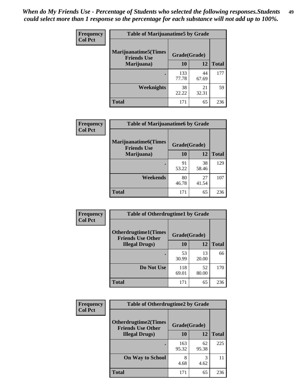| <b>Frequency</b> | <b>Table of Marijuanatime5 by Grade</b>            |              |             |              |
|------------------|----------------------------------------------------|--------------|-------------|--------------|
| <b>Col Pct</b>   | <b>Marijuanatime5</b> (Times<br><b>Friends Use</b> | Grade(Grade) |             |              |
|                  | Marijuana)                                         | 10           | 12          | <b>Total</b> |
|                  |                                                    | 133<br>77.78 | 44<br>67.69 | 177          |
|                  | Weeknights                                         | 38<br>22.22  | 21<br>32.31 | 59           |
|                  | <b>Total</b>                                       | 171          | 65          | 236          |

| Frequency      | <b>Table of Marijuanatime6 by Grade</b>    |              |             |              |
|----------------|--------------------------------------------|--------------|-------------|--------------|
| <b>Col Pct</b> | Marijuanatime6(Times<br><b>Friends Use</b> | Grade(Grade) |             |              |
|                | Marijuana)                                 | 10           | 12          | <b>Total</b> |
|                |                                            | 91<br>53.22  | 38<br>58.46 | 129          |
|                | Weekends                                   | 80<br>46.78  | 27<br>41.54 | 107          |
|                | <b>Total</b>                               | 171          | 65          | 236          |

| Frequency      | <b>Table of Otherdrugtime1 by Grade</b>                 |              |             |              |
|----------------|---------------------------------------------------------|--------------|-------------|--------------|
| <b>Col Pct</b> | <b>Otherdrugtime1(Times</b><br><b>Friends Use Other</b> | Grade(Grade) |             |              |
|                | <b>Illegal Drugs</b> )                                  | 10           | 12          | <b>Total</b> |
|                |                                                         | 53<br>30.99  | 13<br>20.00 | 66           |
|                | Do Not Use                                              | 118<br>69.01 | 52<br>80.00 | 170          |
|                | Total                                                   | 171          | 65          | 236          |

| <b>Frequency</b> | <b>Table of Otherdrugtime2 by Grade</b>                 |              |             |              |  |  |
|------------------|---------------------------------------------------------|--------------|-------------|--------------|--|--|
| <b>Col Pct</b>   | <b>Otherdrugtime2(Times</b><br><b>Friends Use Other</b> | Grade(Grade) |             |              |  |  |
|                  | <b>Illegal Drugs</b> )                                  | 10           | 12          | <b>Total</b> |  |  |
|                  |                                                         | 163<br>95.32 | 62<br>95.38 | 225          |  |  |
|                  | <b>On Way to School</b>                                 | 8<br>4.68    | 3<br>4.62   | 11           |  |  |
|                  | <b>Total</b>                                            | 171          | 65          | 236          |  |  |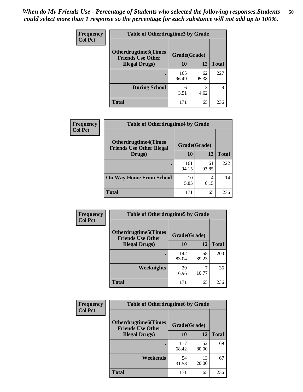| <b>Frequency</b><br><b>Col Pct</b> | <b>Table of Otherdrugtime3 by Grade</b>          |              |             |              |  |  |
|------------------------------------|--------------------------------------------------|--------------|-------------|--------------|--|--|
|                                    | Otherdrugtime3(Times<br><b>Friends Use Other</b> | Grade(Grade) |             |              |  |  |
|                                    | <b>Illegal Drugs</b> )                           | 10           | 12          | <b>Total</b> |  |  |
|                                    |                                                  | 165<br>96.49 | 62<br>95.38 | 227          |  |  |
|                                    | <b>During School</b>                             | 6<br>3.51    | 3<br>4.62   | 9            |  |  |
|                                    | Total                                            | 171          | 65          | 236          |  |  |

| Frequency<br><b>Col Pct</b> | <b>Table of Otherdrugtime4 by Grade</b>                         |              |             |              |  |  |
|-----------------------------|-----------------------------------------------------------------|--------------|-------------|--------------|--|--|
|                             | <b>Otherdrugtime4(Times</b><br><b>Friends Use Other Illegal</b> | Grade(Grade) |             |              |  |  |
|                             | Drugs)                                                          | 10           | 12          | <b>Total</b> |  |  |
|                             | ٠                                                               | 161<br>94.15 | 61<br>93.85 | 222          |  |  |
|                             | <b>On Way Home From School</b>                                  | 10<br>5.85   | 4<br>6.15   | 14           |  |  |
|                             | <b>Total</b>                                                    | 171          | 65          | 236          |  |  |

| <b>Frequency</b> | <b>Table of Otherdrugtime5 by Grade</b>                  |              |             |              |  |  |  |
|------------------|----------------------------------------------------------|--------------|-------------|--------------|--|--|--|
| <b>Col Pct</b>   | <b>Otherdrugtime5</b> (Times<br><b>Friends Use Other</b> | Grade(Grade) |             |              |  |  |  |
|                  | <b>Illegal Drugs</b> )                                   | 10           | 12          | <b>Total</b> |  |  |  |
|                  |                                                          | 142<br>83.04 | 58<br>89.23 | 200          |  |  |  |
|                  | Weeknights                                               | 29<br>16.96  | 10.77       | 36           |  |  |  |
|                  | Total                                                    | 171          | 65          | 236          |  |  |  |

| <b>Frequency</b> | <b>Table of Otherdrugtime6 by Grade</b>                 |              |             |              |  |  |
|------------------|---------------------------------------------------------|--------------|-------------|--------------|--|--|
| <b>Col Pct</b>   | <b>Otherdrugtime6(Times</b><br><b>Friends Use Other</b> | Grade(Grade) |             |              |  |  |
|                  | <b>Illegal Drugs</b> )                                  | 10           | 12          | <b>Total</b> |  |  |
|                  |                                                         | 117<br>68.42 | 52<br>80.00 | 169          |  |  |
|                  | Weekends                                                | 54<br>31.58  | 13<br>20.00 | 67           |  |  |
|                  | Total                                                   | 171          | 65          | 236          |  |  |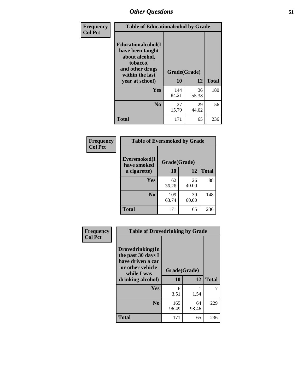| Frequency      | <b>Table of Educationalcohol by Grade</b>                                                                  |              |             |              |  |  |
|----------------|------------------------------------------------------------------------------------------------------------|--------------|-------------|--------------|--|--|
| <b>Col Pct</b> | Educationalcohol(I<br>have been taught<br>about alcohol,<br>tobacco,<br>and other drugs<br>within the last | Grade(Grade) |             |              |  |  |
|                | year at school)                                                                                            | 10           | 12          | <b>Total</b> |  |  |
|                | <b>Yes</b>                                                                                                 | 144<br>84.21 | 36<br>55.38 | 180          |  |  |
|                | N <sub>0</sub>                                                                                             | 27<br>15.79  | 29<br>44.62 | 56           |  |  |
|                | <b>Total</b>                                                                                               | 171          | 65          | 236          |  |  |

| Frequency      | <b>Table of Eversmoked by Grade</b> |              |             |              |  |  |  |
|----------------|-------------------------------------|--------------|-------------|--------------|--|--|--|
| <b>Col Pct</b> | Eversmoked(I<br>have smoked         | Grade(Grade) |             |              |  |  |  |
|                | a cigarette)                        | 10           | 12          | <b>Total</b> |  |  |  |
|                | Yes                                 | 62<br>36.26  | 26<br>40.00 | 88           |  |  |  |
|                | N <sub>0</sub>                      | 109<br>63.74 | 39<br>60.00 | 148          |  |  |  |
|                | <b>Total</b>                        | 171          | 65          | 236          |  |  |  |

| Frequency      | <b>Table of Drovedrinking by Grade</b>                                                                              |                    |             |              |
|----------------|---------------------------------------------------------------------------------------------------------------------|--------------------|-------------|--------------|
| <b>Col Pct</b> | Drovedrinking(In<br>the past 30 days I<br>have driven a car<br>or other vehicle<br>while I was<br>drinking alcohol) | Grade(Grade)<br>10 | 12          | <b>Total</b> |
|                | <b>Yes</b>                                                                                                          | 6<br>3.51          | 1.54        | 7            |
|                | N <sub>0</sub>                                                                                                      | 165<br>96.49       | 64<br>98.46 | 229          |
|                | <b>Total</b>                                                                                                        | 171                | 65          | 236          |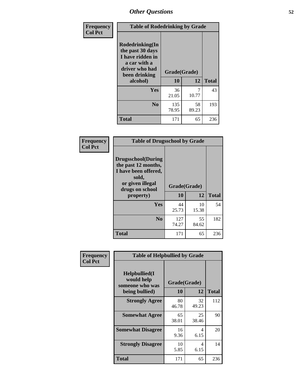| Frequency      | <b>Table of Rodedrinking by Grade</b>                                                                      |              |             |              |  |  |  |
|----------------|------------------------------------------------------------------------------------------------------------|--------------|-------------|--------------|--|--|--|
| <b>Col Pct</b> | Rodedrinking(In<br>the past 30 days<br>I have ridden in<br>a car with a<br>driver who had<br>been drinking | Grade(Grade) |             |              |  |  |  |
|                | alcohol)                                                                                                   | 10           | 12          | <b>Total</b> |  |  |  |
|                | <b>Yes</b>                                                                                                 | 36<br>21.05  | 7<br>10.77  | 43           |  |  |  |
|                | N <sub>0</sub>                                                                                             | 135<br>78.95 | 58<br>89.23 | 193          |  |  |  |
|                | <b>Total</b>                                                                                               | 171          | 65          | 236          |  |  |  |

#### **Frequency Col Pct**

| <b>Table of Drugsschool by Grade</b>                                                                                      |              |             |              |  |  |  |
|---------------------------------------------------------------------------------------------------------------------------|--------------|-------------|--------------|--|--|--|
| <b>Drugsschool</b> (During<br>the past 12 months,<br>I have been offered,<br>sold,<br>or given illegal<br>drugs on school | Grade(Grade) |             |              |  |  |  |
| property)                                                                                                                 | 10           | 12          | <b>Total</b> |  |  |  |
| Yes                                                                                                                       | 44<br>25.73  | 10<br>15.38 | 54           |  |  |  |
| N <sub>0</sub>                                                                                                            | 127<br>74.27 | 55<br>84.62 | 182          |  |  |  |
| <b>Total</b>                                                                                                              | 171          | 65          | 236          |  |  |  |

| Frequency      | <b>Table of Helpbullied by Grade</b>                 |              |             |              |  |  |  |
|----------------|------------------------------------------------------|--------------|-------------|--------------|--|--|--|
| <b>Col Pct</b> | $Helpb$ ullied $(I$<br>would help<br>someone who was | Grade(Grade) |             |              |  |  |  |
|                | being bullied)                                       | 10           | 12          | <b>Total</b> |  |  |  |
|                | <b>Strongly Agree</b>                                | 80<br>46.78  | 32<br>49.23 | 112          |  |  |  |
|                | <b>Somewhat Agree</b>                                | 65<br>38.01  | 25<br>38.46 | 90           |  |  |  |
|                | <b>Somewhat Disagree</b>                             | 16<br>9.36   | 4<br>6.15   | 20           |  |  |  |
|                | <b>Strongly Disagree</b>                             | 10<br>5.85   | 4<br>6.15   | 14           |  |  |  |
|                | <b>Total</b>                                         | 171          | 65          | 236          |  |  |  |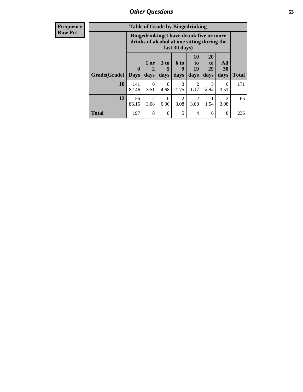| <b>Frequency</b> |              | <b>Table of Grade by Bingedrinking</b> |              |                              |                              |                                                                                        |                                  |                        |              |
|------------------|--------------|----------------------------------------|--------------|------------------------------|------------------------------|----------------------------------------------------------------------------------------|----------------------------------|------------------------|--------------|
| <b>Row Pct</b>   |              |                                        |              |                              | last 30 days)                | Bingedrinking(I have drunk five or more<br>drinks of alcohol at one sitting during the |                                  |                        |              |
|                  | Grade(Grade) | $\mathbf 0$<br><b>Days</b>             | 1 or<br>days | 3 <sub>to</sub><br>5<br>days | 6 <sub>to</sub><br>9<br>days | <b>10</b><br>to<br>19<br>days                                                          | <b>20</b><br>to<br>29<br>days    | All<br>30<br>days      | <b>Total</b> |
|                  | 10           | 141<br>82.46                           | 6<br>3.51    | 8<br>4.68                    | 3<br>1.75                    | $\mathfrak{D}$<br>1.17                                                                 | $\overline{\phantom{0}}$<br>2.92 | 6<br>3.51              | 171          |
|                  | 12           | 56<br>86.15                            | 2<br>3.08    | $\Omega$<br>0.00             | $\overline{2}$<br>3.08       | $\overline{2}$<br>3.08                                                                 | 1.54                             | $\overline{2}$<br>3.08 | 65           |
|                  | <b>Total</b> | 197                                    | 8            | 8                            | 5                            | 4                                                                                      | 6                                | 8                      | 236          |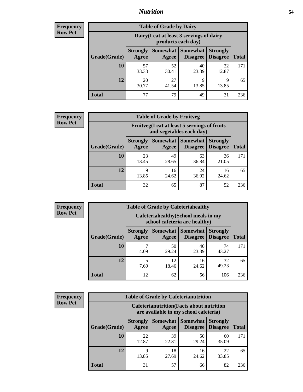### *Nutrition* **54**

| Frequency |
|-----------|
| Row Pct   |

| <b>Table of Grade by Dairy</b> |                                                                                                                                   |                                                                 |             |             |     |  |  |  |
|--------------------------------|-----------------------------------------------------------------------------------------------------------------------------------|-----------------------------------------------------------------|-------------|-------------|-----|--|--|--|
|                                |                                                                                                                                   | Dairy (I eat at least 3 servings of dairy<br>products each day) |             |             |     |  |  |  |
| Grade(Grade)                   | Somewhat   Somewhat<br><b>Strongly</b><br><b>Strongly</b><br><b>Disagree</b><br><b>Disagree</b><br><b>Total</b><br>Agree<br>Agree |                                                                 |             |             |     |  |  |  |
| 10                             | 57<br>33.33                                                                                                                       | 52<br>30.41                                                     | 40<br>23.39 | 22<br>12.87 | 171 |  |  |  |
| 12                             | 20<br>30.77                                                                                                                       | 27<br>41.54                                                     | 9<br>13.85  | 9<br>13.85  | 65  |  |  |  |
| <b>Total</b>                   | 77                                                                                                                                | 79                                                              | 49          | 31          | 236 |  |  |  |

| <b>Frequency</b> |  |
|------------------|--|
| <b>Row Pct</b>   |  |

| <b>Table of Grade by Fruitveg</b> |                                                                          |                     |                                    |                                    |              |  |  |  |
|-----------------------------------|--------------------------------------------------------------------------|---------------------|------------------------------------|------------------------------------|--------------|--|--|--|
|                                   | Fruitveg(I eat at least 5 servings of fruits<br>and vegetables each day) |                     |                                    |                                    |              |  |  |  |
| Grade(Grade)                      | <b>Strongly</b><br>Agree                                                 | Somewhat  <br>Agree | <b>Somewhat</b><br><b>Disagree</b> | <b>Strongly</b><br><b>Disagree</b> | <b>Total</b> |  |  |  |
| 10                                | 23<br>13.45                                                              | 49<br>28.65         | 63<br>36.84                        | 36<br>21.05                        | 171          |  |  |  |
| 12                                | q<br>13.85                                                               | 16<br>24.62         | 24<br>36.92                        | 16<br>24.62                        | 65           |  |  |  |
| <b>Total</b>                      | 32                                                                       | 65                  | 87                                 | 52                                 | 236          |  |  |  |

| Frequency      | <b>Table of Grade by Cafeteriahealthy</b> |                                                                       |                     |                                    |                                    |              |  |  |
|----------------|-------------------------------------------|-----------------------------------------------------------------------|---------------------|------------------------------------|------------------------------------|--------------|--|--|
| <b>Row Pct</b> |                                           | Cafeteriahealthy (School meals in my<br>school cafeteria are healthy) |                     |                                    |                                    |              |  |  |
|                | Grade(Grade)                              | <b>Strongly</b><br>Agree                                              | Somewhat  <br>Agree | <b>Somewhat</b><br><b>Disagree</b> | <b>Strongly</b><br><b>Disagree</b> | <b>Total</b> |  |  |
|                | 10                                        | 7<br>4.09                                                             | 50<br>29.24         | 40<br>23.39                        | 74<br>43.27                        | 171          |  |  |
|                | 12                                        | 5<br>7.69                                                             | 12<br>18.46         | 16<br>24.62                        | 32<br>49.23                        | 65           |  |  |
|                | <b>Total</b>                              | 12                                                                    | 62                  | 56                                 | 106                                | 236          |  |  |

| <b>Frequency</b> |
|------------------|
| <b>Row Pct</b>   |

i m

| <b>Table of Grade by Cafeterianutrition</b>                                               |                          |                     |                             |                                    |              |  |  |  |
|-------------------------------------------------------------------------------------------|--------------------------|---------------------|-----------------------------|------------------------------------|--------------|--|--|--|
| <b>Cafeterianutrition</b> (Facts about nutrition<br>are available in my school cafeteria) |                          |                     |                             |                                    |              |  |  |  |
| Grade(Grade)                                                                              | <b>Strongly</b><br>Agree | Somewhat  <br>Agree | <b>Somewhat</b><br>Disagree | <b>Strongly</b><br><b>Disagree</b> | <b>Total</b> |  |  |  |
| <b>10</b>                                                                                 | 22<br>12.87              | 39<br>22.81         | 50<br>29.24                 | 60<br>35.09                        | 171          |  |  |  |
| 12                                                                                        | 9<br>13.85               | 18<br>27.69         | 16<br>24.62                 | 22<br>33.85                        | 65           |  |  |  |
| Total                                                                                     | 31                       | 57                  | 66                          | 82                                 | 236          |  |  |  |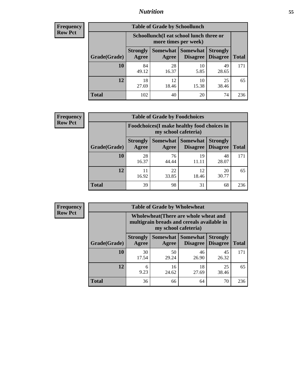### *Nutrition* **55**

| <b>Frequency</b> |
|------------------|
| Row Pct          |

| <b>Table of Grade by Schoollunch</b> |                                                                                                                            |                                                                 |             |             |     |  |  |  |
|--------------------------------------|----------------------------------------------------------------------------------------------------------------------------|-----------------------------------------------------------------|-------------|-------------|-----|--|--|--|
|                                      |                                                                                                                            | Schoollunch(I eat school lunch three or<br>more times per week) |             |             |     |  |  |  |
| Grade(Grade)                         | Somewhat   Somewhat<br><b>Strongly</b><br><b>Strongly</b><br><b>Disagree</b><br>Disagree<br><b>Total</b><br>Agree<br>Agree |                                                                 |             |             |     |  |  |  |
| 10                                   | 84<br>49.12                                                                                                                | 28<br>16.37                                                     | 10<br>5.85  | 49<br>28.65 | 171 |  |  |  |
| 12                                   | 18<br>27.69                                                                                                                | 12<br>18.46                                                     | 10<br>15.38 | 25<br>38.46 | 65  |  |  |  |
| <b>Total</b>                         | 102                                                                                                                        | 40                                                              | 20          | 74          | 236 |  |  |  |

| <b>Frequency</b> |  |
|------------------|--|
| <b>Row Pct</b>   |  |

| <b>Table of Grade by Foodchoices</b>                                |                          |             |                                               |                                    |              |  |  |  |
|---------------------------------------------------------------------|--------------------------|-------------|-----------------------------------------------|------------------------------------|--------------|--|--|--|
| Foodchoices (I make healthy food choices in<br>my school cafeteria) |                          |             |                                               |                                    |              |  |  |  |
| Grade(Grade)                                                        | <b>Strongly</b><br>Agree | Agree       | <b>Somewhat   Somewhat</b><br><b>Disagree</b> | <b>Strongly</b><br><b>Disagree</b> | <b>Total</b> |  |  |  |
| 10                                                                  | 28<br>16.37              | 76<br>44.44 | 19<br>11.11                                   | 48<br>28.07                        | 171          |  |  |  |
| 12                                                                  | 11<br>16.92              | 22<br>33.85 | 12<br>18.46                                   | 20<br>30.77                        | 65           |  |  |  |
| <b>Total</b>                                                        | 39                       | 98          | 31                                            | 68                                 | 236          |  |  |  |

| Frequency      | <b>Table of Grade by Wholewheat</b> |                                                                                                             |             |                                   |                                    |              |  |  |  |
|----------------|-------------------------------------|-------------------------------------------------------------------------------------------------------------|-------------|-----------------------------------|------------------------------------|--------------|--|--|--|
| <b>Row Pct</b> |                                     | Wholewheat (There are whole wheat and<br>multigrain breads and cereals available in<br>my school cafeteria) |             |                                   |                                    |              |  |  |  |
|                | Grade(Grade)                        | <b>Strongly</b><br>Agree                                                                                    | Agree       | Somewhat   Somewhat  <br>Disagree | <b>Strongly</b><br><b>Disagree</b> | <b>Total</b> |  |  |  |
|                | 10                                  | 30<br>17.54                                                                                                 | 50<br>29.24 | 46<br>26.90                       | 45<br>26.32                        | 171          |  |  |  |
|                | 12                                  | 6<br>9.23                                                                                                   | 16<br>24.62 | 18<br>27.69                       | 25<br>38.46                        | 65           |  |  |  |
|                | <b>Total</b>                        | 36                                                                                                          | 66          | 64                                | 70                                 | 236          |  |  |  |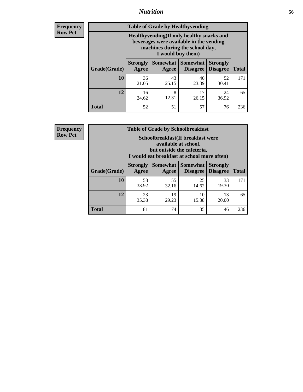### *Nutrition* **56**

**Frequency Row Pct**

| <b>Table of Grade by Healthyvending</b> |                                                                                                                                               |                   |                                    |                                    |              |  |
|-----------------------------------------|-----------------------------------------------------------------------------------------------------------------------------------------------|-------------------|------------------------------------|------------------------------------|--------------|--|
|                                         | Healthyvending (If only healthy snacks and<br>beverages were available in the vending<br>machines during the school day,<br>I would buy them) |                   |                                    |                                    |              |  |
| Grade(Grade)                            | <b>Strongly</b><br>Agree                                                                                                                      | Somewhat<br>Agree | <b>Somewhat</b><br><b>Disagree</b> | <b>Strongly</b><br><b>Disagree</b> | <b>Total</b> |  |
| 10                                      | 36<br>21.05                                                                                                                                   | 43<br>25.15       | 40<br>23.39                        | 52<br>30.41                        | 171          |  |
| 12                                      | 16<br>24.62                                                                                                                                   | 8<br>12.31        | 17<br>26.15                        | 24<br>36.92                        | 65           |  |
| <b>Total</b>                            | 52                                                                                                                                            | 51                | 57                                 | 76                                 | 236          |  |

**Frequency Row Pct**

| <b>Table of Grade by Schoolbreakfast</b> |                                                                                                                                        |             |             |             |     |  |
|------------------------------------------|----------------------------------------------------------------------------------------------------------------------------------------|-------------|-------------|-------------|-----|--|
|                                          | Schoolbreakfast(If breakfast were<br>available at school,<br>but outside the cafeteria,<br>I would eat breakfast at school more often) |             |             |             |     |  |
| Grade(Grade)                             | Somewhat   Somewhat<br><b>Strongly</b><br><b>Strongly</b><br><b>Disagree</b><br><b>Total</b><br>Agree<br>Disagree<br>Agree             |             |             |             |     |  |
| 10                                       | 58<br>33.92                                                                                                                            | 55<br>32.16 | 25<br>14.62 | 33<br>19.30 | 171 |  |
| 12                                       | 19<br>10<br>23<br>13<br>29.23<br>20.00<br>35.38<br>15.38                                                                               |             |             |             |     |  |
| <b>Total</b>                             | 81                                                                                                                                     | 74          | 35          | 46          | 236 |  |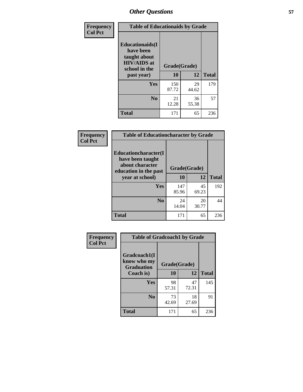| Frequency<br><b>Col Pct</b> | <b>Table of Educationaids by Grade</b>                                                                    |                    |             |              |
|-----------------------------|-----------------------------------------------------------------------------------------------------------|--------------------|-------------|--------------|
|                             | <b>Educationaids</b> (I<br>have been<br>taught about<br><b>HIV/AIDS</b> at<br>school in the<br>past year) | Grade(Grade)<br>10 | 12          | <b>Total</b> |
|                             | Yes                                                                                                       | 150<br>87.72       | 29<br>44.62 | 179          |
|                             | N <sub>0</sub>                                                                                            | 21<br>12.28        | 36<br>55.38 | 57           |
|                             | <b>Total</b>                                                                                              | 171                | 65          | 236          |

| <b>Frequency</b> | <b>Table of Educationcharacter by Grade</b>                                          |              |             |              |
|------------------|--------------------------------------------------------------------------------------|--------------|-------------|--------------|
| <b>Col Pct</b>   | Educationcharacter(I<br>have been taught<br>about character<br>education in the past | Grade(Grade) |             |              |
|                  | year at school)                                                                      | 10           | 12          | <b>Total</b> |
|                  | <b>Yes</b>                                                                           | 147<br>85.96 | 45<br>69.23 | 192          |
|                  | N <sub>0</sub>                                                                       | 24<br>14.04  | 20<br>30.77 | 44           |
|                  | <b>Total</b>                                                                         | 171          | 65          | 236          |

| Frequency      | <b>Table of Gradcoach1 by Grade</b>              |              |             |              |
|----------------|--------------------------------------------------|--------------|-------------|--------------|
| <b>Col Pct</b> | Gradcoach1(I<br>know who my<br><b>Graduation</b> | Grade(Grade) |             |              |
|                | Coach is)                                        | 10           | 12          | <b>Total</b> |
|                | Yes                                              | 98<br>57.31  | 47<br>72.31 | 145          |
|                | N <sub>0</sub>                                   | 73<br>42.69  | 18<br>27.69 | 91           |
|                | <b>Total</b>                                     | 171          | 65          | 236          |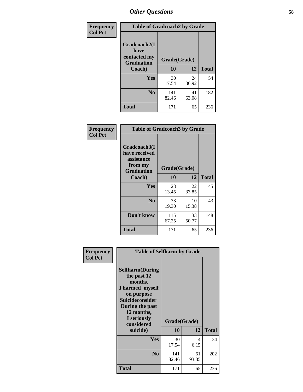| Frequency      | <b>Table of Gradcoach2 by Grade</b> |              |             |              |
|----------------|-------------------------------------|--------------|-------------|--------------|
| <b>Col Pct</b> |                                     |              |             |              |
|                | Gradcoach2(I<br>have                |              |             |              |
|                | contacted my<br><b>Graduation</b>   | Grade(Grade) |             |              |
|                | Coach)                              | 10           | 12          | <b>Total</b> |
|                | Yes                                 | 30<br>17.54  | 24<br>36.92 | 54           |
|                | N <sub>0</sub>                      | 141<br>82.46 | 41<br>63.08 | 182          |
|                | <b>Total</b>                        | 171          | 65          | 236          |

| Frequency<br><b>Col Pct</b> | <b>Table of Gradcoach3 by Grade</b>                                         |              |             |              |
|-----------------------------|-----------------------------------------------------------------------------|--------------|-------------|--------------|
|                             | Gradcoach3(I<br>have received<br>assistance<br>from my<br><b>Graduation</b> | Grade(Grade) |             |              |
|                             | Coach)                                                                      | 10           | 12          | <b>Total</b> |
|                             | Yes                                                                         | 23<br>13.45  | 22<br>33.85 | 45           |
|                             | N <sub>0</sub>                                                              | 33<br>19.30  | 10<br>15.38 | 43           |
|                             | Don't know                                                                  | 115<br>67.25 | 33<br>50.77 | 148          |
|                             | <b>Total</b>                                                                | 171          | 65          | 236          |

| Frequency<br><b>Col Pct</b> | <b>Table of Selfharm by Grade</b>                                                                                                                                                      |                    |             |              |  |
|-----------------------------|----------------------------------------------------------------------------------------------------------------------------------------------------------------------------------------|--------------------|-------------|--------------|--|
|                             | <b>Selfharm</b> (During<br>the past 12<br>months,<br>I harmed myself<br>on purpose<br><b>Suicideconsider</b><br>During the past<br>12 months,<br>I seriously<br>considered<br>suicide) | Grade(Grade)<br>10 | 12          | <b>Total</b> |  |
|                             | Yes                                                                                                                                                                                    | 30                 | 4           | 34           |  |
|                             |                                                                                                                                                                                        | 17.54              | 6.15        |              |  |
|                             | N <sub>0</sub>                                                                                                                                                                         | 141<br>82.46       | 61<br>93.85 | 202          |  |
|                             | <b>Total</b>                                                                                                                                                                           | 171                | 65          | 236          |  |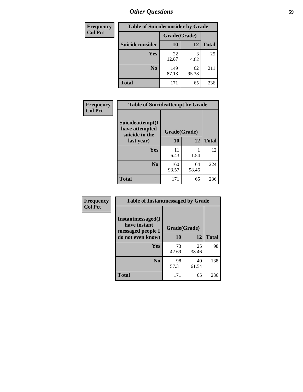| <b>Frequency</b> | <b>Table of Suicideconsider by Grade</b> |              |             |              |  |
|------------------|------------------------------------------|--------------|-------------|--------------|--|
| <b>Col Pct</b>   |                                          | Grade(Grade) |             |              |  |
|                  | Suicideconsider                          | <b>10</b>    | 12          | <b>Total</b> |  |
|                  | Yes                                      | 22<br>12.87  | 3<br>4.62   | 25           |  |
|                  | N <sub>0</sub>                           | 149<br>87.13 | 62<br>95.38 | 211          |  |
|                  | <b>Total</b>                             | 171          | 65          | 236          |  |

| Frequency      | <b>Table of Suicideattempt by Grade</b>              |              |             |              |
|----------------|------------------------------------------------------|--------------|-------------|--------------|
| <b>Col Pct</b> | Suicideattempt(I<br>have attempted<br>suicide in the | Grade(Grade) |             |              |
|                | last year)                                           | 10           | 12          | <b>Total</b> |
|                | Yes                                                  | 11<br>6.43   | 1.54        | 12           |
|                | N <sub>0</sub>                                       | 160<br>93.57 | 64<br>98.46 | 224          |
|                | <b>Total</b>                                         | 171          | 65          | 236          |

| Frequency      | <b>Table of Instantmessaged by Grade</b>               |              |             |              |
|----------------|--------------------------------------------------------|--------------|-------------|--------------|
| <b>Col Pct</b> | Instantmessaged(I<br>have instant<br>messaged people I | Grade(Grade) |             |              |
|                | do not even know)                                      | 10           | 12          | <b>Total</b> |
|                | Yes                                                    | 73<br>42.69  | 25<br>38.46 | 98           |
|                | N <sub>0</sub>                                         | 98<br>57.31  | 40<br>61.54 | 138          |
|                | <b>Total</b>                                           | 171          | 65          | 236          |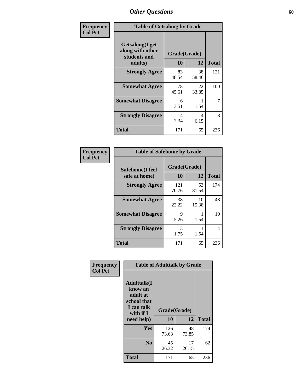| Frequency      | <b>Table of Getsalong by Grade</b>                                     |                    |             |              |
|----------------|------------------------------------------------------------------------|--------------------|-------------|--------------|
| <b>Col Pct</b> | <b>Getsalong</b> (I get<br>along with other<br>students and<br>adults) | Grade(Grade)<br>10 | 12          | <b>Total</b> |
|                | <b>Strongly Agree</b>                                                  | 83                 | 38          | 121          |
|                | <b>Somewhat Agree</b>                                                  | 48.54<br>78        | 58.46<br>22 | 100          |
|                |                                                                        | 45.61              | 33.85       |              |
|                | <b>Somewhat Disagree</b>                                               | 6<br>3.51          | 1.54        | 7            |
|                | <b>Strongly Disagree</b>                                               | 4<br>2.34          | 4<br>6.15   | 8            |
|                | <b>Total</b>                                                           | 171                | 65          | 236          |

| Frequency      | <b>Table of Safehome by Grade</b> |                    |             |              |
|----------------|-----------------------------------|--------------------|-------------|--------------|
| <b>Col Pct</b> | Safehome(I feel<br>safe at home)  | Grade(Grade)<br>10 | 12          | <b>Total</b> |
|                | <b>Strongly Agree</b>             | 121<br>70.76       | 53<br>81.54 | 174          |
|                | <b>Somewhat Agree</b>             | 38<br>22.22        | 10<br>15.38 | 48           |
|                | <b>Somewhat Disagree</b>          | 9<br>5.26          | 1.54        | 10           |
|                | <b>Strongly Disagree</b>          | 3<br>1.75          | 1.54        | 4            |
|                | <b>Total</b>                      | 171                | 65          | 236          |

| Frequency      |                                                                                      | <b>Table of Adulttalk by Grade</b> |             |              |
|----------------|--------------------------------------------------------------------------------------|------------------------------------|-------------|--------------|
| <b>Col Pct</b> | <b>Adulttalk</b> (I<br>know an<br>adult at<br>school that<br>I can talk<br>with if I | Grade(Grade)                       |             |              |
|                | need help)                                                                           | 10                                 | 12          | <b>Total</b> |
|                | <b>Yes</b>                                                                           | 126<br>73.68                       | 48<br>73.85 | 174          |
|                | N <sub>0</sub>                                                                       | 45<br>26.32                        | 17<br>26.15 | 62           |
|                | <b>Total</b>                                                                         | 171                                | 65          | 236          |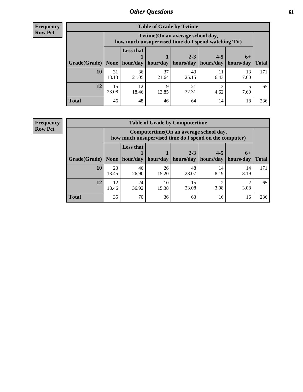**Frequency Row Pct**

| <b>Table of Grade by Tvtime</b> |             |                                                                                        |                     |                      |                                    |            |              |  |  |
|---------------------------------|-------------|----------------------------------------------------------------------------------------|---------------------|----------------------|------------------------------------|------------|--------------|--|--|
|                                 |             | Tvtime(On an average school day,<br>how much unsupervised time do I spend watching TV) |                     |                      |                                    |            |              |  |  |
| Grade(Grade)   None             |             | <b>Less that</b>                                                                       | hour/day   hour/day | $2 - 3$<br>hours/day | $4 - 5$<br>  hours/day   hours/day | $6+$       | <b>Total</b> |  |  |
|                                 |             |                                                                                        |                     |                      |                                    |            |              |  |  |
| <b>10</b>                       | 31<br>18.13 | 36<br>21.05                                                                            | 37<br>21.64         | 43<br>25.15          | 6.43                               | 13<br>7.60 | 171          |  |  |
| 12                              | 15<br>23.08 | 12<br>18.46                                                                            | q<br>13.85          | 21<br>32.31          | 4.62                               | 7.69       | 65           |  |  |
| <b>Total</b>                    | 46          | 48                                                                                     | 46                  | 64                   | 14                                 | 18         | 236          |  |  |

**Frequency Row Pct**

| <b>Table of Grade by Computertime</b> |             |                                                                                                                              |             |             |            |            |     |  |  |
|---------------------------------------|-------------|------------------------------------------------------------------------------------------------------------------------------|-------------|-------------|------------|------------|-----|--|--|
|                                       |             | Computertime (On an average school day,<br>how much unsupervised time do I spend on the computer)                            |             |             |            |            |     |  |  |
| Grade(Grade)                          | None $ $    | <b>Less that</b><br>$2 - 3$<br>$4 - 5$<br>$6+$<br>hours/day<br>hours/day<br>hour/day   hour/day<br>hours/day<br><b>Total</b> |             |             |            |            |     |  |  |
| 10                                    | 23<br>13.45 | 46<br>26.90                                                                                                                  | 26<br>15.20 | 48<br>28.07 | 14<br>8.19 | 14<br>8.19 | 171 |  |  |
| 12                                    | 12<br>18.46 | 24<br>10<br>15<br>◠<br>23.08<br>3.08<br>3.08<br>36.92<br>15.38                                                               |             |             |            |            |     |  |  |
| <b>Total</b>                          | 35          | 70                                                                                                                           | 36          | 63          | 16         | 16         | 236 |  |  |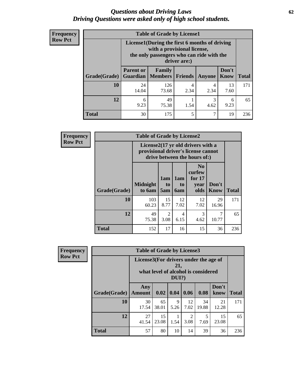#### *Questions about Driving Laws* **62** *Driving Questions were asked only of high school students.*

| <b>Frequency</b> |
|------------------|
| <b>Row Pct</b>   |

| <b>Table of Grade by License1</b> |                                                       |                                                                                                                                           |           |           |               |              |  |  |  |
|-----------------------------------|-------------------------------------------------------|-------------------------------------------------------------------------------------------------------------------------------------------|-----------|-----------|---------------|--------------|--|--|--|
|                                   |                                                       | License1(During the first 6 months of driving<br>with a provisional license,<br>the only passengers who can ride with the<br>driver are:) |           |           |               |              |  |  |  |
| Grade(Grade)                      | <b>Parent or</b>                                      | Family<br><b>Guardian</b>   Members                                                                                                       | Friends   | Anyone    | Don't<br>Know | <b>Total</b> |  |  |  |
| 10                                | 24<br>14.04                                           | 126<br>73.68                                                                                                                              | 4<br>2.34 | 4<br>2.34 | 13<br>7.60    | 171          |  |  |  |
| 12                                | 49<br>3<br>6<br>9.23<br>9.23<br>75.38<br>1.54<br>4.62 |                                                                                                                                           |           |           |               |              |  |  |  |
| Total                             | 30                                                    | 175                                                                                                                                       | 5         | 7         | 19            | 236          |  |  |  |

| <b>Frequency</b> |                                                                                                          | <b>Table of Grade by License2</b> |                              |                         |                                                      |                      |              |
|------------------|----------------------------------------------------------------------------------------------------------|-----------------------------------|------------------------------|-------------------------|------------------------------------------------------|----------------------|--------------|
| <b>Row Pct</b>   | License2(17 yr old drivers with a<br>provisional driver's license cannot<br>drive between the hours of:) |                                   |                              |                         |                                                      |                      |              |
|                  | Grade(Grade)                                                                                             | <b>Midnight</b><br>to 6am         | 1am<br>t <sub>0</sub><br>5am | 1am<br>to<br><b>6am</b> | N <sub>0</sub><br>curfew<br>for $17$<br>vear<br>olds | Don't<br><b>Know</b> | <b>Total</b> |
|                  | 10                                                                                                       | 103<br>60.23                      | 15<br>8.77                   | 12<br>7.02              | 12<br>7.02                                           | 29<br>16.96          | 171          |
|                  | 12                                                                                                       | 49<br>75.38                       | 2<br>3.08                    | 4<br>6.15               | 3<br>4.62                                            | 7<br>10.77           | 65           |
|                  | <b>Total</b>                                                                                             | 152                               | 17                           | 16                      | 15                                                   | 36                   | 236          |

| Frequency      | <b>Table of Grade by License3</b> |                                       |             |              |                        |                                     |               |              |
|----------------|-----------------------------------|---------------------------------------|-------------|--------------|------------------------|-------------------------------------|---------------|--------------|
| <b>Row Pct</b> |                                   | License3(For drivers under the age of |             | 21,<br>DUI?) |                        | what level of alcohol is considered |               |              |
|                | Grade(Grade)                      | Any<br><b>Amount</b>                  | 0.02        | 0.04         | 0.06                   | 0.08                                | Don't<br>know | <b>Total</b> |
|                | 10                                | 30<br>17.54                           | 65<br>38.01 | 9<br>5.26    | 12<br>7.02             | 34<br>19.88                         | 21<br>12.28   | 171          |
|                | 12                                | 27<br>41.54                           | 15<br>23.08 | 1.54         | $\overline{2}$<br>3.08 | 5<br>7.69                           | 15<br>23.08   | 65           |
|                | <b>Total</b>                      | 57                                    | 80          | 10           | 14                     | 39                                  | 36            | 236          |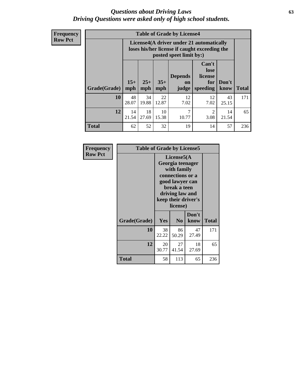#### *Questions about Driving Laws* **63** *Driving Questions were asked only of high school students.*

**Frequency Row Pct**

| <b>Table of Grade by License4</b> |             |                                                                                                                                                                                                                                                                                       |             |            |                                     |             |     |  |
|-----------------------------------|-------------|---------------------------------------------------------------------------------------------------------------------------------------------------------------------------------------------------------------------------------------------------------------------------------------|-------------|------------|-------------------------------------|-------------|-----|--|
|                                   |             | License4(A driver under 21 automatically<br>loses his/her license if caught exceeding the<br>posted speet limit by:)<br>Can't<br>lose<br><b>Depends</b><br>license<br>$15+$<br>$25+$<br>$35+$<br>Don't<br>for<br><b>on</b><br>speeding<br><b>Total</b><br>mph<br>know<br>mph<br>judge |             |            |                                     |             |     |  |
| Grade(Grade)                      | mph         |                                                                                                                                                                                                                                                                                       |             |            |                                     |             |     |  |
| 10                                | 48<br>28.07 | 34<br>19.88                                                                                                                                                                                                                                                                           | 22<br>12.87 | 12<br>7.02 | 12<br>7.02                          | 43<br>25.15 | 171 |  |
| 12                                | 14<br>21.54 | 18<br>27.69                                                                                                                                                                                                                                                                           | 10<br>15.38 | 7<br>10.77 | $\mathcal{D}_{\mathcal{L}}$<br>3.08 | 14<br>21.54 | 65  |  |
| <b>Total</b>                      | 62          | 52                                                                                                                                                                                                                                                                                    | 32          | 19         | 14                                  | 57          | 236 |  |

| Frequency      | <b>Table of Grade by License5</b> |                                                                                                                                                             |                |               |              |  |
|----------------|-----------------------------------|-------------------------------------------------------------------------------------------------------------------------------------------------------------|----------------|---------------|--------------|--|
| <b>Row Pct</b> |                                   | License5(A)<br>Georgia teenager<br>with family<br>connections or a<br>good lawyer can<br>break a teen<br>driving law and<br>keep their driver's<br>license) |                |               |              |  |
|                | Grade(Grade)                      | Yes                                                                                                                                                         | N <sub>0</sub> | Don't<br>know | <b>Total</b> |  |
|                | 10                                | 38<br>22.22                                                                                                                                                 | 86<br>50.29    | 47<br>27.49   | 171          |  |
|                | 12                                | 20<br>30.77                                                                                                                                                 | 27<br>41.54    | 18<br>27.69   | 65           |  |
|                | <b>Total</b>                      | 58                                                                                                                                                          | 113            | 65            | 236          |  |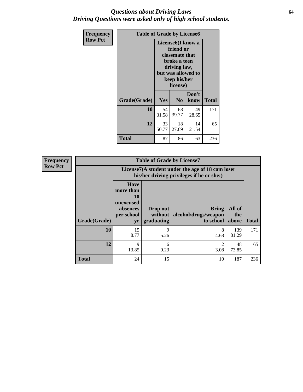#### *Questions about Driving Laws* **64** *Driving Questions were asked only of high school students.*

| <b>Frequency</b> | <b>Table of Grade by License6</b> |             |                                                                                                                           |                    |              |  |
|------------------|-----------------------------------|-------------|---------------------------------------------------------------------------------------------------------------------------|--------------------|--------------|--|
| <b>Row Pct</b>   |                                   |             | License <sub>6</sub> (I know a<br>friend or<br>classmate that<br>broke a teen<br>driving law,<br>keep his/her<br>license) | but was allowed to |              |  |
|                  | Grade(Grade)                      | Yes         | N <sub>0</sub>                                                                                                            | Don't<br>know      | <b>Total</b> |  |
|                  | 10                                | 54<br>31.58 | 68<br>39.77                                                                                                               | 49<br>28.65        | 171          |  |
|                  | 12                                | 33<br>50.77 | 18<br>27.69                                                                                                               | 14<br>21.54        | 65           |  |
|                  | Total                             | 87          | 86                                                                                                                        | 63                 | 236          |  |

| <b>Frequency</b> |              | <b>Table of Grade by License7</b>                                           |                                   |                                                                                               |                        |              |  |  |  |
|------------------|--------------|-----------------------------------------------------------------------------|-----------------------------------|-----------------------------------------------------------------------------------------------|------------------------|--------------|--|--|--|
| <b>Row Pct</b>   |              |                                                                             |                                   | License7(A student under the age of 18 cam loser<br>his/her driving privileges if he or she:) |                        |              |  |  |  |
|                  | Grade(Grade) | <b>Have</b><br>more than<br>10<br>unexcused<br>absences<br>per school<br>yr | Drop out<br>without<br>graduating | <b>Bring</b><br>alcohol/drugs/weapon<br>to school                                             | All of<br>the<br>above | <b>Total</b> |  |  |  |
|                  | 10           | 15<br>8.77                                                                  | 9<br>5.26                         | 8<br>4.68                                                                                     | 139<br>81.29           | 171          |  |  |  |
|                  | 12           | 9<br>13.85                                                                  | 6<br>9.23                         | 2<br>3.08                                                                                     | 48<br>73.85            | 65           |  |  |  |
|                  | <b>Total</b> | 24                                                                          | 15                                | 10                                                                                            | 187                    | 236          |  |  |  |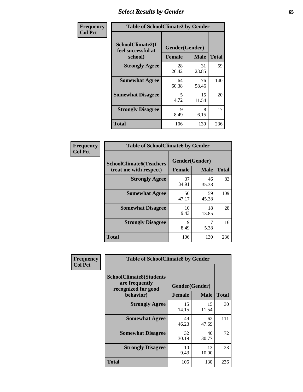# *Select Results by Gender* **65**

| Frequency      | <b>Table of SchoolClimate2 by Gender</b>          |                                 |             |              |  |
|----------------|---------------------------------------------------|---------------------------------|-------------|--------------|--|
| <b>Col Pct</b> | SchoolClimate2(I<br>feel successful at<br>school) | Gender(Gender)<br><b>Female</b> | <b>Male</b> | <b>Total</b> |  |
|                | <b>Strongly Agree</b>                             | 28<br>26.42                     | 31<br>23.85 | 59           |  |
|                | <b>Somewhat Agree</b>                             | 64<br>60.38                     | 76<br>58.46 | 140          |  |
|                | <b>Somewhat Disagree</b>                          | 5<br>4.72                       | 15<br>11.54 | 20           |  |
|                | <b>Strongly Disagree</b>                          | 9<br>8.49                       | 8<br>6.15   | 17           |  |
|                | <b>Total</b>                                      | 106                             | 130         | 236          |  |

| <b>Frequency</b> | <b>Table of SchoolClimate6 by Gender</b>                 |                     |                               |              |
|------------------|----------------------------------------------------------|---------------------|-------------------------------|--------------|
| <b>Col Pct</b>   | <b>SchoolClimate6(Teachers</b><br>treat me with respect) | <b>Female</b>       | Gender(Gender)<br><b>Male</b> | <b>Total</b> |
|                  | <b>Strongly Agree</b>                                    | 37<br>34.91         | 46<br>35.38                   | 83           |
|                  | <b>Somewhat Agree</b>                                    | 50<br>47.17         | 59<br>45.38                   | 109          |
|                  | <b>Somewhat Disagree</b>                                 | 10<br>9.43          | 18<br>13.85                   | 28           |
|                  | <b>Strongly Disagree</b>                                 | $\mathbf Q$<br>8.49 | 5.38                          | 16           |
|                  | <b>Total</b>                                             | 106                 | 130                           | 236          |

| <b>Frequency</b> | <b>Table of SchoolClimate8 by Gender</b>                                             |                                                |             |              |
|------------------|--------------------------------------------------------------------------------------|------------------------------------------------|-------------|--------------|
| <b>Col Pct</b>   | <b>SchoolClimate8(Students</b><br>are frequently<br>recognized for good<br>behavior) | Gender(Gender)<br><b>Female</b><br><b>Male</b> |             | <b>Total</b> |
|                  | <b>Strongly Agree</b>                                                                | 15<br>14.15                                    | 15<br>11.54 | 30           |
|                  | <b>Somewhat Agree</b>                                                                | 49<br>46.23                                    | 62<br>47.69 | 111          |
|                  | <b>Somewhat Disagree</b>                                                             | 32<br>30.19                                    | 40<br>30.77 | 72           |
|                  | <b>Strongly Disagree</b>                                                             | 10<br>9.43                                     | 13<br>10.00 | 23           |
|                  | Total                                                                                | 106                                            | 130         | 236          |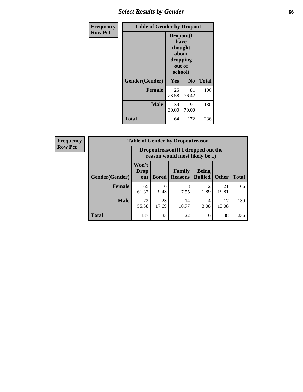# *Select Results by Gender* **66**

| Frequency      | <b>Table of Gender by Dropout</b> |                                                                        |                |              |
|----------------|-----------------------------------|------------------------------------------------------------------------|----------------|--------------|
| <b>Row Pct</b> |                                   | Dropout(I<br>have<br>thought<br>about<br>dropping<br>out of<br>school) |                |              |
|                | Gender(Gender)                    | Yes                                                                    | N <sub>0</sub> | <b>Total</b> |
|                | <b>Female</b>                     | 25<br>23.58                                                            | 81<br>76.42    | 106          |
|                | <b>Male</b>                       | 39<br>30.00                                                            | 91<br>70.00    | 130          |
|                | <b>Total</b>                      | 64                                                                     | 172            | 236          |

| <b>Frequency</b> |                | <b>Table of Gender by Dropoutreason</b>                            |              |                                 |                                |              |              |
|------------------|----------------|--------------------------------------------------------------------|--------------|---------------------------------|--------------------------------|--------------|--------------|
| <b>Row Pct</b>   |                | Dropoutreason(If I dropped out the<br>reason would most likely be) |              |                                 |                                |              |              |
|                  | Gender(Gender) | Won't<br><b>Drop</b><br>out                                        | <b>Bored</b> | <b>Family</b><br><b>Reasons</b> | <b>Being</b><br><b>Bullied</b> | <b>Other</b> | <b>Total</b> |
|                  | Female         | 65<br>61.32                                                        | 10<br>9.43   | 8<br>7.55                       | ↑<br>1.89                      | 21<br>19.81  | 106          |
|                  | <b>Male</b>    | 72<br>55.38                                                        | 23<br>17.69  | 14<br>10.77                     | 4<br>3.08                      | 17<br>13.08  | 130          |
|                  | <b>Total</b>   | 137                                                                | 33           | 22                              | 6                              | 38           | 236          |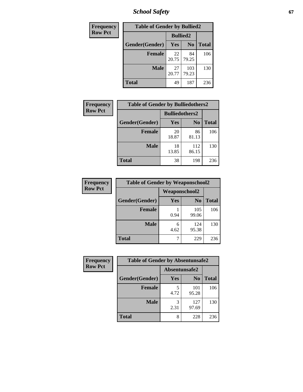*School Safety* **67**

| Frequency      | <b>Table of Gender by Bullied2</b> |                 |                |              |
|----------------|------------------------------------|-----------------|----------------|--------------|
| <b>Row Pct</b> |                                    | <b>Bullied2</b> |                |              |
|                | Gender(Gender)                     | Yes             | N <sub>0</sub> | <b>Total</b> |
|                | <b>Female</b>                      | 22<br>20.75     | 84<br>79.25    | 106          |
|                | <b>Male</b>                        | 27<br>20.77     | 103<br>79.23   | 130          |
|                | <b>Total</b>                       | 49              | 187            | 236          |

| Frequency      | <b>Table of Gender by Bulliedothers2</b> |                       |                |              |
|----------------|------------------------------------------|-----------------------|----------------|--------------|
| <b>Row Pct</b> |                                          | <b>Bulliedothers2</b> |                |              |
|                | Gender(Gender)                           | <b>Yes</b>            | N <sub>0</sub> | <b>Total</b> |
|                | <b>Female</b>                            | 20<br>18.87           | 86<br>81.13    | 106          |
|                | <b>Male</b>                              | 18<br>13.85           | 112<br>86.15   | 130          |
|                | <b>Total</b>                             | 38                    | 198            | 236          |

| <b>Frequency</b> | <b>Table of Gender by Weaponschool2</b> |                      |                |              |
|------------------|-----------------------------------------|----------------------|----------------|--------------|
| <b>Row Pct</b>   |                                         | <b>Weaponschool2</b> |                |              |
|                  | Gender(Gender)                          | Yes                  | N <sub>0</sub> | <b>Total</b> |
|                  | <b>Female</b>                           | 0.94                 | 105<br>99.06   | 106          |
|                  | <b>Male</b>                             | 6<br>4.62            | 124<br>95.38   | 130          |
|                  | <b>Total</b>                            |                      | 229            | 236          |

| Frequency      | <b>Table of Gender by Absentunsafe2</b> |               |                |              |
|----------------|-----------------------------------------|---------------|----------------|--------------|
| <b>Row Pct</b> |                                         | Absentunsafe2 |                |              |
|                | Gender(Gender)                          | Yes           | N <sub>0</sub> | <b>Total</b> |
|                | <b>Female</b>                           | 4.72          | 101<br>95.28   | 106          |
|                | <b>Male</b>                             | 2.31          | 127<br>97.69   | 130          |
|                | <b>Total</b>                            | 8             | 228            | 236          |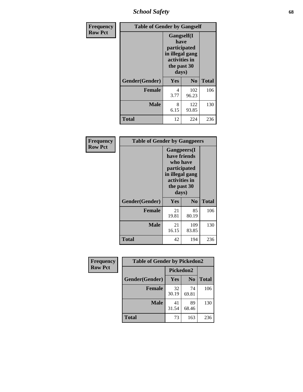*School Safety* **68**

| Frequency      | <b>Table of Gender by Gangself</b> |                                                                                                |              |              |
|----------------|------------------------------------|------------------------------------------------------------------------------------------------|--------------|--------------|
| <b>Row Pct</b> |                                    | Gangself(I<br>have<br>participated<br>in illegal gang<br>activities in<br>the past 30<br>days) |              |              |
|                | Gender(Gender)                     | Yes                                                                                            | No           | <b>Total</b> |
|                | <b>Female</b>                      | 4<br>3.77                                                                                      | 102<br>96.23 | 106          |
|                | <b>Male</b>                        | 8<br>6.15                                                                                      | 122<br>93.85 | 130          |
|                | <b>Total</b>                       | 12                                                                                             | 224          | 236          |

| Frequency      | <b>Table of Gender by Gangpeers</b> |                                                                                                                 |                |              |
|----------------|-------------------------------------|-----------------------------------------------------------------------------------------------------------------|----------------|--------------|
| <b>Row Pct</b> |                                     | <b>Gangpeers</b> (I<br>have friends<br>participated<br>in illegal gang<br>activities in<br>the past 30<br>days) | who have       |              |
|                | Gender(Gender)                      | Yes                                                                                                             | N <sub>0</sub> | <b>Total</b> |
|                | <b>Female</b>                       | 21<br>19.81                                                                                                     | 85<br>80.19    | 106          |
|                | <b>Male</b>                         | 21<br>16.15                                                                                                     | 109<br>83.85   | 130          |
|                | <b>Total</b>                        | 42                                                                                                              | 194            | 236          |

| Frequency      | <b>Table of Gender by Pickedon2</b> |             |                |              |
|----------------|-------------------------------------|-------------|----------------|--------------|
| <b>Row Pct</b> |                                     | Pickedon2   |                |              |
|                | Gender(Gender)                      | <b>Yes</b>  | N <sub>0</sub> | <b>Total</b> |
|                | <b>Female</b>                       | 32<br>30.19 | 74<br>69.81    | 106          |
|                | <b>Male</b>                         | 41<br>31.54 | 89<br>68.46    | 130          |
|                | <b>Total</b>                        | 73          | 163            | 236          |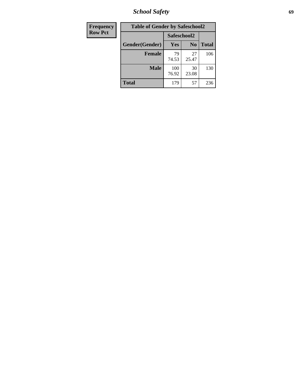*School Safety* **69**

| Frequency      | <b>Table of Gender by Safeschool2</b> |              |                |              |  |
|----------------|---------------------------------------|--------------|----------------|--------------|--|
| <b>Row Pct</b> |                                       |              | Safeschool2    |              |  |
|                | Gender(Gender)                        | <b>Yes</b>   | N <sub>0</sub> | <b>Total</b> |  |
|                | <b>Female</b>                         | 79<br>74.53  | 27<br>25.47    | 106          |  |
|                | <b>Male</b>                           | 100<br>76.92 | 30<br>23.08    | 130          |  |
|                | <b>Total</b>                          | 179          | 57             | 236          |  |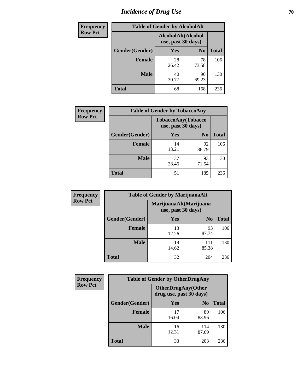# *Incidence of Drug Use* **70**

| <b>Frequency</b> | <b>Table of Gender by AlcoholAlt</b> |                                          |                |              |  |
|------------------|--------------------------------------|------------------------------------------|----------------|--------------|--|
| <b>Row Pct</b>   |                                      | AlcoholAlt(Alcohol<br>use, past 30 days) |                |              |  |
|                  | Gender(Gender)                       | <b>Yes</b>                               | N <sub>0</sub> | <b>Total</b> |  |
|                  | <b>Female</b>                        | 28<br>26.42                              | 78<br>73.58    | 106          |  |
|                  | <b>Male</b>                          | 40<br>30.77                              | 90<br>69.23    | 130          |  |
|                  | <b>Total</b>                         | 68                                       | 168            | 236          |  |

| Frequency      | <b>Table of Gender by TobaccoAny</b> |                                          |                |              |  |
|----------------|--------------------------------------|------------------------------------------|----------------|--------------|--|
| <b>Row Pct</b> |                                      | TobaccoAny(Tobacco<br>use, past 30 days) |                |              |  |
|                | Gender(Gender)                       | Yes                                      | N <sub>0</sub> | <b>Total</b> |  |
|                | <b>Female</b>                        | 14<br>13.21                              | 92<br>86.79    | 106          |  |
|                | <b>Male</b>                          | 37<br>28.46                              | 93<br>71.54    | 130          |  |
|                | <b>Total</b>                         | 51                                       | 185            | 236          |  |

| <b>Frequency</b> | <b>Table of Gender by MarijuanaAlt</b>       |             |                |              |  |
|------------------|----------------------------------------------|-------------|----------------|--------------|--|
| <b>Row Pct</b>   | MarijuanaAlt(Marijuana<br>use, past 30 days) |             |                |              |  |
|                  | Gender(Gender)                               | <b>Yes</b>  | N <sub>0</sub> | <b>Total</b> |  |
|                  | <b>Female</b>                                | 13<br>12.26 | 93<br>87.74    | 106          |  |
|                  | <b>Male</b>                                  | 19<br>14.62 | 111<br>85.38   | 130          |  |
|                  | <b>Total</b>                                 | 32          | 204            | 236          |  |

| <b>Frequency</b> | <b>Table of Gender by OtherDrugAny</b> |                         |                           |              |  |
|------------------|----------------------------------------|-------------------------|---------------------------|--------------|--|
| <b>Row Pct</b>   |                                        | drug use, past 30 days) | <b>OtherDrugAny(Other</b> |              |  |
|                  | Gender(Gender)                         | <b>Yes</b>              | N <sub>0</sub>            | <b>Total</b> |  |
|                  | <b>Female</b>                          | 17<br>16.04             | 89<br>83.96               | 106          |  |
|                  | <b>Male</b>                            | 16<br>12.31             | 114<br>87.69              | 130          |  |
|                  | <b>Total</b>                           | 33                      | 203                       | 236          |  |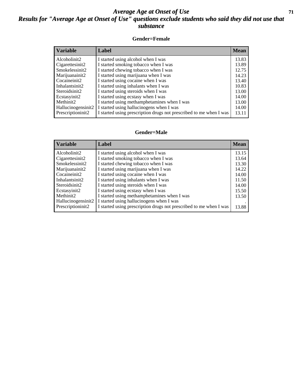#### *Average Age at Onset of Use* **71** *Results for "Average Age at Onset of Use" questions exclude students who said they did not use that substance*

#### **Gender=Female**

| <b>Variable</b>                 | <b>Label</b>                                                       | <b>Mean</b> |
|---------------------------------|--------------------------------------------------------------------|-------------|
| Alcoholinit2                    | I started using alcohol when I was                                 | 13.83       |
| Cigarettesinit2                 | I started smoking tobacco when I was                               | 13.89       |
| Smokelessinit2                  | I started chewing tobacco when I was                               | 12.75       |
| Marijuanainit2                  | I started using marijuana when I was                               | 14.23       |
| Cocaineinit2                    | I started using cocaine when I was                                 | 13.40       |
| Inhalantsinit2                  | I started using inhalants when I was                               | 10.83       |
| Steroidsinit2                   | I started using steroids when I was                                | 13.00       |
| Ecstasyinit2                    | I started using ecstasy when I was                                 | 14.00       |
| Methinit2                       | I started using methamphetamines when I was                        | 13.00       |
| Hallucinogensinit2              | I started using hallucinogens when I was                           | 14.00       |
| Prescription in it <sub>2</sub> | I started using prescription drugs not prescribed to me when I was | 13.11       |

#### **Gender=Male**

| <b>Variable</b>    | Label                                                              | <b>Mean</b> |
|--------------------|--------------------------------------------------------------------|-------------|
| Alcoholinit2       | I started using alcohol when I was                                 | 13.15       |
| Cigarettesinit2    | I started smoking tobacco when I was                               | 13.64       |
| Smokelessinit2     | I started chewing tobacco when I was                               | 13.30       |
| Marijuanainit2     | I started using marijuana when I was                               | 14.22       |
| Cocaineinit2       | I started using cocaine when I was                                 | 14.00       |
| Inhalantsinit2     | I started using inhalants when I was                               | 11.50       |
| Steroidsinit2      | I started using steroids when I was                                | 14.00       |
| Ecstasyinit2       | I started using ecstasy when I was                                 | 15.50       |
| Methinit2          | I started using methamphetamines when I was                        | 13.50       |
| Hallucinogensinit2 | I started using hallucinogens when I was                           |             |
| Prescriptioninit2  | I started using prescription drugs not prescribed to me when I was | 13.88       |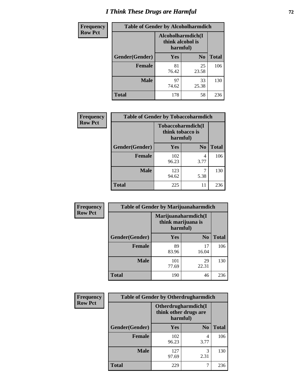# *I Think These Drugs are Harmful* **72**

| <b>Frequency</b> | <b>Table of Gender by Alcoholharmdich</b> |             |                                       |              |  |
|------------------|-------------------------------------------|-------------|---------------------------------------|--------------|--|
| <b>Row Pct</b>   |                                           | harmful)    | Alcoholharmdich(I<br>think alcohol is |              |  |
|                  | Gender(Gender)                            | Yes         | N <sub>0</sub>                        | <b>Total</b> |  |
|                  | <b>Female</b>                             | 81<br>76.42 | 25<br>23.58                           | 106          |  |
|                  | <b>Male</b>                               | 97<br>74.62 | 33<br>25.38                           | 130          |  |
|                  | <b>Total</b>                              | 178         | 58                                    | 236          |  |

| Frequency      | <b>Table of Gender by Tobaccoharmdich</b> |                                       |                |              |  |
|----------------|-------------------------------------------|---------------------------------------|----------------|--------------|--|
| <b>Row Pct</b> |                                           | Tobaccoharmdich(I<br>think tobacco is | harmful)       |              |  |
|                | Gender(Gender)                            | Yes                                   | N <sub>0</sub> | <b>Total</b> |  |
|                | <b>Female</b>                             | 102<br>96.23                          | 4<br>3.77      | 106          |  |
|                | <b>Male</b>                               | 123<br>94.62                          | 5.38           | 130          |  |
|                | <b>Total</b>                              | 225                                   | 11             | 236          |  |

| Frequency      | <b>Table of Gender by Marijuanaharmdich</b> |                                                       |                |              |  |
|----------------|---------------------------------------------|-------------------------------------------------------|----------------|--------------|--|
| <b>Row Pct</b> |                                             | Marijuanaharmdich(I<br>think marijuana is<br>harmful) |                |              |  |
|                | Gender(Gender)                              | <b>Yes</b>                                            | N <sub>0</sub> | <b>Total</b> |  |
|                | <b>Female</b>                               | 89<br>83.96                                           | 17<br>16.04    | 106          |  |
|                | <b>Male</b>                                 | 101<br>77.69                                          | 29<br>22.31    | 130          |  |
|                | <b>Total</b>                                | 190                                                   | 46             | 236          |  |

| Frequency      | <b>Table of Gender by Otherdrugharmdich</b> |                                                          |                |              |  |
|----------------|---------------------------------------------|----------------------------------------------------------|----------------|--------------|--|
| <b>Row Pct</b> |                                             | Otherdrugharmdich(I<br>think other drugs are<br>harmful) |                |              |  |
|                | Gender(Gender)                              | <b>Yes</b>                                               | N <sub>0</sub> | <b>Total</b> |  |
|                | <b>Female</b>                               | 102<br>96.23                                             | 4<br>3.77      | 106          |  |
|                | <b>Male</b>                                 | 127<br>97.69                                             | 3<br>2.31      | 130          |  |
|                | <b>Total</b>                                | 229                                                      | 7              | 236          |  |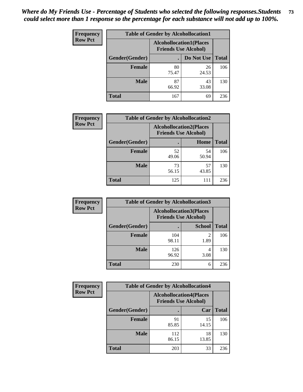| <b>Frequency</b> | <b>Table of Gender by Alcohollocation1</b> |                                                               |             |              |
|------------------|--------------------------------------------|---------------------------------------------------------------|-------------|--------------|
| <b>Row Pct</b>   |                                            | <b>Alcohollocation1(Places</b><br><b>Friends Use Alcohol)</b> |             |              |
|                  | Gender(Gender)                             |                                                               | Do Not Use  | <b>Total</b> |
|                  | <b>Female</b>                              | 80<br>75.47                                                   | 26<br>24.53 | 106          |
|                  | <b>Male</b>                                | 87<br>66.92                                                   | 43<br>33.08 | 130          |
|                  | <b>Total</b>                               | 167                                                           | 69          | 236          |

| <b>Frequency</b> | <b>Table of Gender by Alcohollocation2</b> |             |                                                               |              |
|------------------|--------------------------------------------|-------------|---------------------------------------------------------------|--------------|
| <b>Row Pct</b>   |                                            |             | <b>Alcohollocation2(Places</b><br><b>Friends Use Alcohol)</b> |              |
|                  | Gender(Gender)                             |             | Home                                                          | <b>Total</b> |
|                  | <b>Female</b>                              | 52<br>49.06 | 54<br>50.94                                                   | 106          |
|                  | <b>Male</b>                                | 73<br>56.15 | 57<br>43.85                                                   | 130          |
|                  | <b>Total</b>                               | 125         | 111                                                           | 236          |

| Frequency      | <b>Table of Gender by Alcohollocation3</b> |                                                               |               |              |
|----------------|--------------------------------------------|---------------------------------------------------------------|---------------|--------------|
| <b>Row Pct</b> |                                            | <b>Alcohollocation3(Places</b><br><b>Friends Use Alcohol)</b> |               |              |
|                | Gender(Gender)                             |                                                               | <b>School</b> | <b>Total</b> |
|                | <b>Female</b>                              | 104<br>98.11                                                  | 2<br>1.89     | 106          |
|                | <b>Male</b>                                | 126<br>96.92                                                  | 4<br>3.08     | 130          |
|                | <b>Total</b>                               | 230                                                           | 6             | 236          |

| Frequency      | <b>Table of Gender by Alcohollocation4</b> |                                                               |             |              |
|----------------|--------------------------------------------|---------------------------------------------------------------|-------------|--------------|
| <b>Row Pct</b> |                                            | <b>Alcohollocation4(Places</b><br><b>Friends Use Alcohol)</b> |             |              |
|                | Gender(Gender)                             |                                                               | Car         | <b>Total</b> |
|                | <b>Female</b>                              | 91<br>85.85                                                   | 15<br>14.15 | 106          |
|                | <b>Male</b>                                | 112<br>86.15                                                  | 18<br>13.85 | 130          |
|                | <b>Total</b>                               | 203                                                           | 33          | 236          |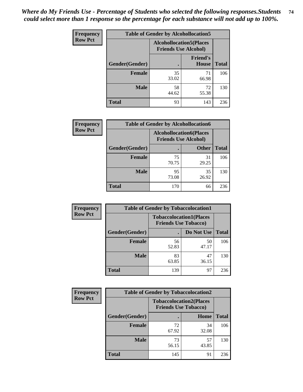| <b>Frequency</b> | <b>Table of Gender by Alcohollocation5</b> |                                                                |                          |              |
|------------------|--------------------------------------------|----------------------------------------------------------------|--------------------------|--------------|
| <b>Row Pct</b>   |                                            | <b>Alcohollocation5</b> (Places<br><b>Friends Use Alcohol)</b> |                          |              |
|                  | Gender(Gender)                             |                                                                | <b>Friend's</b><br>House | <b>Total</b> |
|                  | <b>Female</b>                              | 35<br>33.02                                                    | 71<br>66.98              | 106          |
|                  | <b>Male</b>                                | 58<br>44.62                                                    | 72<br>55.38              | 130          |
|                  | <b>Total</b>                               | 93                                                             | 143                      | 236          |

| <b>Frequency</b> | <b>Table of Gender by Alcohollocation6</b> |                                                               |              |              |
|------------------|--------------------------------------------|---------------------------------------------------------------|--------------|--------------|
| <b>Row Pct</b>   |                                            | <b>Alcohollocation6(Places</b><br><b>Friends Use Alcohol)</b> |              |              |
|                  | Gender(Gender)                             |                                                               | <b>Other</b> | <b>Total</b> |
|                  | <b>Female</b>                              | 75<br>70.75                                                   | 31<br>29.25  | 106          |
|                  | <b>Male</b>                                | 95<br>73.08                                                   | 35<br>26.92  | 130          |
|                  | <b>Total</b>                               | 170                                                           | 66           | 236          |

| Frequency      | <b>Table of Gender by Tobaccolocation1</b> |                                                               |             |              |  |
|----------------|--------------------------------------------|---------------------------------------------------------------|-------------|--------------|--|
| <b>Row Pct</b> |                                            | <b>Tobaccolocation1(Places</b><br><b>Friends Use Tobacco)</b> |             |              |  |
|                | Gender(Gender)                             |                                                               | Do Not Use  | <b>Total</b> |  |
|                | <b>Female</b>                              | 56<br>52.83                                                   | 50<br>47.17 | 106          |  |
|                | <b>Male</b>                                | 83<br>63.85                                                   | 47<br>36.15 | 130          |  |
|                | <b>Total</b>                               | 139                                                           | 97          | 236          |  |

| <b>Frequency</b> | <b>Table of Gender by Tobaccolocation2</b> |                                                               |             |              |  |
|------------------|--------------------------------------------|---------------------------------------------------------------|-------------|--------------|--|
| <b>Row Pct</b>   |                                            | <b>Tobaccolocation2(Places</b><br><b>Friends Use Tobacco)</b> |             |              |  |
|                  | Gender(Gender)                             |                                                               | Home        | <b>Total</b> |  |
|                  | Female                                     | 72<br>67.92                                                   | 34<br>32.08 | 106          |  |
|                  | <b>Male</b>                                | 73<br>56.15                                                   | 57<br>43.85 | 130          |  |
|                  | <b>Total</b>                               | 145                                                           | 91          | 236          |  |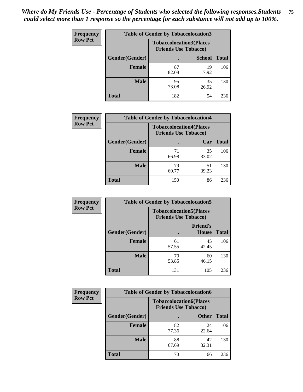| <b>Frequency</b> | <b>Table of Gender by Tobaccolocation3</b> |                                                               |               |              |
|------------------|--------------------------------------------|---------------------------------------------------------------|---------------|--------------|
| <b>Row Pct</b>   |                                            | <b>Tobaccolocation3(Places</b><br><b>Friends Use Tobacco)</b> |               |              |
|                  | Gender(Gender)                             |                                                               | <b>School</b> | <b>Total</b> |
|                  | <b>Female</b>                              | 87<br>82.08                                                   | 19<br>17.92   | 106          |
|                  | <b>Male</b>                                | 95<br>73.08                                                   | 35<br>26.92   | 130          |
|                  | <b>Total</b>                               | 182                                                           | 54            | 236          |

| <b>Frequency</b> | <b>Table of Gender by Tobaccolocation4</b> |                                                               |             |              |
|------------------|--------------------------------------------|---------------------------------------------------------------|-------------|--------------|
| <b>Row Pct</b>   |                                            | <b>Tobaccolocation4(Places</b><br><b>Friends Use Tobacco)</b> |             |              |
|                  | Gender(Gender)                             |                                                               | Car         | <b>Total</b> |
|                  | <b>Female</b>                              | 71<br>66.98                                                   | 35<br>33.02 | 106          |
|                  | <b>Male</b>                                | 79<br>60.77                                                   | 51<br>39.23 | 130          |
|                  | <b>Total</b>                               | 150                                                           | 86          | 236          |

| <b>Frequency</b> | <b>Table of Gender by Tobaccolocation5</b> |                                                               |                          |              |
|------------------|--------------------------------------------|---------------------------------------------------------------|--------------------------|--------------|
| <b>Row Pct</b>   |                                            | <b>Tobaccolocation5(Places</b><br><b>Friends Use Tobacco)</b> |                          |              |
|                  | <b>Gender(Gender)</b>                      |                                                               | <b>Friend's</b><br>House | <b>Total</b> |
|                  | <b>Female</b>                              | 61<br>57.55                                                   | 45<br>42.45              | 106          |
|                  | <b>Male</b>                                | 70<br>53.85                                                   | 60<br>46.15              | 130          |
|                  | <b>Total</b>                               | 131                                                           | 105                      | 236          |

| <b>Frequency</b> |                | <b>Table of Gender by Tobaccolocation6</b>                    |              |              |  |
|------------------|----------------|---------------------------------------------------------------|--------------|--------------|--|
| <b>Row Pct</b>   |                | <b>Tobaccolocation6(Places</b><br><b>Friends Use Tobacco)</b> |              |              |  |
|                  | Gender(Gender) |                                                               | <b>Other</b> | <b>Total</b> |  |
|                  | Female         | 82<br>77.36                                                   | 24<br>22.64  | 106          |  |
|                  | <b>Male</b>    | 88<br>67.69                                                   | 42<br>32.31  | 130          |  |
|                  | <b>Total</b>   | 170                                                           | 66           | 236          |  |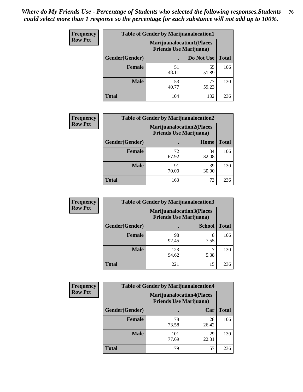| <b>Frequency</b> | <b>Table of Gender by Marijuanalocation1</b> |                                                                    |             |              |
|------------------|----------------------------------------------|--------------------------------------------------------------------|-------------|--------------|
| <b>Row Pct</b>   |                                              | <b>Marijuanalocation1(Places</b><br><b>Friends Use Marijuana</b> ) |             |              |
|                  | Gender(Gender)                               |                                                                    | Do Not Use  | <b>Total</b> |
|                  | <b>Female</b>                                | 51<br>48.11                                                        | 55<br>51.89 | 106          |
|                  | <b>Male</b>                                  | 53<br>40.77                                                        | 77<br>59.23 | 130          |
|                  | <b>Total</b>                                 | 104                                                                | 132         | 236          |

| <b>Frequency</b> | <b>Table of Gender by Marijuanalocation2</b> |                                                                    |             |              |  |
|------------------|----------------------------------------------|--------------------------------------------------------------------|-------------|--------------|--|
| <b>Row Pct</b>   |                                              | <b>Marijuanalocation2(Places</b><br><b>Friends Use Marijuana</b> ) |             |              |  |
|                  | Gender(Gender)                               |                                                                    | Home        | <b>Total</b> |  |
|                  | <b>Female</b>                                | 72<br>67.92                                                        | 34<br>32.08 | 106          |  |
|                  | <b>Male</b>                                  | 91<br>70.00                                                        | 39<br>30.00 | 130          |  |
|                  | <b>Total</b>                                 | 163                                                                | 73          | 236          |  |

| Frequency      | <b>Table of Gender by Marijuanalocation3</b> |              |                                                                    |              |
|----------------|----------------------------------------------|--------------|--------------------------------------------------------------------|--------------|
| <b>Row Pct</b> |                                              |              | <b>Marijuanalocation3(Places</b><br><b>Friends Use Marijuana</b> ) |              |
|                | Gender(Gender)                               |              | <b>School</b>                                                      | <b>Total</b> |
|                | Female                                       | 98<br>92.45  | 8<br>7.55                                                          | 106          |
|                | <b>Male</b>                                  | 123<br>94.62 | 5.38                                                               | 130          |
|                | <b>Total</b>                                 | 221          | 15                                                                 | 236          |

| <b>Frequency</b> | <b>Table of Gender by Marijuanalocation4</b> |                                |                                  |              |  |
|------------------|----------------------------------------------|--------------------------------|----------------------------------|--------------|--|
| <b>Row Pct</b>   |                                              | <b>Friends Use Marijuana</b> ) | <b>Marijuanalocation4(Places</b> |              |  |
|                  | Gender(Gender)                               |                                | Car                              | <b>Total</b> |  |
|                  | <b>Female</b>                                | 78<br>73.58                    | 28<br>26.42                      | 106          |  |
|                  | <b>Male</b>                                  | 101<br>77.69                   | 29<br>22.31                      | 130          |  |
|                  | <b>Total</b>                                 | 179                            | 57                               | 236          |  |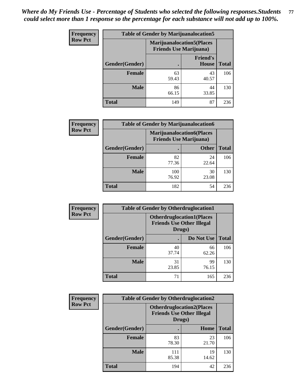| <b>Frequency</b> | <b>Table of Gender by Marijuanalocation5</b> |                                                                    |                                 |              |
|------------------|----------------------------------------------|--------------------------------------------------------------------|---------------------------------|--------------|
| <b>Row Pct</b>   |                                              | <b>Marijuanalocation5(Places</b><br><b>Friends Use Marijuana</b> ) |                                 |              |
|                  | Gender(Gender)                               |                                                                    | <b>Friend's</b><br><b>House</b> | <b>Total</b> |
|                  | <b>Female</b>                                | 63<br>59.43                                                        | 43<br>40.57                     | 106          |
|                  | <b>Male</b>                                  | 86<br>66.15                                                        | 44<br>33.85                     | 130          |
|                  | <b>Total</b>                                 | 149                                                                | 87                              | 236          |

| <b>Frequency</b> | <b>Table of Gender by Marijuanalocation6</b> |                                |                                  |              |
|------------------|----------------------------------------------|--------------------------------|----------------------------------|--------------|
| <b>Row Pct</b>   |                                              | <b>Friends Use Marijuana</b> ) | <b>Marijuanalocation6(Places</b> |              |
|                  | Gender(Gender)                               |                                | <b>Other</b>                     | <b>Total</b> |
|                  | <b>Female</b>                                | 82<br>77.36                    | 24<br>22.64                      | 106          |
|                  | <b>Male</b>                                  | 100<br>76.92                   | 30<br>23.08                      | 130          |
|                  | <b>Total</b>                                 | 182                            | 54                               | 236          |

| <b>Frequency</b> | <b>Table of Gender by Otherdruglocation1</b> |                                                                                |             |              |
|------------------|----------------------------------------------|--------------------------------------------------------------------------------|-------------|--------------|
| <b>Row Pct</b>   |                                              | <b>Otherdruglocation1(Places</b><br><b>Friends Use Other Illegal</b><br>Drugs) |             |              |
|                  | Gender(Gender)                               |                                                                                | Do Not Use  | <b>Total</b> |
|                  | Female                                       | 40<br>37.74                                                                    | 66<br>62.26 | 106          |
|                  | <b>Male</b>                                  | 31<br>23.85                                                                    | 99<br>76.15 | 130          |
|                  | <b>Total</b>                                 | 71                                                                             | 165         | 236          |

| <b>Frequency</b> | <b>Table of Gender by Otherdruglocation2</b> |                                                                                |             |              |
|------------------|----------------------------------------------|--------------------------------------------------------------------------------|-------------|--------------|
| <b>Row Pct</b>   |                                              | <b>Otherdruglocation2(Places</b><br><b>Friends Use Other Illegal</b><br>Drugs) |             |              |
|                  | Gender(Gender)                               |                                                                                | Home        | <b>Total</b> |
|                  | <b>Female</b>                                | 83<br>78.30                                                                    | 23<br>21.70 | 106          |
|                  | <b>Male</b>                                  | 111<br>85.38                                                                   | 19<br>14.62 | 130          |
|                  | <b>Total</b>                                 | 194                                                                            | 42          | 236          |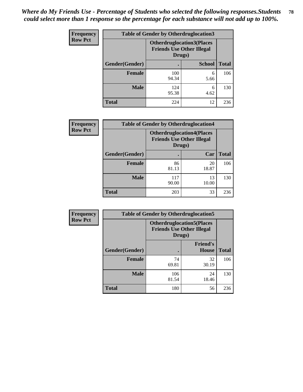| Frequency      | <b>Table of Gender by Otherdruglocation3</b> |                                                                                |               |              |
|----------------|----------------------------------------------|--------------------------------------------------------------------------------|---------------|--------------|
| <b>Row Pct</b> |                                              | <b>Otherdruglocation3(Places</b><br><b>Friends Use Other Illegal</b><br>Drugs) |               |              |
|                | Gender(Gender)                               |                                                                                | <b>School</b> | <b>Total</b> |
|                | <b>Female</b>                                | 100<br>94.34                                                                   | 6<br>5.66     | 106          |
|                | <b>Male</b>                                  | 124<br>95.38                                                                   | 6<br>4.62     | 130          |
|                | <b>Total</b>                                 | 224                                                                            | 12            | 236          |

| Frequency      | <b>Table of Gender by Otherdruglocation4</b> |                                                                                |             |              |
|----------------|----------------------------------------------|--------------------------------------------------------------------------------|-------------|--------------|
| <b>Row Pct</b> |                                              | <b>Otherdruglocation4(Places</b><br><b>Friends Use Other Illegal</b><br>Drugs) |             |              |
|                | <b>Gender</b> (Gender)                       |                                                                                | Car         | <b>Total</b> |
|                | <b>Female</b>                                | 86<br>81.13                                                                    | 20<br>18.87 | 106          |
|                | <b>Male</b>                                  | 117<br>90.00                                                                   | 13<br>10.00 | 130          |
|                | <b>Total</b>                                 | 203                                                                            | 33          | 236          |

| Frequency      | <b>Table of Gender by Otherdruglocation5</b>                                   |              |                                 |              |
|----------------|--------------------------------------------------------------------------------|--------------|---------------------------------|--------------|
| <b>Row Pct</b> | <b>Otherdruglocation5(Places</b><br><b>Friends Use Other Illegal</b><br>Drugs) |              |                                 |              |
|                | Gender(Gender)                                                                 |              | <b>Friend's</b><br><b>House</b> | <b>Total</b> |
|                | <b>Female</b>                                                                  | 74<br>69.81  | 32<br>30.19                     | 106          |
|                | <b>Male</b>                                                                    | 106<br>81.54 | 24<br>18.46                     | 130          |
|                | <b>Total</b>                                                                   | 180          | 56                              | 236          |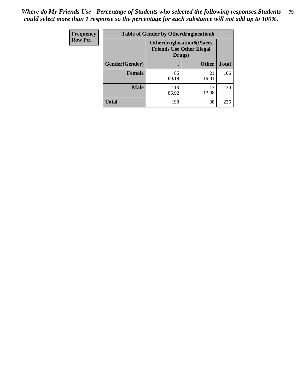| Frequency      | <b>Table of Gender by Otherdruglocation6</b> |                                            |                                  |              |
|----------------|----------------------------------------------|--------------------------------------------|----------------------------------|--------------|
| <b>Row Pct</b> |                                              | <b>Friends Use Other Illegal</b><br>Drugs) | <b>Otherdruglocation6(Places</b> |              |
|                | Gender(Gender)                               |                                            | <b>Other</b>                     | <b>Total</b> |
|                | <b>Female</b>                                | 85<br>80.19                                | 21<br>19.81                      | 106          |
|                | <b>Male</b>                                  | 113<br>86.92                               | 17<br>13.08                      | 130          |
|                | <b>Total</b>                                 | 198                                        | 38                               | 236          |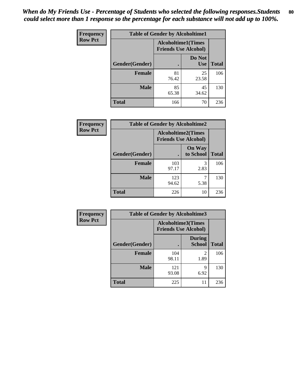| Frequency      | <b>Table of Gender by Alcoholtime1</b> |                                                          |                      |              |
|----------------|----------------------------------------|----------------------------------------------------------|----------------------|--------------|
| <b>Row Pct</b> |                                        | <b>Alcoholtime1(Times</b><br><b>Friends Use Alcohol)</b> |                      |              |
|                | Gender(Gender)                         | $\bullet$                                                | Do Not<br><b>Use</b> | <b>Total</b> |
|                | <b>Female</b>                          | 81<br>76.42                                              | 25<br>23.58          | 106          |
|                | <b>Male</b>                            | 85<br>65.38                                              | 45<br>34.62          | 130          |
|                | <b>Total</b>                           | 166                                                      | 70                   | 236          |

| Frequency      | <b>Table of Gender by Alcoholtime2</b> |                                                          |                            |              |
|----------------|----------------------------------------|----------------------------------------------------------|----------------------------|--------------|
| <b>Row Pct</b> |                                        | <b>Alcoholtime2(Times</b><br><b>Friends Use Alcohol)</b> |                            |              |
|                | Gender(Gender)                         |                                                          | <b>On Way</b><br>to School | <b>Total</b> |
|                | <b>Female</b>                          | 103<br>97.17                                             | 3<br>2.83                  | 106          |
|                | <b>Male</b>                            | 123<br>94.62                                             | 5.38                       | 130          |
|                | <b>Total</b>                           | 226                                                      | 10                         | 236          |

| Frequency      | <b>Table of Gender by Alcoholtime3</b> |                                                          |                         |              |
|----------------|----------------------------------------|----------------------------------------------------------|-------------------------|--------------|
| <b>Row Pct</b> |                                        | <b>Alcoholtime3(Times</b><br><b>Friends Use Alcohol)</b> |                         |              |
|                | Gender(Gender)                         |                                                          | During<br><b>School</b> | <b>Total</b> |
|                | Female                                 | 104<br>98.11                                             | 2<br>1.89               | 106          |
|                | <b>Male</b>                            | 121<br>93.08                                             | 9<br>6.92               | 130          |
|                | <b>Total</b>                           | 225                                                      | 11                      | 236          |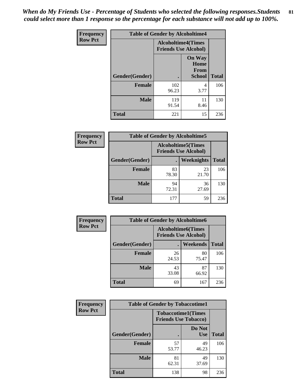*When do My Friends Use - Percentage of Students who selected the following responses.Students could select more than 1 response so the percentage for each substance will not add up to 100%.* **81**

| <b>Frequency</b> | <b>Table of Gender by Alcoholtime4</b> |                                                          |                                                       |              |
|------------------|----------------------------------------|----------------------------------------------------------|-------------------------------------------------------|--------------|
| <b>Row Pct</b>   |                                        | <b>Alcoholtime4(Times</b><br><b>Friends Use Alcohol)</b> |                                                       |              |
|                  | <b>Gender</b> (Gender)                 |                                                          | <b>On Way</b><br>Home<br><b>From</b><br><b>School</b> | <b>Total</b> |
|                  | <b>Female</b>                          | 102<br>96.23                                             | 4<br>3.77                                             | 106          |
|                  | <b>Male</b>                            | 119<br>91.54                                             | 11<br>8.46                                            | 130          |
|                  | <b>Total</b>                           | 221                                                      | 15                                                    | 236          |

| <b>Frequency</b> | <b>Table of Gender by Alcoholtime5</b> |                                                          |             |              |
|------------------|----------------------------------------|----------------------------------------------------------|-------------|--------------|
| <b>Row Pct</b>   |                                        | <b>Alcoholtime5(Times</b><br><b>Friends Use Alcohol)</b> |             |              |
|                  | Gender(Gender)                         |                                                          | Weeknights  | <b>Total</b> |
|                  | <b>Female</b>                          | 83<br>78.30                                              | 23<br>21.70 | 106          |
|                  | <b>Male</b>                            | 94<br>72.31                                              | 36<br>27.69 | 130          |
|                  | <b>Total</b>                           | 177                                                      | 59          | 236          |

| <b>Frequency</b> | <b>Table of Gender by Alcoholtime6</b> |             |                                                           |              |  |
|------------------|----------------------------------------|-------------|-----------------------------------------------------------|--------------|--|
| <b>Row Pct</b>   |                                        |             | <b>Alcoholtime6</b> (Times<br><b>Friends Use Alcohol)</b> |              |  |
|                  | Gender(Gender)                         |             | <b>Weekends</b>                                           | <b>Total</b> |  |
|                  | <b>Female</b>                          | 26<br>24.53 | 80<br>75.47                                               | 106          |  |
|                  | <b>Male</b>                            | 43<br>33.08 | 87<br>66.92                                               | 130          |  |
|                  | <b>Total</b>                           | 69          | 167                                                       | 236          |  |

| Frequency      | <b>Table of Gender by Tobaccotime1</b> |                                                          |                      |              |  |
|----------------|----------------------------------------|----------------------------------------------------------|----------------------|--------------|--|
| <b>Row Pct</b> |                                        | <b>Tobaccotime1(Times</b><br><b>Friends Use Tobacco)</b> |                      |              |  |
|                | Gender(Gender)                         |                                                          | Do Not<br><b>Use</b> | <b>Total</b> |  |
|                | <b>Female</b>                          | 57<br>53.77                                              | 49<br>46.23          | 106          |  |
|                | <b>Male</b>                            | 81<br>62.31                                              | 49<br>37.69          | 130          |  |
|                | <b>Total</b>                           | 138                                                      | 98                   | 236          |  |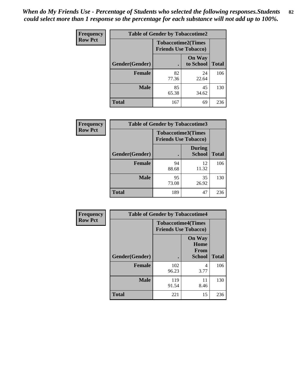*When do My Friends Use - Percentage of Students who selected the following responses.Students could select more than 1 response so the percentage for each substance will not add up to 100%.* **82**

| Frequency      | <b>Table of Gender by Tobaccotime2</b> |                                                          |                            |              |
|----------------|----------------------------------------|----------------------------------------------------------|----------------------------|--------------|
| <b>Row Pct</b> |                                        | <b>Tobaccotime2(Times</b><br><b>Friends Use Tobacco)</b> |                            |              |
|                | Gender(Gender)                         | $\bullet$                                                | <b>On Way</b><br>to School | <b>Total</b> |
|                | <b>Female</b>                          | 82<br>77.36                                              | 24<br>22.64                | 106          |
|                | <b>Male</b>                            | 85<br>65.38                                              | 45<br>34.62                | 130          |
|                | <b>Total</b>                           | 167                                                      | 69                         | 236          |

| <b>Frequency</b> | <b>Table of Gender by Tobaccotime3</b> |                                                          |                                |              |
|------------------|----------------------------------------|----------------------------------------------------------|--------------------------------|--------------|
| <b>Row Pct</b>   |                                        | <b>Tobaccotime3(Times</b><br><b>Friends Use Tobacco)</b> |                                |              |
|                  | Gender(Gender)                         |                                                          | <b>During</b><br><b>School</b> | <b>Total</b> |
|                  | <b>Female</b>                          | 94<br>88.68                                              | 12<br>11.32                    | 106          |
|                  | <b>Male</b>                            | 95<br>73.08                                              | 35<br>26.92                    | 130          |
|                  | <b>Total</b>                           | 189                                                      | 47                             | 236          |

| <b>Frequency</b> | <b>Table of Gender by Tobaccotime4</b> |                                                          |                                                       |              |
|------------------|----------------------------------------|----------------------------------------------------------|-------------------------------------------------------|--------------|
| <b>Row Pct</b>   |                                        | <b>Tobaccotime4(Times</b><br><b>Friends Use Tobacco)</b> |                                                       |              |
|                  | Gender(Gender)                         |                                                          | <b>On Way</b><br>Home<br><b>From</b><br><b>School</b> | <b>Total</b> |
|                  | <b>Female</b>                          | 102<br>96.23                                             | 4<br>3.77                                             | 106          |
|                  | <b>Male</b>                            | 119<br>91.54                                             | 11<br>8.46                                            | 130          |
|                  | <b>Total</b>                           | 221                                                      | 15                                                    | 236          |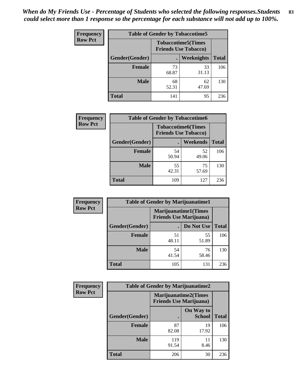| Frequency      | <b>Table of Gender by Tobaccotime5</b> |             |                                                          |              |  |
|----------------|----------------------------------------|-------------|----------------------------------------------------------|--------------|--|
| <b>Row Pct</b> |                                        |             | <b>Tobaccotime5(Times</b><br><b>Friends Use Tobacco)</b> |              |  |
|                | <b>Gender</b> (Gender)                 |             | Weeknights                                               | <b>Total</b> |  |
|                | <b>Female</b>                          | 73<br>68.87 | 33<br>31.13                                              | 106          |  |
|                | <b>Male</b>                            | 68<br>52.31 | 62<br>47.69                                              | 130          |  |
|                | <b>Total</b>                           | 141         | 95                                                       | 236          |  |

| Frequency      | <b>Table of Gender by Tobaccotime6</b> |                                                          |             |              |
|----------------|----------------------------------------|----------------------------------------------------------|-------------|--------------|
| <b>Row Pct</b> |                                        | <b>Tobaccotime6(Times</b><br><b>Friends Use Tobacco)</b> |             |              |
|                | Gender(Gender)                         |                                                          | Weekends    | <b>Total</b> |
|                | Female                                 | 54<br>50.94                                              | 52<br>49.06 | 106          |
|                | <b>Male</b>                            | 55<br>42.31                                              | 75<br>57.69 | 130          |
|                | <b>Total</b>                           | 109                                                      | 127         | 236          |

| <b>Frequency</b> | <b>Table of Gender by Marijuanatime1</b> |                                                               |             |              |  |
|------------------|------------------------------------------|---------------------------------------------------------------|-------------|--------------|--|
| <b>Row Pct</b>   |                                          | <b>Marijuanatime1(Times</b><br><b>Friends Use Marijuana</b> ) |             |              |  |
|                  | Gender(Gender)                           |                                                               | Do Not Use  | <b>Total</b> |  |
|                  | <b>Female</b>                            | 51<br>48.11                                                   | 55<br>51.89 | 106          |  |
|                  | <b>Male</b>                              | 54<br>41.54                                                   | 76<br>58.46 | 130          |  |
|                  | <b>Total</b>                             | 105                                                           | 131         | 236          |  |

| <b>Frequency</b> | <b>Table of Gender by Marijuanatime2</b> |                                                               |                            |              |
|------------------|------------------------------------------|---------------------------------------------------------------|----------------------------|--------------|
| <b>Row Pct</b>   |                                          | <b>Marijuanatime2(Times</b><br><b>Friends Use Marijuana</b> ) |                            |              |
|                  | Gender(Gender)                           |                                                               | On Way to<br><b>School</b> | <b>Total</b> |
|                  | Female                                   | 87<br>82.08                                                   | 19<br>17.92                | 106          |
|                  | <b>Male</b>                              | 119<br>91.54                                                  | 11<br>8.46                 | 130          |
|                  | <b>Total</b>                             | 206                                                           | 30                         | 236          |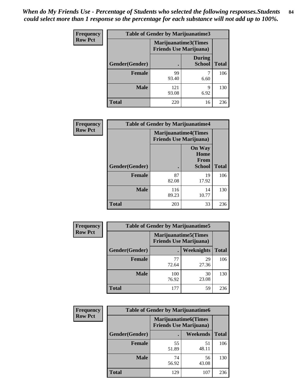| Frequency      | <b>Table of Gender by Marijuanatime3</b> |                                                        |                                |              |
|----------------|------------------------------------------|--------------------------------------------------------|--------------------------------|--------------|
| <b>Row Pct</b> |                                          | Marijuanatime3(Times<br><b>Friends Use Marijuana</b> ) |                                |              |
|                | Gender(Gender)                           |                                                        | <b>During</b><br><b>School</b> | <b>Total</b> |
|                | <b>Female</b>                            | 99<br>93.40                                            | 6.60                           | 106          |
|                | <b>Male</b>                              | 121<br>93.08                                           | 9<br>6.92                      | 130          |
|                | <b>Total</b>                             | 220                                                    | 16                             | 236          |

| <b>Frequency</b> | <b>Table of Gender by Marijuanatime4</b> |                                |                                      |              |
|------------------|------------------------------------------|--------------------------------|--------------------------------------|--------------|
| <b>Row Pct</b>   |                                          | <b>Friends Use Marijuana</b> ) | <b>Marijuanatime4(Times</b>          |              |
|                  |                                          |                                | <b>On Way</b><br>Home<br><b>From</b> |              |
|                  | Gender(Gender)                           |                                | School                               | <b>Total</b> |
|                  | <b>Female</b>                            | 87<br>82.08                    | 19<br>17.92                          | 106          |
|                  | <b>Male</b>                              | 116<br>89.23                   | 14<br>10.77                          | 130          |
|                  | <b>Total</b>                             | 203                            | 33                                   | 236          |

| <b>Frequency</b> | <b>Table of Gender by Marijuanatime5</b> |              |                                                                |              |  |
|------------------|------------------------------------------|--------------|----------------------------------------------------------------|--------------|--|
| <b>Row Pct</b>   |                                          |              | <b>Marijuanatime5</b> (Times<br><b>Friends Use Marijuana</b> ) |              |  |
|                  | Gender(Gender)                           | ٠            | Weeknights                                                     | <b>Total</b> |  |
|                  | <b>Female</b>                            | 77<br>72.64  | 29<br>27.36                                                    | 106          |  |
|                  | <b>Male</b>                              | 100<br>76.92 | 30<br>23.08                                                    | 130          |  |
|                  | <b>Total</b>                             | 177          | 59                                                             | 236          |  |

| <b>Frequency</b> | <b>Table of Gender by Marijuanatime6</b> |                                                               |             |              |
|------------------|------------------------------------------|---------------------------------------------------------------|-------------|--------------|
| <b>Row Pct</b>   |                                          | <b>Marijuanatime6(Times</b><br><b>Friends Use Marijuana</b> ) |             |              |
|                  | Gender(Gender)                           |                                                               | Weekends    | <b>Total</b> |
|                  | Female                                   | 55<br>51.89                                                   | 51<br>48.11 | 106          |
|                  | <b>Male</b>                              | 74<br>56.92                                                   | 56<br>43.08 | 130          |
|                  | <b>Total</b>                             | 129                                                           | 107         | 236          |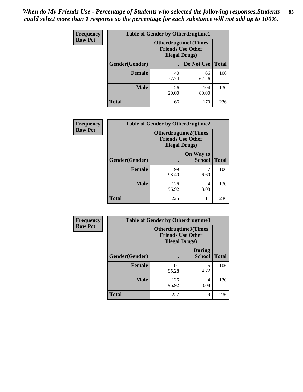*When do My Friends Use - Percentage of Students who selected the following responses.Students could select more than 1 response so the percentage for each substance will not add up to 100%.* **85**

| <b>Frequency</b> | <b>Table of Gender by Otherdrugtime1</b> |                                                    |                              |              |  |
|------------------|------------------------------------------|----------------------------------------------------|------------------------------|--------------|--|
| <b>Row Pct</b>   |                                          | <b>Friends Use Other</b><br><b>Illegal Drugs</b> ) | <b>Otherdrugtime1</b> (Times |              |  |
|                  | Gender(Gender)                           |                                                    | Do Not Use                   | <b>Total</b> |  |
|                  | <b>Female</b>                            | 40<br>37.74                                        | 66<br>62.26                  | 106          |  |
|                  | <b>Male</b>                              | 26<br>20.00                                        | 104<br>80.00                 | 130          |  |
|                  | <b>Total</b>                             | 66                                                 | 170                          | 236          |  |

| Frequency      |                        | <b>Table of Gender by Otherdrugtime2</b>                                          |                            |              |  |
|----------------|------------------------|-----------------------------------------------------------------------------------|----------------------------|--------------|--|
| <b>Row Pct</b> |                        | <b>Otherdrugtime2(Times</b><br><b>Friends Use Other</b><br><b>Illegal Drugs</b> ) |                            |              |  |
|                | <b>Gender</b> (Gender) |                                                                                   | On Way to<br><b>School</b> | <b>Total</b> |  |
|                | <b>Female</b>          | 99<br>93.40                                                                       | 6.60                       | 106          |  |
|                | <b>Male</b>            | 126<br>96.92                                                                      | 4<br>3.08                  | 130          |  |
|                | <b>Total</b>           | 225                                                                               | 11                         | 236          |  |

| Frequency      |                | <b>Table of Gender by Otherdrugtime3</b> |                                                         |              |
|----------------|----------------|------------------------------------------|---------------------------------------------------------|--------------|
| <b>Row Pct</b> |                | <b>Illegal Drugs</b> )                   | <b>Otherdrugtime3(Times</b><br><b>Friends Use Other</b> |              |
|                | Gender(Gender) |                                          | <b>During</b><br><b>School</b>                          | <b>Total</b> |
|                | <b>Female</b>  | 101<br>95.28                             | 5<br>4.72                                               | 106          |
|                | <b>Male</b>    | 126<br>96.92                             | 4<br>3.08                                               | 130          |
|                | <b>Total</b>   | 227                                      | 9                                                       | 236          |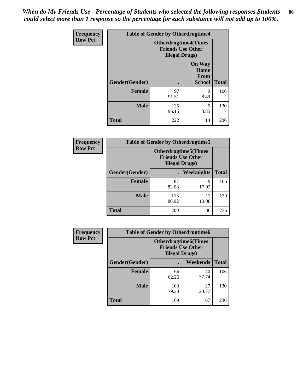*When do My Friends Use - Percentage of Students who selected the following responses.Students could select more than 1 response so the percentage for each substance will not add up to 100%.* **86**

| <b>Frequency</b> | <b>Table of Gender by Otherdrugtime4</b> |                                                       |                                                       |              |
|------------------|------------------------------------------|-------------------------------------------------------|-------------------------------------------------------|--------------|
| <b>Row Pct</b>   |                                          | <b>Otherdrugtime4(Times</b><br><b>Illegal Drugs</b> ) | <b>Friends Use Other</b>                              |              |
|                  | Gender(Gender)                           | ٠                                                     | <b>On Way</b><br>Home<br><b>From</b><br><b>School</b> | <b>Total</b> |
|                  | <b>Female</b>                            | 97<br>91.51                                           | 9<br>8.49                                             | 106          |
|                  | <b>Male</b>                              | 125<br>96.15                                          | 5<br>3.85                                             | 130          |
|                  | <b>Total</b>                             | 222                                                   | 14                                                    | 236          |

| Frequency      | <b>Table of Gender by Otherdrugtime5</b> |                                                                                    |             |              |
|----------------|------------------------------------------|------------------------------------------------------------------------------------|-------------|--------------|
| <b>Row Pct</b> |                                          | <b>Otherdrugtime5</b> (Times<br><b>Friends Use Other</b><br><b>Illegal Drugs</b> ) |             |              |
|                | Gender(Gender)                           |                                                                                    | Weeknights  | <b>Total</b> |
|                | <b>Female</b>                            | 87<br>82.08                                                                        | 19<br>17.92 | 106          |
|                | <b>Male</b>                              | 113<br>86.92                                                                       | 17<br>13.08 | 130          |
|                | <b>Total</b>                             | 200                                                                                | 36          | 236          |

| <b>Frequency</b> | <b>Table of Gender by Otherdrugtime6</b> |                                                                                   |             |              |
|------------------|------------------------------------------|-----------------------------------------------------------------------------------|-------------|--------------|
| <b>Row Pct</b>   |                                          | <b>Otherdrugtime6(Times</b><br><b>Friends Use Other</b><br><b>Illegal Drugs</b> ) |             |              |
|                  | Gender(Gender)                           |                                                                                   | Weekends    | <b>Total</b> |
|                  | <b>Female</b>                            | 66<br>62.26                                                                       | 40<br>37.74 | 106          |
|                  | <b>Male</b>                              | 103<br>79.23                                                                      | 27<br>20.77 | 130          |
|                  | <b>Total</b>                             | 169                                                                               | 67          | 236          |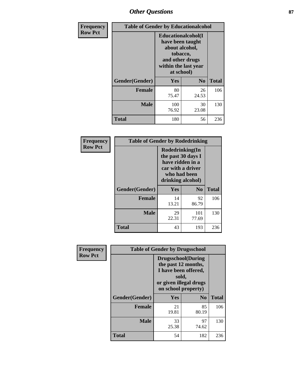## *Other Questions* **87**

| Frequency      | <b>Table of Gender by Educationalcohol</b> |                                                                                                                                       |                |              |  |
|----------------|--------------------------------------------|---------------------------------------------------------------------------------------------------------------------------------------|----------------|--------------|--|
| <b>Row Pct</b> |                                            | <b>Educationalcohol</b> (I<br>have been taught<br>about alcohol,<br>tobacco,<br>and other drugs<br>within the last year<br>at school) |                |              |  |
|                | Gender(Gender)                             | <b>Yes</b>                                                                                                                            | N <sub>0</sub> | <b>Total</b> |  |
|                | Female                                     | 80<br>75.47                                                                                                                           | 26<br>24.53    | 106          |  |
|                | <b>Male</b>                                | 100<br>76.92                                                                                                                          | 30<br>23.08    | 130          |  |
|                | Total                                      | 180                                                                                                                                   | 56             | 236          |  |

| Frequency      | <b>Table of Gender by Rodedrinking</b> |                                                                                                                     |                |              |  |
|----------------|----------------------------------------|---------------------------------------------------------------------------------------------------------------------|----------------|--------------|--|
| <b>Row Pct</b> |                                        | Rodedrinking(In<br>the past 30 days I<br>have ridden in a<br>car with a driver<br>who had been<br>drinking alcohol) |                |              |  |
|                | Gender(Gender)                         | Yes                                                                                                                 | N <sub>0</sub> | <b>Total</b> |  |
|                | <b>Female</b>                          | 14<br>13.21                                                                                                         | 92<br>86.79    | 106          |  |
|                | <b>Male</b>                            | 29<br>22.31                                                                                                         | 101<br>77.69   | 130          |  |
|                | <b>Total</b>                           | 43                                                                                                                  | 193            | 236          |  |

| Frequency      | <b>Table of Gender by Drugsschool</b> |                                                                                                                                     |                |              |  |
|----------------|---------------------------------------|-------------------------------------------------------------------------------------------------------------------------------------|----------------|--------------|--|
| <b>Row Pct</b> |                                       | <b>Drugsschool</b> (During<br>the past 12 months,<br>I have been offered,<br>sold,<br>or given illegal drugs<br>on school property) |                |              |  |
|                | Gender(Gender)                        | <b>Yes</b>                                                                                                                          | N <sub>0</sub> | <b>Total</b> |  |
|                | <b>Female</b>                         | 21<br>19.81                                                                                                                         | 85<br>80.19    | 106          |  |
|                | <b>Male</b>                           | 33<br>25.38                                                                                                                         | 97<br>74.62    | 130          |  |
|                | <b>Total</b>                          | 54                                                                                                                                  | 182            | 236          |  |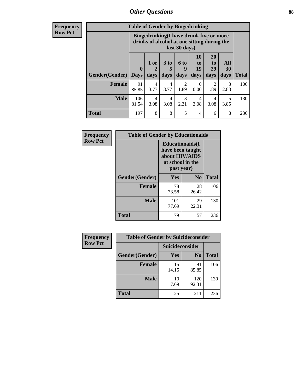### *Other Questions* **88**

**Frequency Row Pct**

| <b>Table of Gender by Bingedrinking</b> |                         |                                                                                                         |                   |                        |                        |                               |                   |              |
|-----------------------------------------|-------------------------|---------------------------------------------------------------------------------------------------------|-------------------|------------------------|------------------------|-------------------------------|-------------------|--------------|
|                                         |                         | Bingedrinking(I have drunk five or more<br>drinks of alcohol at one sitting during the<br>last 30 days) |                   |                        |                        |                               |                   |              |
| <b>Gender</b> (Gender)                  | $\bf{0}$<br><b>Days</b> | 1 or<br>days                                                                                            | 3 to<br>5<br>days | 6 to<br>9<br>days      | 10<br>to<br>19<br>days | <b>20</b><br>to<br>29<br>days | All<br>30<br>days | <b>Total</b> |
| <b>Female</b>                           | 91<br>85.85             | 4<br>3.77                                                                                               | 4<br>3.77         | $\mathfrak{D}$<br>1.89 | 0<br>0.00              | 2<br>1.89                     | 3<br>2.83         | 106          |
| <b>Male</b>                             | 106<br>81.54            | 4<br>3.08                                                                                               | 4<br>3.08         | 3<br>2.31              | 4<br>3.08              | 4<br>3.08                     | 5<br>3.85         | 130          |
| <b>Total</b>                            | 197                     | 8                                                                                                       | 8                 | 5                      | 4                      | 6                             | 8                 | 236          |

| Frequency      | <b>Table of Gender by Educationaids</b> |                                                                                                 |                |              |  |
|----------------|-----------------------------------------|-------------------------------------------------------------------------------------------------|----------------|--------------|--|
| <b>Row Pct</b> |                                         | <b>Educationaids</b> (I<br>have been taught<br>about HIV/AIDS<br>at school in the<br>past year) |                |              |  |
|                | Gender(Gender)                          | Yes                                                                                             | N <sub>0</sub> | <b>Total</b> |  |
|                | <b>Female</b>                           | 78<br>73.58                                                                                     | 28<br>26.42    | 106          |  |
|                | <b>Male</b>                             | 101<br>77.69                                                                                    | 29<br>22.31    | 130          |  |
|                | <b>Total</b>                            | 179                                                                                             | 57             | 236          |  |

| <b>Frequency</b> | <b>Table of Gender by Suicideconsider</b> |                 |                |              |
|------------------|-------------------------------------------|-----------------|----------------|--------------|
| <b>Row Pct</b>   |                                           | Suicideconsider |                |              |
|                  | Gender(Gender)                            | Yes             | N <sub>0</sub> | <b>Total</b> |
|                  | <b>Female</b>                             | 15<br>14.15     | 91<br>85.85    | 106          |
|                  | <b>Male</b>                               | 10<br>7.69      | 120<br>92.31   | 130          |
|                  | Total                                     | 25              | 211            | 236          |